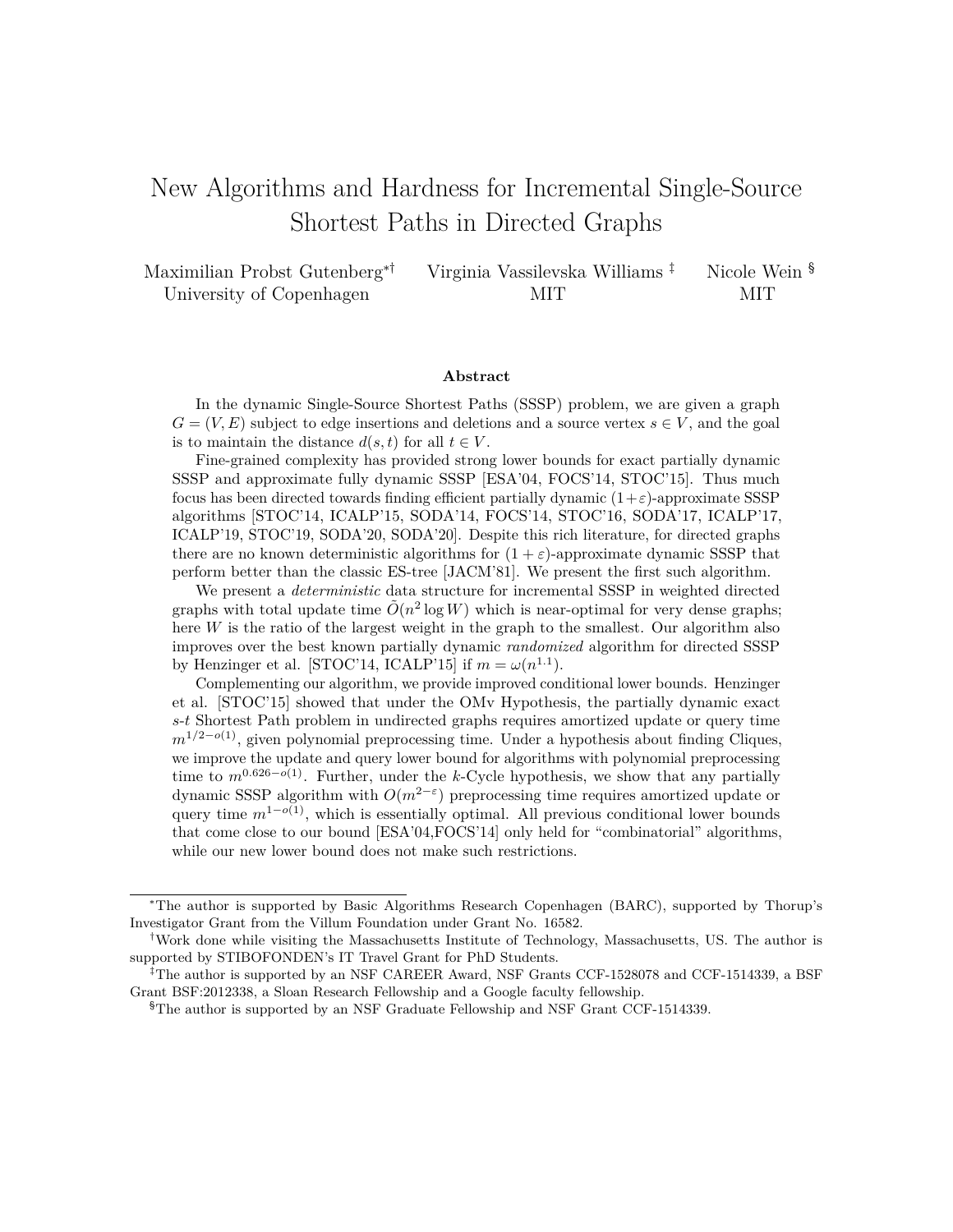# <span id="page-0-1"></span><span id="page-0-0"></span>New Algorithms and Hardness for Incremental Single-Source Shortest Paths in Directed Graphs

| Maximilian Probst Gutenberg*† | Virginia Vassilevska Williams <sup>‡</sup> | Nicole Wein <sup>§</sup> |
|-------------------------------|--------------------------------------------|--------------------------|
| University of Copenhagen      | MIT                                        | MIT.                     |

#### **Abstract**

In the dynamic Single-Source Shortest Paths (SSSP) problem, we are given a graph  $G = (V, E)$  subject to edge insertions and deletions and a source vertex  $s \in V$ , and the goal is to maintain the distance  $d(s, t)$  for all  $t \in V$ .

Fine-grained complexity has provided strong lower bounds for exact partially dynamic SSSP and approximate fully dynamic SSSP [ESA'04, FOCS'14, STOC'15]. Thus much focus has been directed towards finding efficient partially dynamic  $(1+\varepsilon)$ -approximate SSSP algorithms [STOC'14, ICALP'15, SODA'14, FOCS'14, STOC'16, SODA'17, ICALP'17, ICALP'19, STOC'19, SODA'20, SODA'20]. Despite this rich literature, for directed graphs there are no known deterministic algorithms for  $(1 + \varepsilon)$ -approximate dynamic SSSP that perform better than the classic ES-tree [JACM'81]. We present the first such algorithm.

We present a *deterministic* data structure for incremental SSSP in weighted directed graphs with total update time  $\tilde{O}(n^2 \log W)$  which is near-optimal for very dense graphs; here *W* is the ratio of the largest weight in the graph to the smallest. Our algorithm also improves over the best known partially dynamic *randomized* algorithm for directed SSSP by Henzinger et al. [STOC'14, ICALP'15] if  $m = \omega(n^{1.1})$ .

Complementing our algorithm, we provide improved conditional lower bounds. Henzinger et al. [STOC'15] showed that under the OMv Hypothesis, the partially dynamic exact *s*-*t* Shortest Path problem in undirected graphs requires amortized update or query time *m*<sup>1/2−*o*(1)</sup>, given polynomial preprocessing time. Under a hypothesis about finding Cliques, we improve the update and query lower bound for algorithms with polynomial preprocessing time to  $m^{0.626-o(1)}$ . Further, under the *k*-Cycle hypothesis, we show that any partially dynamic SSSP algorithm with *O*(*m*2−*<sup>ε</sup>* ) preprocessing time requires amortized update or query time  $m^{1-o(1)}$ , which is essentially optimal. All previous conditional lower bounds that come close to our bound [ESA'04,FOCS'14] only held for "combinatorial" algorithms, while our new lower bound does not make such restrictions.

<sup>∗</sup>The author is supported by Basic Algorithms Research Copenhagen (BARC), supported by Thorup's Investigator Grant from the Villum Foundation under Grant No. 16582.

<sup>†</sup>Work done while visiting the Massachusetts Institute of Technology, Massachusetts, US. The author is supported by STIBOFONDEN's IT Travel Grant for PhD Students.

<sup>‡</sup>The author is supported by an NSF CAREER Award, NSF Grants CCF-1528078 and CCF-1514339, a BSF Grant BSF:2012338, a Sloan Research Fellowship and a Google faculty fellowship.

<sup>§</sup>The author is supported by an NSF Graduate Fellowship and NSF Grant CCF-1514339.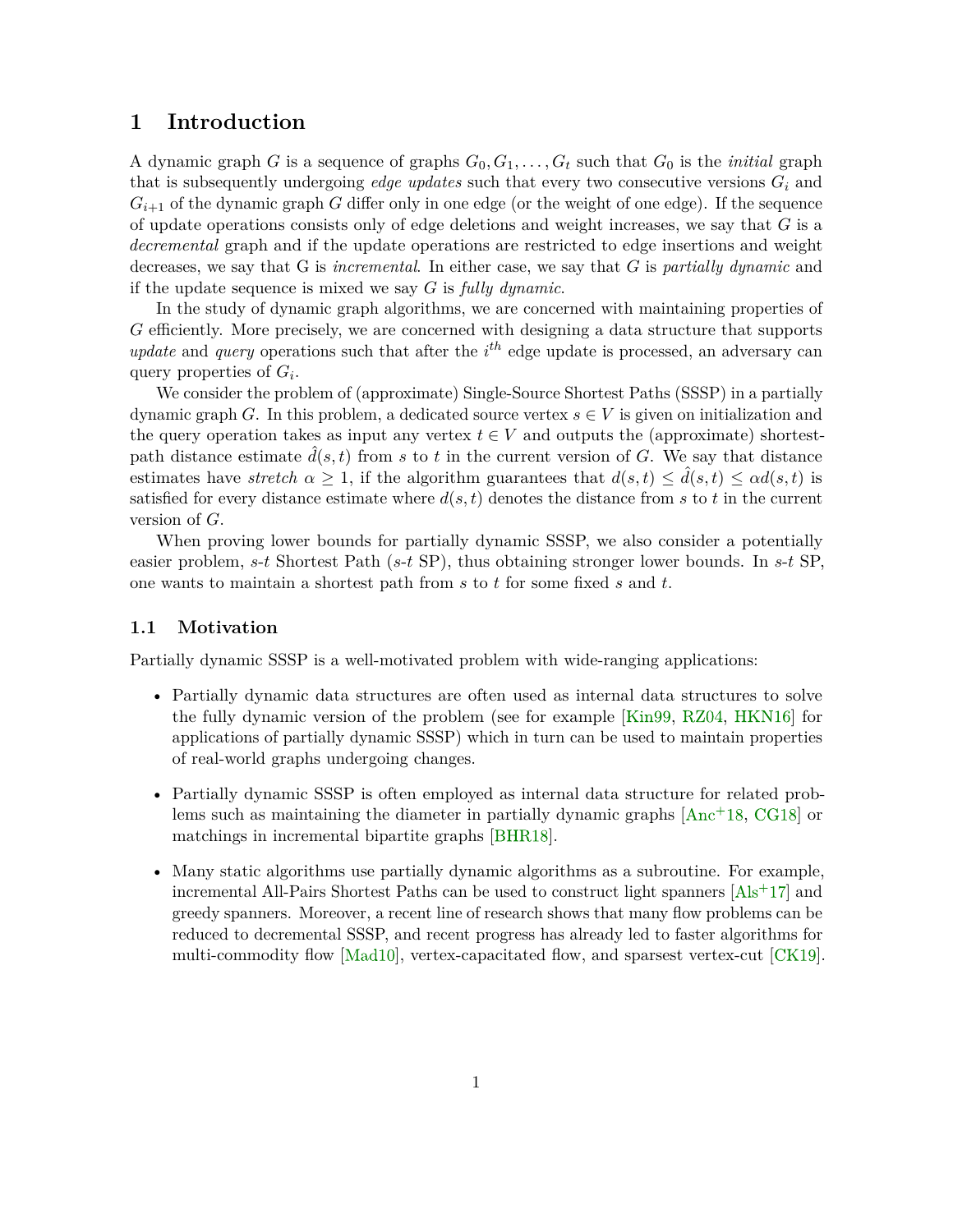## **1 Introduction**

A dynamic graph *G* is a sequence of graphs  $G_0, G_1, \ldots, G_t$  such that  $G_0$  is the *initial* graph that is subsequently undergoing *edge updates* such that every two consecutive versions  $G_i$  and  $G_{i+1}$  of the dynamic graph *G* differ only in one edge (or the weight of one edge). If the sequence of update operations consists only of edge deletions and weight increases, we say that *G* is a *decremental* graph and if the update operations are restricted to edge insertions and weight decreases, we say that G is *incremental*. In either case, we say that *G* is *partially dynamic* and if the update sequence is mixed we say *G* is *fully dynamic*.

In the study of dynamic graph algorithms, we are concerned with maintaining properties of *G* efficiently. More precisely, we are concerned with designing a data structure that supports *update* and *query* operations such that after the  $i^{th}$  edge update is processed, an adversary can query properties of *G<sup>i</sup>* .

We consider the problem of (approximate) Single-Source Shortest Paths (SSSP) in a partially dynamic graph *G*. In this problem, a dedicated source vertex  $s \in V$  is given on initialization and the query operation takes as input any vertex  $t \in V$  and outputs the (approximate) shortestpath distance estimate  $\overline{d}(s,t)$  from *s* to *t* in the current version of *G*. We say that distance estimates have *stretch*  $\alpha \geq 1$ , if the algorithm guarantees that  $d(s,t) \leq \hat{d}(s,t) \leq \alpha d(s,t)$  is satisfied for every distance estimate where  $d(s,t)$  denotes the distance from  $s$  to  $t$  in the current version of *G*.

When proving lower bounds for partially dynamic SSSP, we also consider a potentially easier problem, *s*-*t* Shortest Path (*s*-*t* SP), thus obtaining stronger lower bounds. In *s*-*t* SP, one wants to maintain a shortest path from *s* to *t* for some fixed *s* and *t*.

## **1.1 Motivation**

Partially dynamic SSSP is a well-motivated problem with wide-ranging applications:

- Partially dynamic data structures are often used as internal data structures to solve the fully dynamic version of the problem (see for example [\[Kin99,](#page-36-0) [RZ04,](#page-37-0) [HKN16\]](#page-36-1) for applications of partially dynamic SSSP) which in turn can be used to maintain properties of real-world graphs undergoing changes.
- Partially dynamic SSSP is often employed as internal data structure for related problems such as maintaining the diameter in partially dynamic graphs  $[Anc^+18, CG18]$  $[Anc^+18, CG18]$  $[Anc^+18, CG18]$  or matchings in incremental bipartite graphs [\[BHR18\]](#page-33-0).
- Many static algorithms use partially dynamic algorithms as a subroutine. For example, incremental All-Pairs Shortest Paths can be used to construct light spanners  $[A]s+17]$  and greedy spanners. Moreover, a recent line of research shows that many flow problems can be reduced to decremental SSSP, and recent progress has already led to faster algorithms for multi-commodity flow [\[Mad10\]](#page-37-1), vertex-capacitated flow, and sparsest vertex-cut [\[CK19\]](#page-34-1).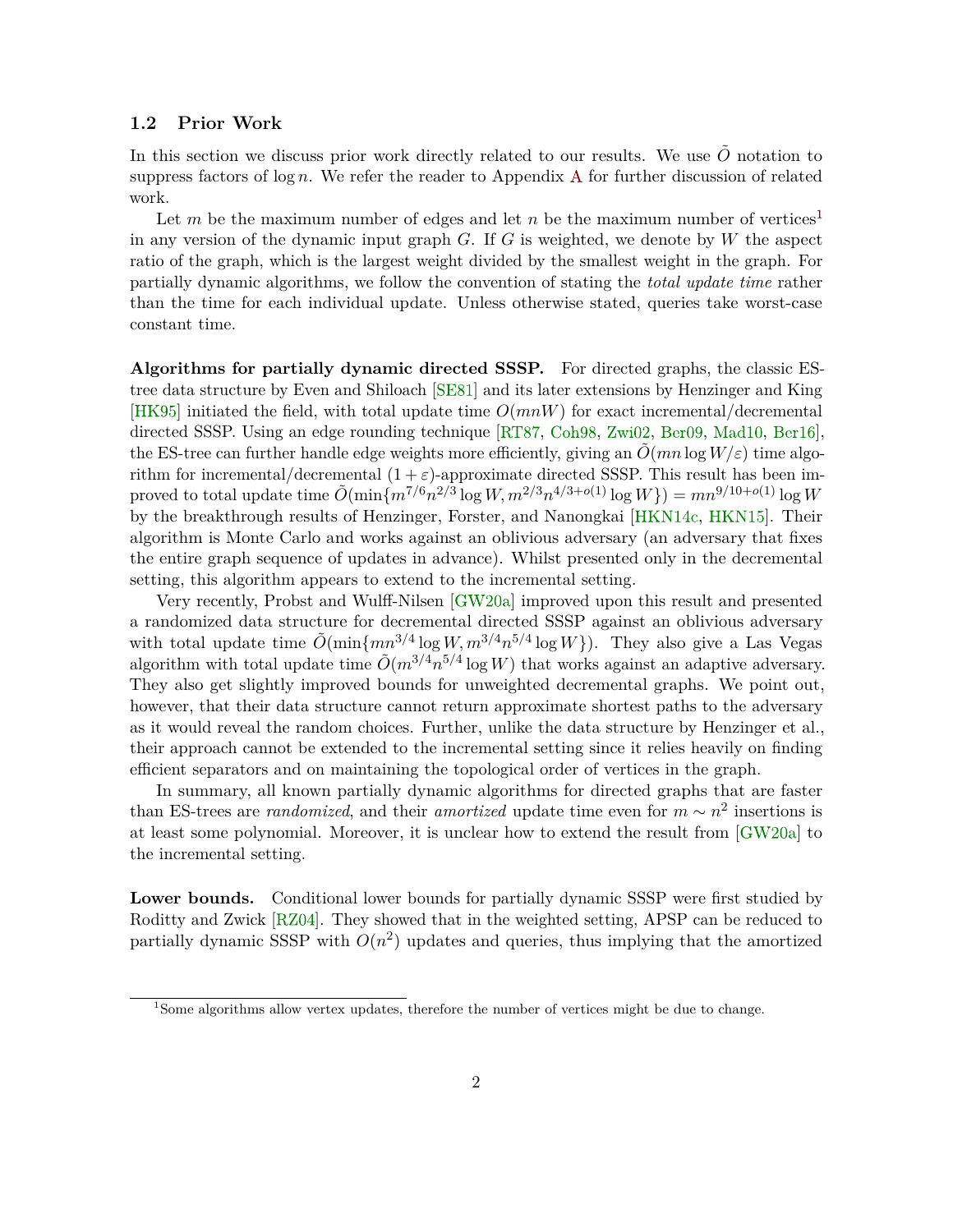#### <span id="page-2-0"></span>**1.2 Prior Work**

In this section we discuss prior work directly related to our results. We use  $\tilde{O}$  notation to suppress factors of  $\log n$ . We refer the reader to [A](#page-38-0)ppendix A for further discussion of related work.

Let *m* be the maximum number of edges and let *n* be the maximum number of vertices<sup>[1](#page-0-0)</sup> in any version of the dynamic input graph *G*. If *G* is weighted, we denote by *W* the aspect ratio of the graph, which is the largest weight divided by the smallest weight in the graph. For partially dynamic algorithms, we follow the convention of stating the *total update time* rather than the time for each individual update. Unless otherwise stated, queries take worst-case constant time.

**Algorithms for partially dynamic directed SSSP.** For directed graphs, the classic EStree data structure by Even and Shiloach [\[SE81\]](#page-37-2) and its later extensions by Henzinger and King [\[HK95\]](#page-35-0) initiated the field, with total update time *O*(*mnW*) for exact incremental/decremental directed SSSP. Using an edge rounding technique [\[RT87,](#page-37-3) [Coh98,](#page-34-2) [Zwi02,](#page-38-1) [Ber09,](#page-33-1) [Mad10,](#page-37-1) [Ber16\]](#page-33-2), the ES-tree can further handle edge weights more efficiently, giving an  $\hat{O}(mn \log W/\varepsilon)$  time algorithm for incremental/decremental  $(1 + \varepsilon)$ -approximate directed SSSP. This result has been improved to total update time  $\tilde{O}(\min\{m^{7/6}n^{2/3}\log W, m^{2/3}n^{4/3+o(1)}\log W\}) = mn^{9/10+o(1)}\log W$ by the breakthrough results of Henzinger, Forster, and Nanongkai [\[HKN14c,](#page-36-2) [HKN15\]](#page-36-3). Their algorithm is Monte Carlo and works against an oblivious adversary (an adversary that fixes the entire graph sequence of updates in advance). Whilst presented only in the decremental setting, this algorithm appears to extend to the incremental setting.

Very recently, Probst and Wulff-Nilsen [\[GW20a\]](#page-35-1) improved upon this result and presented a randomized data structure for decremental directed SSSP against an oblivious adversary with total update time  $\tilde{O}(\min\{mn^{3/4}\log W, m^{3/4}n^{5/4}\log W\})$ . They also give a Las Vegas algorithm with total update time  $\tilde{O}(m^{3/4}n^{5/4}\log W)$  that works against an adaptive adversary. They also get slightly improved bounds for unweighted decremental graphs. We point out, however, that their data structure cannot return approximate shortest paths to the adversary as it would reveal the random choices. Further, unlike the data structure by Henzinger et al., their approach cannot be extended to the incremental setting since it relies heavily on finding efficient separators and on maintaining the topological order of vertices in the graph.

In summary, all known partially dynamic algorithms for directed graphs that are faster than ES-trees are *randomized*, and their *amortized* update time even for  $m \sim n^2$  insertions is at least some polynomial. Moreover, it is unclear how to extend the result from [\[GW20a\]](#page-35-1) to the incremental setting.

**Lower bounds.** Conditional lower bounds for partially dynamic SSSP were first studied by Roditty and Zwick [\[RZ04\]](#page-37-0). They showed that in the weighted setting, APSP can be reduced to partially dynamic SSSP with  $O(n^2)$  updates and queries, thus implying that the amortized

<sup>1</sup>Some algorithms allow vertex updates, therefore the number of vertices might be due to change.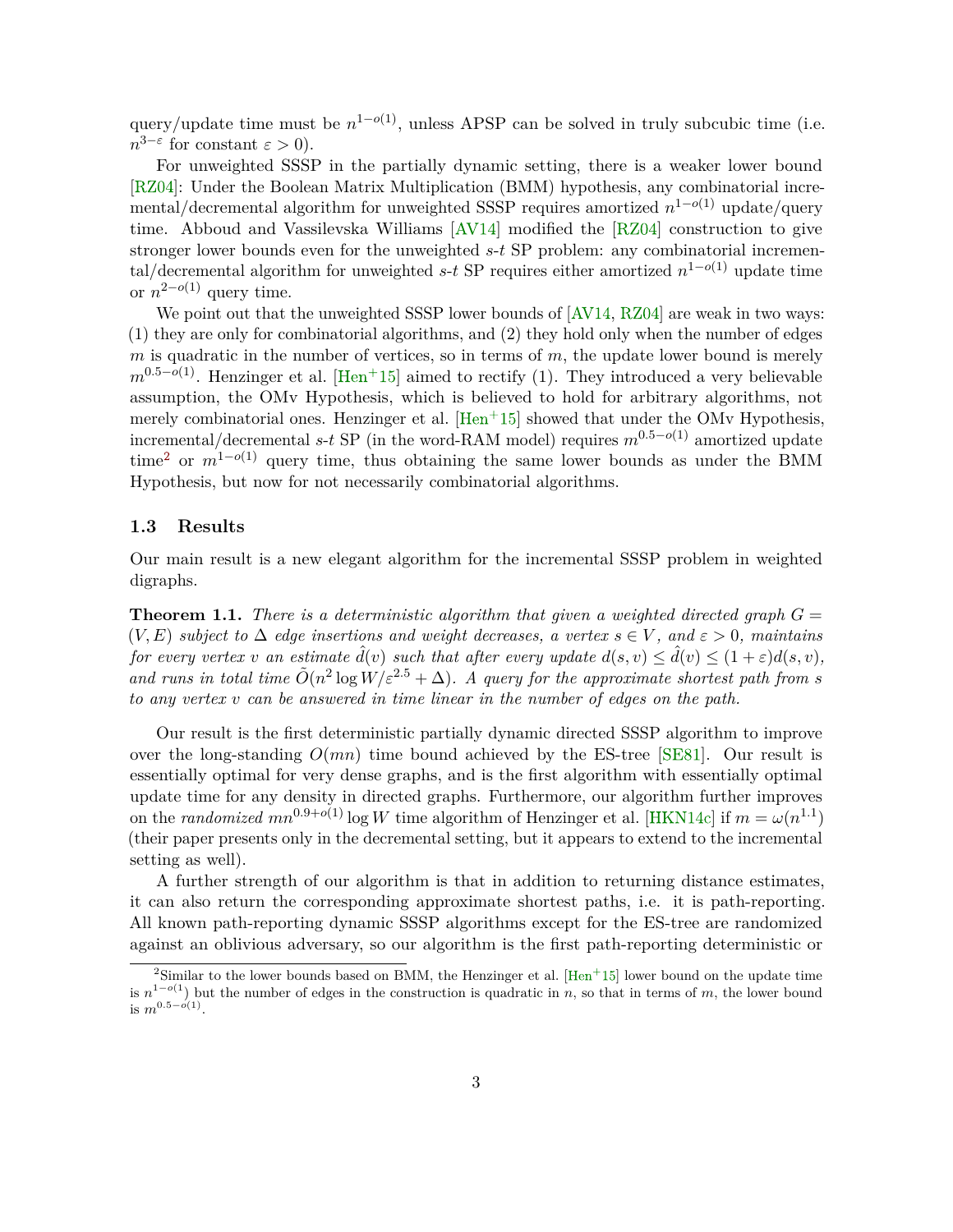<span id="page-3-1"></span>query/update time must be  $n^{1-o(1)}$ , unless APSP can be solved in truly subcubic time (i.e.  $n^{3-\epsilon}$  for constant  $\epsilon > 0$ ).

For unweighted SSSP in the partially dynamic setting, there is a weaker lower bound [\[RZ04\]](#page-37-0): Under the Boolean Matrix Multiplication (BMM) hypothesis, any combinatorial incremental/decremental algorithm for unweighted SSSP requires amortized *n* <sup>1</sup>−*o*(1) update/query time. Abboud and Vassilevska Williams [\[AV14\]](#page-32-2) modified the [\[RZ04\]](#page-37-0) construction to give stronger lower bounds even for the unweighted *s*-*t* SP problem: any combinatorial incremental/decremental algorithm for unweighted *s*-*t* SP requires either amortized *n* <sup>1</sup>−*o*(1) update time or  $n^{2-o(1)}$  query time.

We point out that the unweighted SSSP lower bounds of  $\left[$  AV14, RZ04 $\right]$  are weak in two ways: (1) they are only for combinatorial algorithms, and (2) they hold only when the number of edges *m* is quadratic in the number of vertices, so in terms of *m*, the update lower bound is merely  $m^{0.5-o(1)}$ . Henzinger et al. [\[Hen](#page-35-2)<sup>+</sup>15] aimed to rectify (1). They introduced a very believable assumption, the OMv Hypothesis, which is believed to hold for arbitrary algorithms, not merely combinatorial ones. Henzinger et al.  $\text{[Hen+15]}$  $\text{[Hen+15]}$  $\text{[Hen+15]}$  showed that under the OMv Hypothesis, incremental/decremental *s*-*t* SP (in the word-RAM model) requires *m*0*.*5−*o*(1) amortized update time<sup>[2](#page-0-0)</sup> or  $m^{1-o(1)}$  query time, thus obtaining the same lower bounds as under the BMM Hypothesis, but now for not necessarily combinatorial algorithms.

#### **1.3 Results**

Our main result is a new elegant algorithm for the incremental SSSP problem in weighted digraphs.

<span id="page-3-0"></span>**Theorem 1.1.** *There is a deterministic algorithm that given a weighted directed graph*  $G =$ (*V, E*) *subject to* ∆ *edge insertions and weight decreases, a vertex s* ∈ *V , and ε >* 0*, maintains for every vertex v an estimate*  $\hat{d}(v)$  *such that after every update*  $d(s, v) \leq \hat{d}(v) \leq (1 + \varepsilon)d(s, v)$ , and runs in total time  $\tilde{O}(n^2 \log W / \varepsilon^{2.5} + \Delta)$ . A query for the approximate shortest path from *s to any vertex v can be answered in time linear in the number of edges on the path.*

Our result is the first deterministic partially dynamic directed SSSP algorithm to improve over the long-standing  $O(mn)$  time bound achieved by the ES-tree [\[SE81\]](#page-37-2). Our result is essentially optimal for very dense graphs, and is the first algorithm with essentially optimal update time for any density in directed graphs. Furthermore, our algorithm further improves on the *randomized*  $mn^{0.9+o(1)}$  log *W* time algorithm of Henzinger et al. [\[HKN14c\]](#page-36-2) if  $m = \omega(n^{1.1})$ (their paper presents only in the decremental setting, but it appears to extend to the incremental setting as well).

A further strength of our algorithm is that in addition to returning distance estimates, it can also return the corresponding approximate shortest paths, i.e. it is path-reporting. All known path-reporting dynamic SSSP algorithms except for the ES-tree are randomized against an oblivious adversary, so our algorithm is the first path-reporting deterministic or

 $2\text{Similar to the lower bounds based on BMM, the Henzinger et al. } [\text{Hen}^+15]$  lower bound on the update time is *n* <sup>1</sup>−*o*(1) but the number of edges in the construction is quadratic in *n*, so that in terms of *m*, the lower bound is  $m^{0.5-o(1)}$ .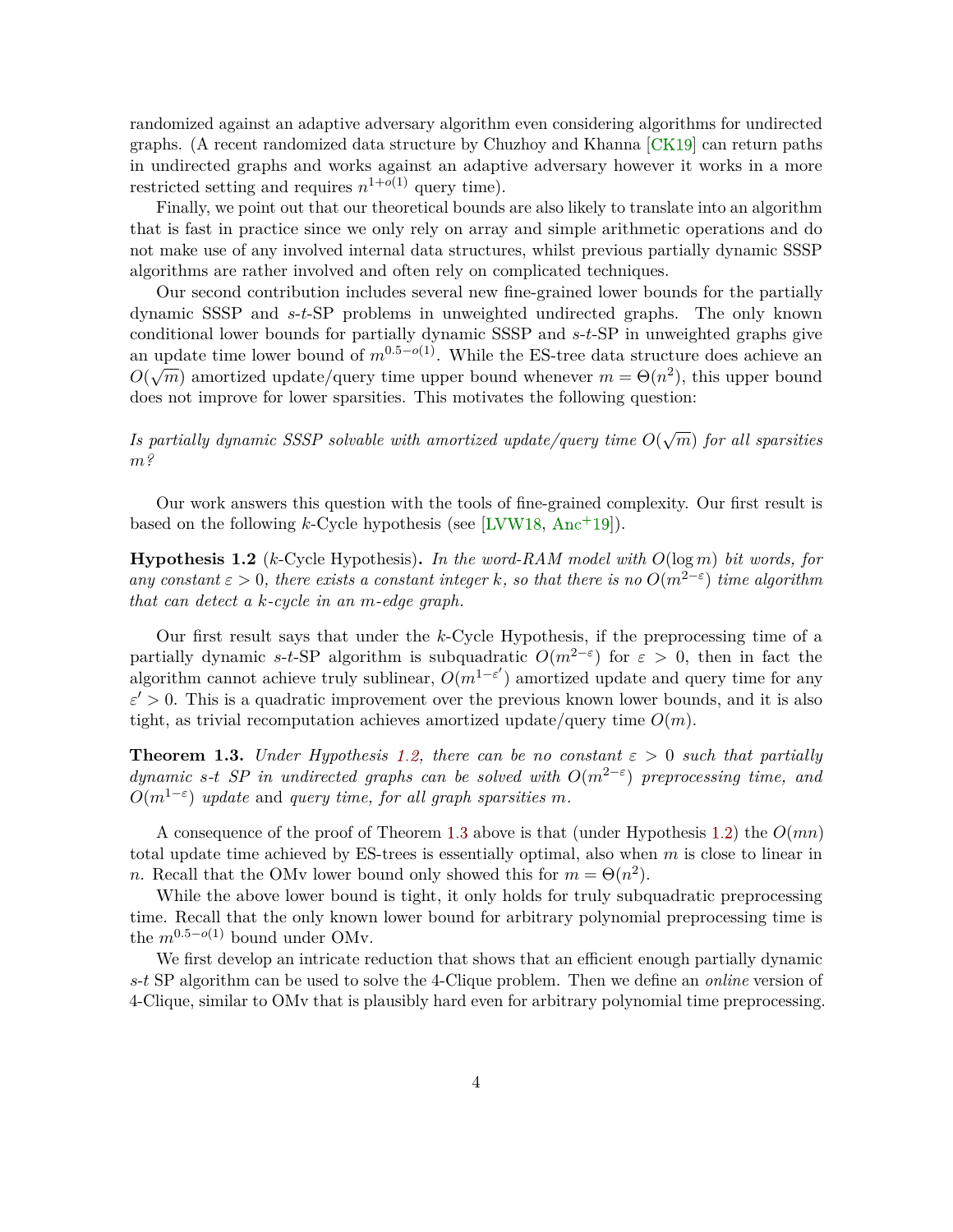<span id="page-4-2"></span>randomized against an adaptive adversary algorithm even considering algorithms for undirected graphs. (A recent randomized data structure by Chuzhoy and Khanna [\[CK19\]](#page-34-1) can return paths in undirected graphs and works against an adaptive adversary however it works in a more restricted setting and requires  $n^{1+o(1)}$  query time).

Finally, we point out that our theoretical bounds are also likely to translate into an algorithm that is fast in practice since we only rely on array and simple arithmetic operations and do not make use of any involved internal data structures, whilst previous partially dynamic SSSP algorithms are rather involved and often rely on complicated techniques.

Our second contribution includes several new fine-grained lower bounds for the partially dynamic SSSP and *s*-*t*-SP problems in unweighted undirected graphs. The only known conditional lower bounds for partially dynamic SSSP and *s*-*t*-SP in unweighted graphs give an update time lower bound of  $m^{0.5-o(1)}$ . While the ES-tree data structure does achieve an *O*( $\sqrt{m}$ ) amortized update/query time upper bound whenever  $m = \Theta(n^2)$ , this upper bound does not improve for lower sparsities. This motivates the following question:

*Is partially dynamic SSSP solvable with amortized update/query time*  $O(\sqrt{m})$  *for all sparsities m?*

Our work answers this question with the tools of fine-grained complexity. Our first result is based on the following  $k$ -Cycle hypothesis (see [\[LVW18,](#page-37-4) [Anc](#page-32-3)<sup>+</sup>19]).

<span id="page-4-0"></span>**Hypothesis 1.2** (*k*-Cycle Hypothesis)**.** *In the word-RAM model with O*(log *m*) *bit words, for any constant*  $\varepsilon > 0$ *, there exists a constant integer k, so that there is no*  $O(m^{2-\varepsilon})$  *time algorithm that can detect a k-cycle in an m-edge graph.*

Our first result says that under the *k*-Cycle Hypothesis, if the preprocessing time of a partially dynamic *s*-*t*-SP algorithm is subquadratic  $O(m^{2-\epsilon})$  for  $\epsilon > 0$ , then in fact the algorithm cannot achieve truly sublinear,  $O(m^{1-\varepsilon'})$  amortized update and query time for any  $\varepsilon' > 0$ . This is a quadratic improvement over the previous known lower bounds, and it is also tight, as trivial recomputation achieves amortized update/query time  $O(m)$ .

<span id="page-4-1"></span>**Theorem 1.3.** *Under Hypothesis* [1.2,](#page-4-0) *there can be no constant*  $\varepsilon > 0$  *such that partially dynamic s*<sup>-*t*</sup> *SP in undirected graphs can be solved with*  $O(m^{2-\epsilon})$  *preprocessing time, and*  $O(m^{1-\varepsilon})$  *update* and *query time, for all graph sparsities m.* 

A consequence of the proof of Theorem [1.3](#page-4-1) above is that (under Hypothesis [1.2\)](#page-4-0) the *O*(*mn*) total update time achieved by ES-trees is essentially optimal, also when *m* is close to linear in *n*. Recall that the OMv lower bound only showed this for  $m = \Theta(n^2)$ .

While the above lower bound is tight, it only holds for truly subquadratic preprocessing time. Recall that the only known lower bound for arbitrary polynomial preprocessing time is the  $m^{0.5-o(1)}$  bound under OMv.

We first develop an intricate reduction that shows that an efficient enough partially dynamic *s*-*t* SP algorithm can be used to solve the 4-Clique problem. Then we define an *online* version of 4-Clique, similar to OMv that is plausibly hard even for arbitrary polynomial time preprocessing.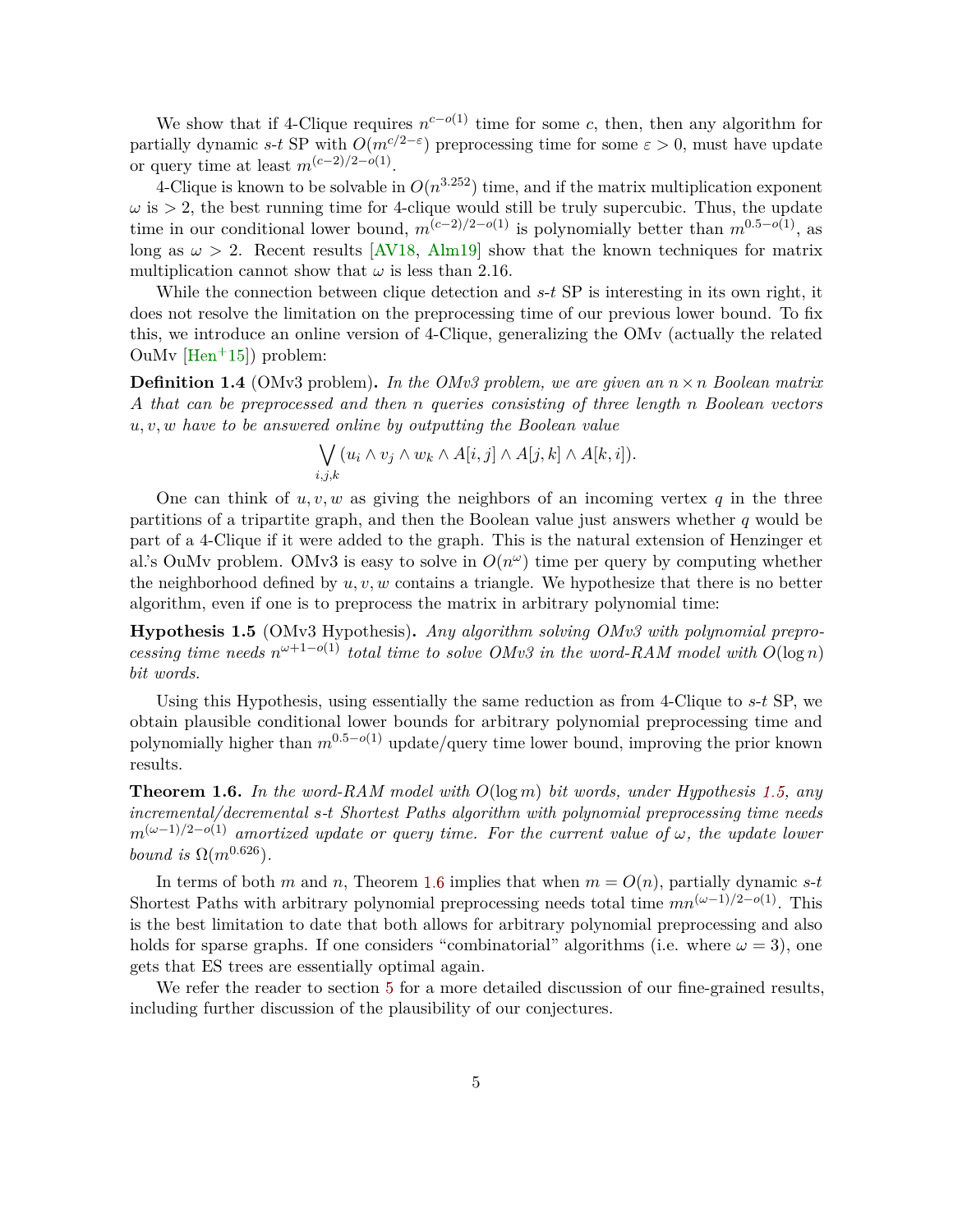<span id="page-5-2"></span>We show that if 4-Clique requires  $n^{c-o(1)}$  time for some *c*, then, then any algorithm for partially dynamic *s*-*t* SP with  $O(m^{c/2-\epsilon})$  preprocessing time for some  $\varepsilon > 0$ , must have update or query time at least  $m^{(c-2)/2-o(1)}$ .

4-Clique is known to be solvable in  $O(n^{3.252})$  time, and if the matrix multiplication exponent  $\omega$  is  $> 2$ , the best running time for 4-clique would still be truly supercubic. Thus, the update time in our conditional lower bound,  $m^{(c-2)/2-o(1)}$  is polynomially better than  $m^{0.5-o(1)}$ , as long as  $\omega > 2$ . Recent results [\[AV18,](#page-32-4) [Alm19\]](#page-32-5) show that the known techniques for matrix multiplication cannot show that  $\omega$  is less than 2.16.

While the connection between clique detection and *s*-*t* SP is interesting in its own right, it does not resolve the limitation on the preprocessing time of our previous lower bound. To fix this, we introduce an online version of 4-Clique, generalizing the OMv (actually the related OuMv  $[Hen^+15]$  $[Hen^+15]$  problem:

**Definition 1.4** (OMv3 problem)**.** *In the OMv3 problem, we are given an n*×*n Boolean matrix A that can be preprocessed and then n queries consisting of three length n Boolean vectors u, v, w have to be answered online by outputting the Boolean value*

$$
\bigvee_{i,j,k} (u_i \wedge v_j \wedge w_k \wedge A[i,j] \wedge A[j,k] \wedge A[k,i]).
$$

One can think of *u, v, w* as giving the neighbors of an incoming vertex *q* in the three partitions of a tripartite graph, and then the Boolean value just answers whether *q* would be part of a 4-Clique if it were added to the graph. This is the natural extension of Henzinger et al.'s OuMv problem. OMv3 is easy to solve in  $O(n^{\omega})$  time per query by computing whether the neighborhood defined by *u, v, w* contains a triangle. We hypothesize that there is no better algorithm, even if one is to preprocess the matrix in arbitrary polynomial time:

<span id="page-5-0"></span>**Hypothesis 1.5** (OMv3 Hypothesis)**.** *Any algorithm solving OMv3 with polynomial preprocessing time needs*  $n^{\omega+1-o(1)}$  *total time to solve OMv3 in the word-RAM model with*  $O(\log n)$ *bit words.*

Using this Hypothesis, using essentially the same reduction as from 4-Clique to *s*-*t* SP, we obtain plausible conditional lower bounds for arbitrary polynomial preprocessing time and polynomially higher than  $m^{0.5-o(1)}$  update/query time lower bound, improving the prior known results.

<span id="page-5-1"></span>**Theorem 1.6.** *In the word-RAM model with O*(log *m*) *bit words, under Hypothesis [1.5,](#page-5-0) any incremental/decremental s-t Shortest Paths algorithm with polynomial preprocessing time needs*  $m^{(\omega-1)/2-o(1)}$  *amortized update or query time. For the current value of*  $\omega$ *, the update lower bound is*  $\Omega(m^{0.626})$ *.* 

In terms of both *m* and *n*, Theorem [1.6](#page-5-1) implies that when  $m = O(n)$ , partially dynamic *s*-*t* Shortest Paths with arbitrary polynomial preprocessing needs total time  $mn^{(\omega-1)/2-o(1)}$ . This is the best limitation to date that both allows for arbitrary polynomial preprocessing and also holds for sparse graphs. If one considers "combinatorial" algorithms (i.e. where  $\omega = 3$ ), one gets that ES trees are essentially optimal again.

We refer the reader to section [5](#page-23-0) for a more detailed discussion of our fine-grained results, including further discussion of the plausibility of our conjectures.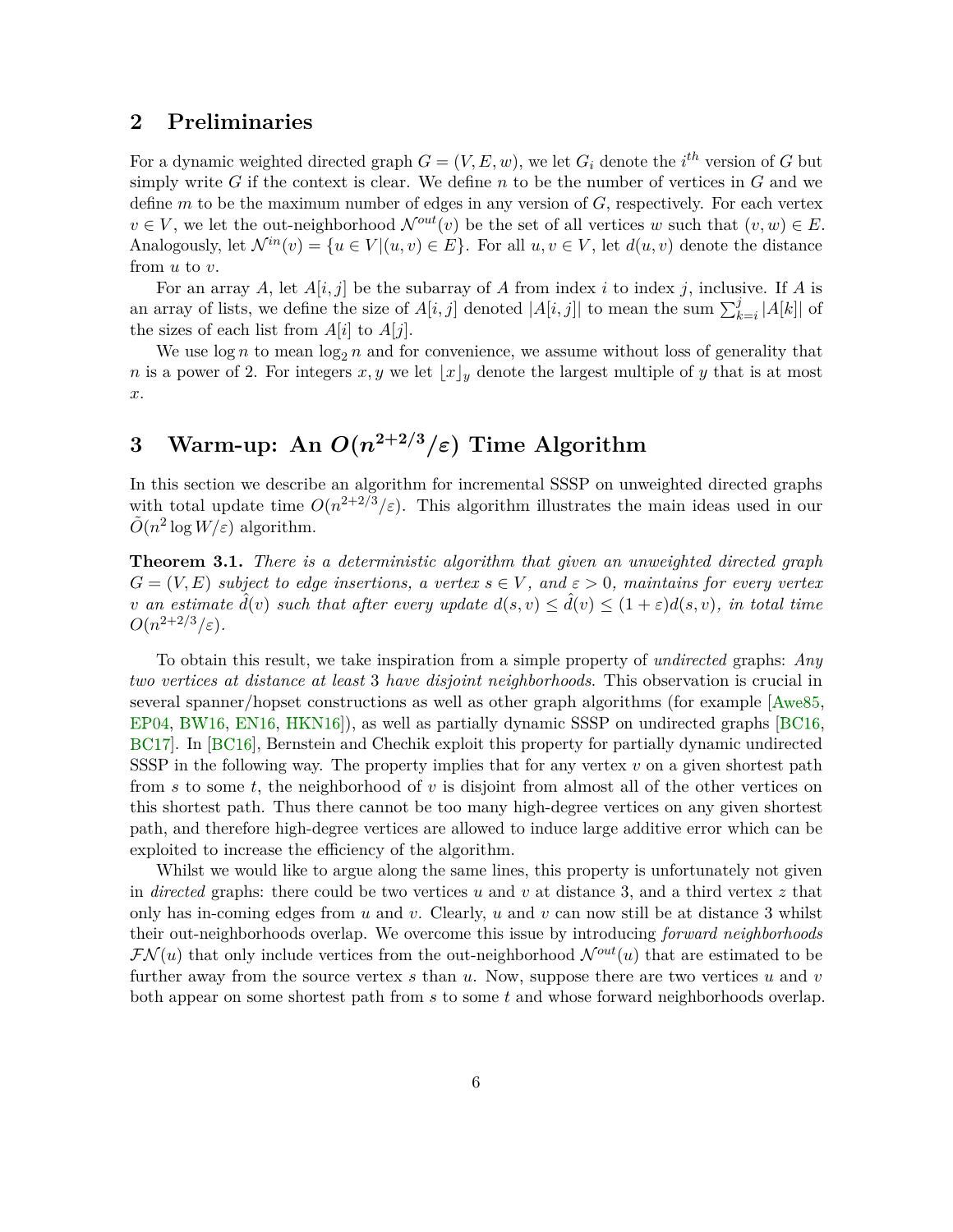# <span id="page-6-0"></span>**2 Preliminaries**

For a dynamic weighted directed graph  $G = (V, E, w)$ , we let  $G_i$  denote the *i*<sup>th</sup> version of *G* but simply write *G* if the context is clear. We define *n* to be the number of vertices in  $G$  and we define *m* to be the maximum number of edges in any version of *G*, respectively. For each vertex  $v \in V$ , we let the out-neighborhood  $\mathcal{N}^{out}(v)$  be the set of all vertices *w* such that  $(v, w) \in E$ . Analogously, let  $\mathcal{N}^{in}(v) = \{u \in V | (u, v) \in E\}$ . For all  $u, v \in V$ , let  $d(u, v)$  denote the distance from *u* to *v*.

For an array A, let  $A[i, j]$  be the subarray of A from index i to index j, inclusive. If A is an array of lists, we define the size of  $A[i, j]$  denoted  $|A[i, j]|$  to mean the sum  $\sum_{k=i}^{j} |A[k]|$  of the sizes of each list from  $A[i]$  to  $A[j]$ .

We use  $\log n$  to mean  $\log_2 n$  and for convenience, we assume without loss of generality that *n* is a power of 2. For integers  $x, y$  we let  $\lfloor x \rfloor_y$  denote the largest multiple of *y* that is at most *x*.

# **3** Warm-up: An  $O(n^{2+2/3}/\varepsilon)$  Time Algorithm

In this section we describe an algorithm for incremental SSSP on unweighted directed graphs with total update time  $O(n^{2+2/3}/\varepsilon)$ . This algorithm illustrates the main ideas used in our  $\tilde{O}(n^2 \log W/\varepsilon)$  algorithm.

**Theorem 3.1.** *There is a deterministic algorithm that given an unweighted directed graph*  $G = (V, E)$  *subject to edge insertions, a vertex*  $s \in V$ *, and*  $\varepsilon > 0$ *, maintains for every vertex v* an estimate  $\hat{d}(v)$  such that after every update  $d(s, v) \leq \hat{d}(v) \leq (1 + \varepsilon)d(s, v)$ , in total time  $O(n^{2+2/3}/\varepsilon).$ 

To obtain this result, we take inspiration from a simple property of *undirected* graphs: *Any two vertices at distance at least* 3 *have disjoint neighborhoods*. This observation is crucial in several spanner/hopset constructions as well as other graph algorithms (for example [\[Awe85,](#page-32-6) [EP04,](#page-35-3) [BW16,](#page-34-3) [EN16,](#page-35-4) [HKN16\]](#page-36-1)), as well as partially dynamic SSSP on undirected graphs [\[BC16,](#page-32-7) [BC17\]](#page-32-8). In [\[BC16\]](#page-32-7), Bernstein and Chechik exploit this property for partially dynamic undirected SSSP in the following way. The property implies that for any vertex *v* on a given shortest path from *s* to some *t*, the neighborhood of *v* is disjoint from almost all of the other vertices on this shortest path. Thus there cannot be too many high-degree vertices on any given shortest path, and therefore high-degree vertices are allowed to induce large additive error which can be exploited to increase the efficiency of the algorithm.

Whilst we would like to argue along the same lines, this property is unfortunately not given in *directed* graphs: there could be two vertices *u* and *v* at distance 3, and a third vertex *z* that only has in-coming edges from *u* and *v*. Clearly, *u* and *v* can now still be at distance 3 whilst their out-neighborhoods overlap. We overcome this issue by introducing *forward neighborhoods*  $\mathcal{FN}(u)$  that only include vertices from the out-neighborhood  $\mathcal{N}^{out}(u)$  that are estimated to be further away from the source vertex *s* than *u*. Now, suppose there are two vertices *u* and *v* both appear on some shortest path from *s* to some *t* and whose forward neighborhoods overlap.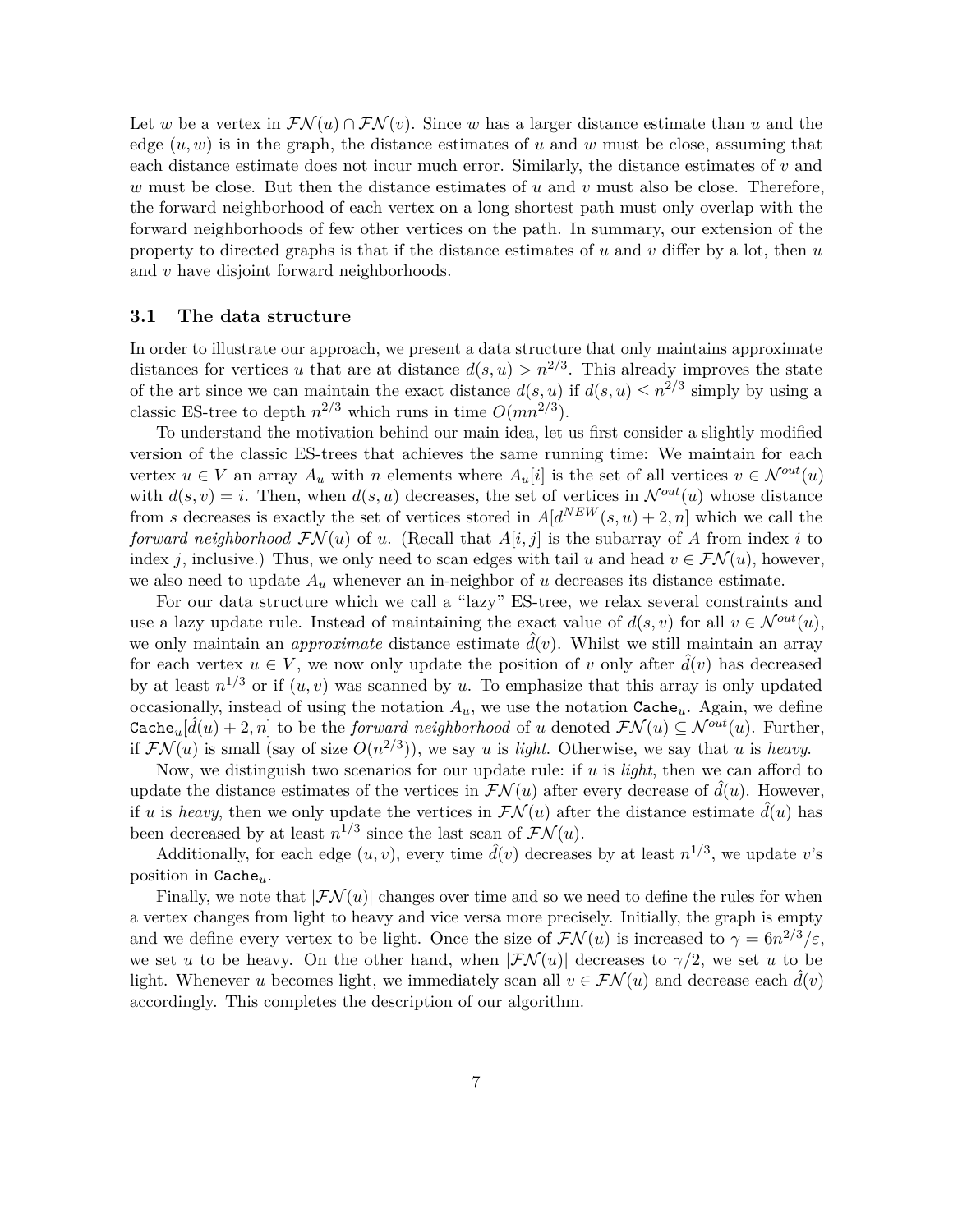Let *w* be a vertex in  $\mathcal{FN}(u) \cap \mathcal{FN}(v)$ . Since *w* has a larger distance estimate than *u* and the edge  $(u, w)$  is in the graph, the distance estimates of  $u$  and  $w$  must be close, assuming that each distance estimate does not incur much error. Similarly, the distance estimates of *v* and *w* must be close. But then the distance estimates of *u* and *v* must also be close. Therefore, the forward neighborhood of each vertex on a long shortest path must only overlap with the forward neighborhoods of few other vertices on the path. In summary, our extension of the property to directed graphs is that if the distance estimates of *u* and *v* differ by a lot, then *u* and *v* have disjoint forward neighborhoods.

### **3.1 The data structure**

In order to illustrate our approach, we present a data structure that only maintains approximate distances for vertices *u* that are at distance  $d(s, u) > n^{2/3}$ . This already improves the state of the art since we can maintain the exact distance  $d(s, u)$  if  $d(s, u) \leq n^{2/3}$  simply by using a classic ES-tree to depth  $n^{2/3}$  which runs in time  $O(mn^{2/3})$ .

To understand the motivation behind our main idea, let us first consider a slightly modified version of the classic ES-trees that achieves the same running time: We maintain for each vertex  $u \in V$  an array  $A_u$  with *n* elements where  $A_u[i]$  is the set of all vertices  $v \in \mathcal{N}^{out}(u)$ with  $d(s, v) = i$ . Then, when  $d(s, u)$  decreases, the set of vertices in  $\mathcal{N}^{out}(u)$  whose distance from *s* decreases is exactly the set of vertices stored in  $A[d^{NEW}(s, u) + 2, n]$  which we call the *forward neighborhood*  $\mathcal{FN}(u)$  of *u*. (Recall that  $A[i, j]$  is the subarray of A from index *i* to index *j*, inclusive.) Thus, we only need to scan edges with tail *u* and head  $v \in \mathcal{FN}(u)$ , however, we also need to update  $A_u$  whenever an in-neighbor of  $u$  decreases its distance estimate.

For our data structure which we call a "lazy" ES-tree, we relax several constraints and use a lazy update rule. Instead of maintaining the exact value of  $d(s, v)$  for all  $v \in \mathcal{N}^{out}(u)$ , we only maintain an *approximate* distance estimate  $\hat{d}(v)$ . Whilst we still maintain an array for each vertex  $u \in V$ , we now only update the position of *v* only after  $\hat{d}(v)$  has decreased by at least  $n^{1/3}$  or if  $(u, v)$  was scanned by *u*. To emphasize that this array is only updated occasionally, instead of using the notation  $A_u$ , we use the notation  $\text{Cache}_u$ . Again, we define Cache<sub>u</sub>[ $\hat{d}(u) + 2, n$ ] to be the *forward neighborhood* of *u* denoted  $\mathcal{FN}(u) \subseteq \mathcal{N}^{out}(u)$ . Further, if  $\mathcal{FN}(u)$  is small (say of size  $O(n^{2/3})$ ), we say *u* is *light*. Otherwise, we say that *u* is *heavy*.

Now, we distinguish two scenarios for our update rule: if *u* is *light*, then we can afford to update the distance estimates of the vertices in  $\mathcal{FN}(u)$  after every decrease of  $\hat{d}(u)$ . However, if *u* is *heavy*, then we only update the vertices in  $\mathcal{FN}(u)$  after the distance estimate  $\hat{d}(u)$  has been decreased by at least  $n^{1/3}$  since the last scan of  $\mathcal{FN}(u)$ .

Additionally, for each edge  $(u, v)$ , every time  $\hat{d}(v)$  decreases by at least  $n^{1/3}$ , we update *v*'s position in Cache*u*.

Finally, we note that  $|\mathcal{FN}(u)|$  changes over time and so we need to define the rules for when a vertex changes from light to heavy and vice versa more precisely. Initially, the graph is empty and we define every vertex to be light. Once the size of  $\mathcal{FN}(u)$  is increased to  $\gamma = 6n^{2/3}/\varepsilon$ , we set *u* to be heavy. On the other hand, when  $|\mathcal{FN}(u)|$  decreases to  $\gamma/2$ , we set *u* to be light. Whenever *u* becomes light, we immediately scan all  $v \in \mathcal{FN}(u)$  and decrease each  $\tilde{d}(v)$ accordingly. This completes the description of our algorithm.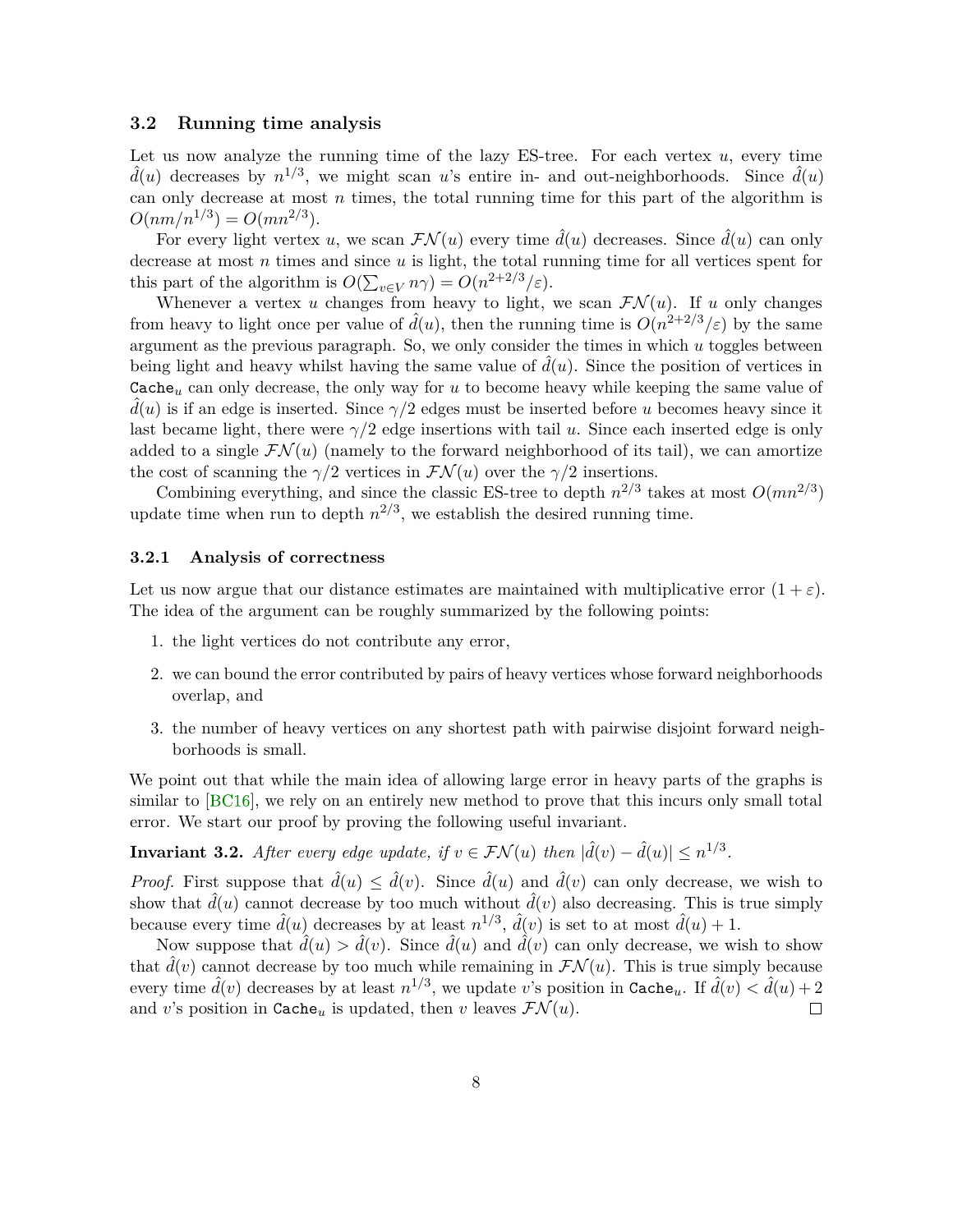## <span id="page-8-1"></span>**3.2 Running time analysis**

Let us now analyze the running time of the lazy ES-tree. For each vertex *u*, every time  $\hat{d}(u)$  decreases by  $n^{1/3}$ , we might scan *u*'s entire in- and out-neighborhoods. Since  $\hat{d}(u)$ can only decrease at most *n* times, the total running time for this part of the algorithm is  $O(nm/n^{1/3}) = O(mn^{2/3}).$ 

For every light vertex *u*, we scan  $\mathcal{FN}(u)$  every time  $\hat{d}(u)$  decreases. Since  $\hat{d}(u)$  can only decrease at most *n* times and since *u* is light, the total running time for all vertices spent for this part of the algorithm is  $O(\sum_{v \in V} n\gamma) = O(n^{2+2/3}/\varepsilon)$ .

Whenever a vertex *u* changes from heavy to light, we scan  $\mathcal{FN}(u)$ . If *u* only changes from heavy to light once per value of  $\hat{d}(u)$ , then the running time is  $O(n^{2+2/3}/\varepsilon)$  by the same argument as the previous paragraph. So, we only consider the times in which *u* toggles between being light and heavy whilst having the same value of  $d(u)$ . Since the position of vertices in Cache*<sup>u</sup>* can only decrease, the only way for *u* to become heavy while keeping the same value of  $d(u)$  is if an edge is inserted. Since  $\gamma/2$  edges must be inserted before u becomes heavy since it last became light, there were *γ/*2 edge insertions with tail *u*. Since each inserted edge is only added to a single  $\mathcal{FN}(u)$  (namely to the forward neighborhood of its tail), we can amortize the cost of scanning the  $\gamma/2$  vertices in  $\mathcal{FN}(u)$  over the  $\gamma/2$  insertions.

Combining everything, and since the classic ES-tree to depth  $n^{2/3}$  takes at most  $O(mn^{2/3})$ update time when run to depth  $n^{2/3}$ , we establish the desired running time.

#### **3.2.1 Analysis of correctness**

Let us now argue that our distance estimates are maintained with multiplicative error  $(1 + \varepsilon)$ . The idea of the argument can be roughly summarized by the following points:

- 1. the light vertices do not contribute any error,
- 2. we can bound the error contributed by pairs of heavy vertices whose forward neighborhoods overlap, and
- 3. the number of heavy vertices on any shortest path with pairwise disjoint forward neighborhoods is small.

We point out that while the main idea of allowing large error in heavy parts of the graphs is similar to [\[BC16\]](#page-32-7), we rely on an entirely new method to prove that this incurs only small total error. We start our proof by proving the following useful invariant.

<span id="page-8-0"></span>**Invariant 3.2.** *After every edge update, if*  $v \in \mathcal{FN}(u)$  *then*  $|\hat{d}(v) - \hat{d}(u)| \leq n^{1/3}$ *.* 

*Proof.* First suppose that  $\hat{d}(u) \leq \hat{d}(v)$ . Since  $\hat{d}(u)$  and  $\hat{d}(v)$  can only decrease, we wish to show that  $\hat{d}(u)$  cannot decrease by too much without  $\hat{d}(v)$  also decreasing. This is true simply because every time  $\hat{d}(u)$  decreases by at least  $n^{1/3}$ ,  $\hat{d}(v)$  is set to at most  $\hat{d}(u) + 1$ .

Now suppose that  $\hat{d}(u) > \hat{d}(v)$ . Since  $\hat{d}(u)$  and  $\hat{d}(v)$  can only decrease, we wish to show that  $\hat{d}(v)$  cannot decrease by too much while remaining in  $\mathcal{FN}(u)$ . This is true simply because every time  $\hat{d}(v)$  decreases by at least  $n^{1/3}$ , we update *v*'s position in Cache<sub>u</sub>. If  $\hat{d}(v) < \hat{d}(u) + 2$ and *v*'s position in Cache<sub>*u*</sub> is updated, then *v* leaves  $\mathcal{FN}(u)$ .  $\Box$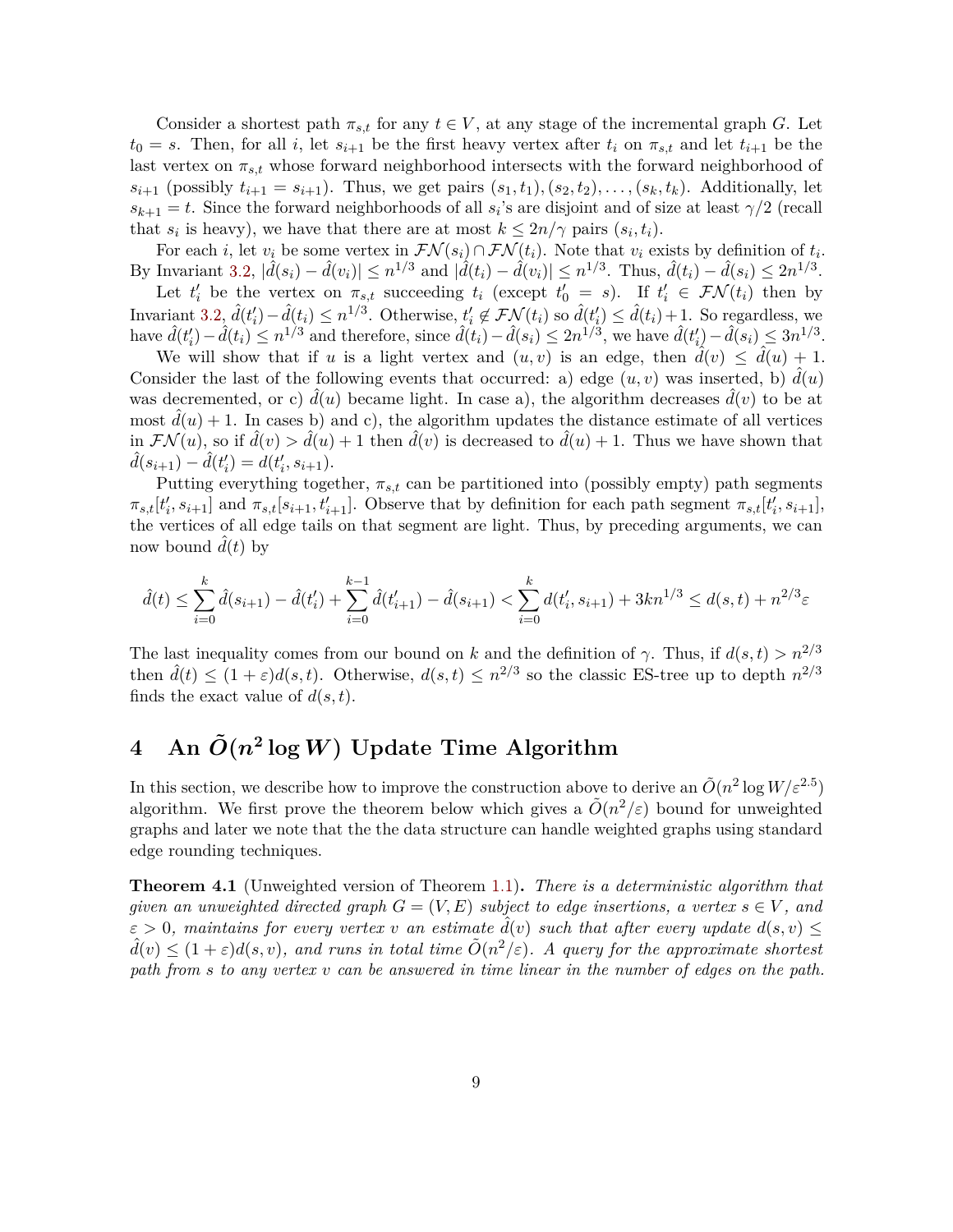Consider a shortest path  $\pi_{s,t}$  for any  $t \in V$ , at any stage of the incremental graph *G*. Let  $t_0 = s$ . Then, for all *i*, let  $s_{i+1}$  be the first heavy vertex after  $t_i$  on  $\pi_{s,t}$  and let  $t_{i+1}$  be the last vertex on *πs,t* whose forward neighborhood intersects with the forward neighborhood of *s*<sub>*i*+1</sub> (possibly  $t_{i+1} = s_{i+1}$ ). Thus, we get pairs  $(s_1, t_1), (s_2, t_2), \ldots, (s_k, t_k)$ . Additionally, let  $s_{k+1} = t$ . Since the forward neighborhoods of all  $s_i$ 's are disjoint and of size at least  $\gamma/2$  (recall that  $s_i$  is heavy), we have that there are at most  $k \leq 2n/\gamma$  pairs  $(s_i, t_i)$ .

For each *i*, let  $v_i$  be some vertex in  $\mathcal{FN}(s_i) \cap \mathcal{FN}(t_i)$ . Note that  $v_i$  exists by definition of  $t_i$ . By Invariant [3.2,](#page-8-0)  $|\hat{d}(s_i) - \hat{d}(v_i)| \leq n^{1/3}$  and  $|\hat{d}(t_i) - \hat{d}(v_i)| \leq n^{1/3}$ . Thus,  $\hat{d}(t_i) - \hat{d}(s_i) \leq 2n^{1/3}$ .

Let  $t'_i$  be the vertex on  $\pi_{s,t}$  succeeding  $t_i$  (except  $t'_0 = s$ ). If  $t'_i \in \mathcal{FN}(t_i)$  then by Invariant [3.2,](#page-8-0)  $\hat{d}(t_i') - \hat{d}(t_i) \leq n^{1/3}$ . Otherwise,  $t_i' \notin \mathcal{FN}(t_i)$  so  $\hat{d}(t_i') \leq \hat{d}(t_i) + 1$ . So regardless, we have  $\hat{d}(t'_i) - \hat{d}(t_i) \leq n^{1/3}$  and therefore, since  $\hat{d}(t_i) - \hat{d}(s_i) \leq 2n^{1/3}$ , we have  $\hat{d}(t'_i) - \hat{d}(s_i) \leq 3n^{1/3}$ .

We will show that if *u* is a light vertex and  $(u, v)$  is an edge, then  $\hat{d}(v) \leq \hat{d}(u) + 1$ . Consider the last of the following events that occurred: a) edge  $(u, v)$  was inserted, b)  $\tilde{d}(u)$ was decremented, or c)  $d(u)$  became light. In case a), the algorithm decreases  $d(v)$  to be at most  $d(u) + 1$ . In cases b) and c), the algorithm updates the distance estimate of all vertices in  $\mathcal{FN}(u)$ , so if  $\hat{d}(v) > \hat{d}(u) + 1$  then  $\hat{d}(v)$  is decreased to  $\hat{d}(u) + 1$ . Thus we have shown that  $\hat{d}(s_{i+1}) - \hat{d}(t'_i) = d(t'_i, s_{i+1}).$ 

Putting everything together,  $\pi_{s,t}$  can be partitioned into (possibly empty) path segments  $\pi_{s,t}[t'_i, s_{i+1}]$  and  $\pi_{s,t}[s_{i+1}, t'_{i+1}]$ . Observe that by definition for each path segment  $\pi_{s,t}[t'_i, s_{i+1}]$ , the vertices of all edge tails on that segment are light. Thus, by preceding arguments, we can now bound  $\hat{d}(t)$  by

$$
\hat{d}(t) \le \sum_{i=0}^k \hat{d}(s_{i+1}) - \hat{d}(t'_i) + \sum_{i=0}^{k-1} \hat{d}(t'_{i+1}) - \hat{d}(s_{i+1}) < \sum_{i=0}^k d(t'_i, s_{i+1}) + 3kn^{1/3} \le d(s, t) + n^{2/3}\varepsilon
$$

The last inequality comes from our bound on *k* and the definition of *γ*. Thus, if  $d(s, t) > n^{2/3}$ then  $\hat{d}(t) \leq (1+\varepsilon)d(s,t)$ . Otherwise,  $d(s,t) \leq n^{2/3}$  so the classic ES-tree up to depth  $n^{2/3}$ finds the exact value of *d*(*s, t*).

# $4$  An  $\tilde{O}(n^2 \log W)$  Update Time Algorithm

In this section, we describe how to improve the construction above to derive an  $\tilde{O}(n^2 \log W / \varepsilon^{2.5})$ algorithm. We first prove the theorem below which gives a  $\tilde{O}(n^2/\varepsilon)$  bound for unweighted graphs and later we note that the the data structure can handle weighted graphs using standard edge rounding techniques.

**Theorem 4.1** (Unweighted version of Theorem [1.1\)](#page-3-0)**.** *There is a deterministic algorithm that given an unweighted directed graph*  $G = (V, E)$  *subject to edge insertions, a vertex*  $s \in V$ *, and*  $\varepsilon > 0$ , maintains for every vertex *v* an estimate  $\hat{d}(v)$  such that after every update  $d(s, v) \leq$  $\hat{d}(v) \leq (1+\varepsilon)d(s,v)$ , and runs in total time  $\tilde{O}(n^2/\varepsilon)$ . A query for the approximate shortest *path from s to any vertex v can be answered in time linear in the number of edges on the path.*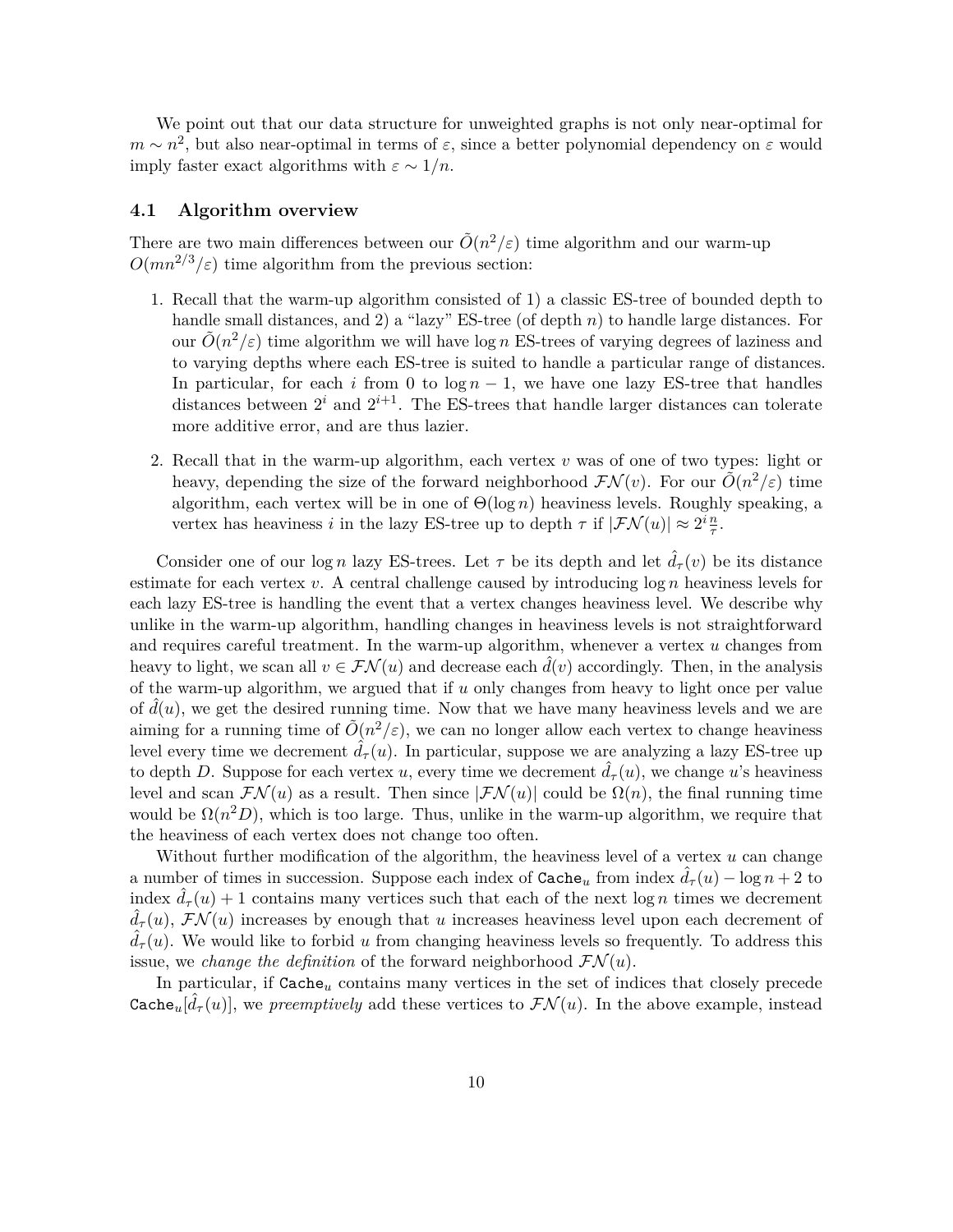We point out that our data structure for unweighted graphs is not only near-optimal for  $m \sim n^2$ , but also near-optimal in terms of  $\varepsilon$ , since a better polynomial dependency on  $\varepsilon$  would imply faster exact algorithms with  $\varepsilon \sim 1/n$ .

#### **4.1 Algorithm overview**

There are two main differences between our  $\tilde{O}(n^2/\varepsilon)$  time algorithm and our warm-up  $O(mn^{2/3}/\varepsilon)$  time algorithm from the previous section:

- 1. Recall that the warm-up algorithm consisted of 1) a classic ES-tree of bounded depth to handle small distances, and 2) a "lazy" ES-tree (of depth *n*) to handle large distances. For our  $\tilde{O}(n^2/\varepsilon)$  time algorithm we will have log *n* ES-trees of varying degrees of laziness and to varying depths where each ES-tree is suited to handle a particular range of distances. In particular, for each *i* from 0 to  $\log n - 1$ , we have one lazy ES-tree that handles distances between  $2^i$  and  $2^{i+1}$ . The ES-trees that handle larger distances can tolerate more additive error, and are thus lazier.
- 2. Recall that in the warm-up algorithm, each vertex *v* was of one of two types: light or heavy, depending the size of the forward neighborhood  $\mathcal{FN}(v)$ . For our  $\tilde{O}(n^2/\varepsilon)$  time algorithm, each vertex will be in one of Θ(log *n*) heaviness levels. Roughly speaking, a vertex has heaviness *i* in the lazy ES-tree up to depth  $\tau$  if  $|\mathcal{FN}(u)| \approx 2^i \frac{n}{\tau}$ .

Consider one of our log *n* lazy ES-trees. Let  $\tau$  be its depth and let  $\hat{d}_{\tau}(v)$  be its distance estimate for each vertex *v*. A central challenge caused by introducing log *n* heaviness levels for each lazy ES-tree is handling the event that a vertex changes heaviness level. We describe why unlike in the warm-up algorithm, handling changes in heaviness levels is not straightforward and requires careful treatment. In the warm-up algorithm, whenever a vertex *u* changes from heavy to light, we scan all  $v \in \mathcal{FN}(u)$  and decrease each  $\hat{d}(v)$  accordingly. Then, in the analysis of the warm-up algorithm, we argued that if *u* only changes from heavy to light once per value of  $d(u)$ , we get the desired running time. Now that we have many heaviness levels and we are aiming for a running time of  $\tilde{O}(n^2/\varepsilon)$ , we can no longer allow each vertex to change heaviness level every time we decrement  $\hat{d}_{\tau}(u)$ . In particular, suppose we are analyzing a lazy ES-tree up to depth *D*. Suppose for each vertex *u*, every time we decrement  $\hat{d}_{\tau}(u)$ , we change *u*'s heaviness level and scan  $\mathcal{FN}(u)$  as a result. Then since  $|\mathcal{FN}(u)|$  could be  $\Omega(n)$ , the final running time would be  $\Omega(n^2D)$ , which is too large. Thus, unlike in the warm-up algorithm, we require that the heaviness of each vertex does not change too often.

Without further modification of the algorithm, the heaviness level of a vertex *u* can change a number of times in succession. Suppose each index of  $\text{Cache}_u$  from index  $\tilde{d}_{\tau}(u) - \log n + 2$  to index  $\hat{d}_{\tau}(u) + 1$  contains many vertices such that each of the next log *n* times we decrement  $\hat{d}_{\tau}(u)$ ,  $\mathcal{FN}(u)$  increases by enough that *u* increases heaviness level upon each decrement of  $d_{\tau}(u)$ . We would like to forbid *u* from changing heaviness levels so frequently. To address this issue, we *change the definition* of the forward neighborhood  $\mathcal{FN}(u)$ .

In particular, if Cache*<sup>u</sup>* contains many vertices in the set of indices that closely precede Cache<sub>u</sub> $[\hat{d}_{\tau}(u)]$ , we *preemptively* add these vertices to  $\mathcal{FN}(u)$ . In the above example, instead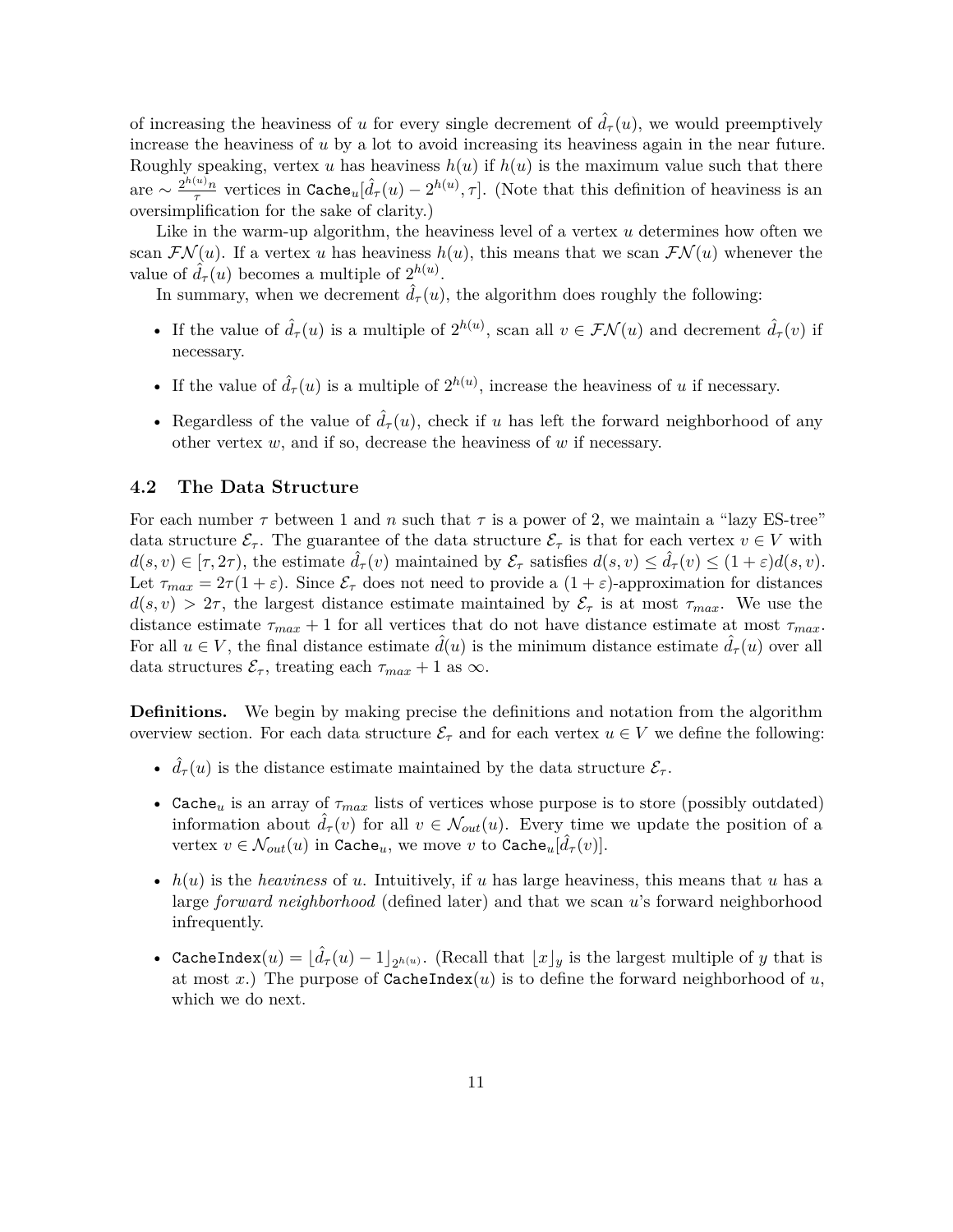of increasing the heaviness of *u* for every single decrement of  $\hat{d}_{\tau}(u)$ , we would preemptively increase the heaviness of *u* by a lot to avoid increasing its heaviness again in the near future. Roughly speaking, vertex *u* has heaviness  $h(u)$  if  $h(u)$  is the maximum value such that there are  $\sim \frac{2^{h(u)}n}{\tau}$ *τ* vertices in Cache*u*[ ˆ*d<sup>τ</sup>* (*u*) − 2 *h*(*u*) *, τ* ]. (Note that this definition of heaviness is an oversimplification for the sake of clarity.)

Like in the warm-up algorithm, the heaviness level of a vertex *u* determines how often we scan  $\mathcal{FN}(u)$ . If a vertex *u* has heaviness  $h(u)$ , this means that we scan  $\mathcal{FN}(u)$  whenever the value of  $\hat{d}_{\tau}(u)$  becomes a multiple of  $2^{h(u)}$ .

In summary, when we decrement  $\hat{d}_{\tau}(u)$ , the algorithm does roughly the following:

- If the value of  $\hat{d}_{\tau}(u)$  is a multiple of  $2^{h(u)}$ , scan all  $v \in \mathcal{FN}(u)$  and decrement  $\hat{d}_{\tau}(v)$  if necessary.
- If the value of  $\hat{d}_{\tau}(u)$  is a multiple of  $2^{h(u)}$ , increase the heaviness of *u* if necessary.
- Regardless of the value of  $\hat{d}_{\tau}(u)$ , check if *u* has left the forward neighborhood of any other vertex *w*, and if so, decrease the heaviness of *w* if necessary.

### **4.2 The Data Structure**

For each number  $\tau$  between 1 and *n* such that  $\tau$  is a power of 2, we maintain a "lazy ES-tree" data structure  $\mathcal{E}_{\tau}$ . The guarantee of the data structure  $\mathcal{E}_{\tau}$  is that for each vertex  $v \in V$  with  $d(s, v) \in [\tau, 2\tau)$ , the estimate  $\hat{d}_{\tau}(v)$  maintained by  $\mathcal{E}_{\tau}$  satisfies  $d(s, v) \leq \hat{d}_{\tau}(v) \leq (1 + \varepsilon)d(s, v)$ . Let  $\tau_{max} = 2\tau(1+\varepsilon)$ . Since  $\mathcal{E}_{\tau}$  does not need to provide a  $(1+\varepsilon)$ -approximation for distances  $d(s, v) > 2\tau$ , the largest distance estimate maintained by  $\mathcal{E}_{\tau}$  is at most  $\tau_{max}$ . We use the distance estimate  $\tau_{max} + 1$  for all vertices that do not have distance estimate at most  $\tau_{max}$ . For all  $u \in V$ , the final distance estimate  $d(u)$  is the minimum distance estimate  $d_{\tau}(u)$  over all data structures  $\mathcal{E}_{\tau}$ , treating each  $\tau_{max} + 1$  as  $\infty$ .

**Definitions.** We begin by making precise the definitions and notation from the algorithm overview section. For each data structure  $\mathcal{E}_{\tau}$  and for each vertex  $u \in V$  we define the following:

- $\hat{d}_{\tau}(u)$  is the distance estimate maintained by the data structure  $\mathcal{E}_{\tau}$ .
- Cache<sub>u</sub> is an array of  $\tau_{max}$  lists of vertices whose purpose is to store (possibly outdated) information about  $\hat{d}_{\tau}(v)$  for all  $v \in \mathcal{N}_{out}(u)$ . Every time we update the position of a vertex  $v \in \mathcal{N}_{out}(u)$  in  $\mathtt{Cache}_u$ , we move  $v$  to  $\mathtt{Cache}_u[\hat{d}_{\tau}(v)]$ .
- *h*(*u*) is the *heaviness* of *u*. Intuitively, if *u* has large heaviness, this means that *u* has a large *forward neighborhood* (defined later) and that we scan *u*'s forward neighborhood infrequently.
- CacheIndex $(u) = [\hat{d}_{\tau}(u) 1]_{2^{h(u)}}$ . (Recall that  $\lfloor x \rfloor_y$  is the largest multiple of *y* that is at most  $x$ .) The purpose of  $\texttt{CacheIndex}(u)$  is to define the forward neighborhood of  $u$ , which we do next.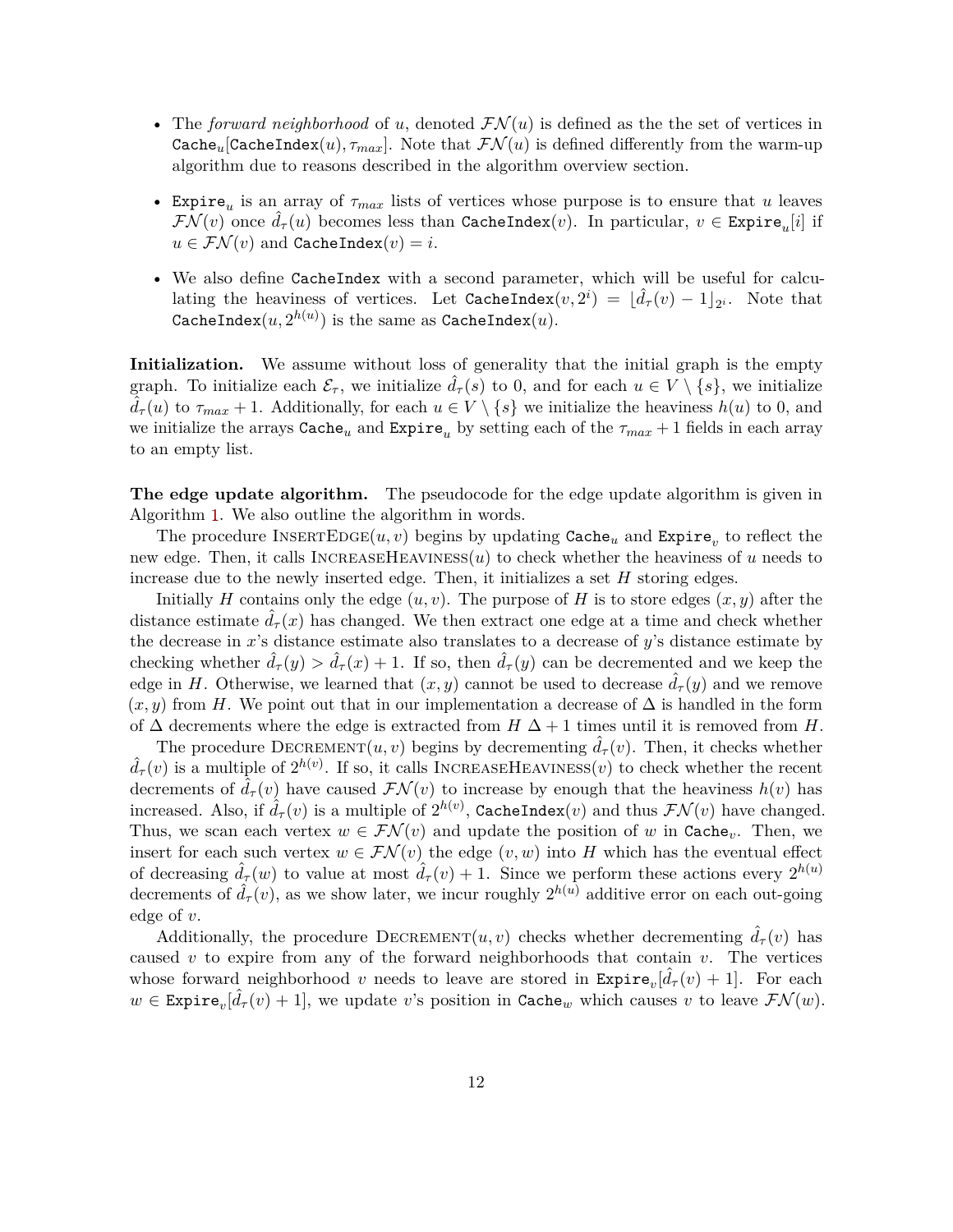- The *forward neighborhood* of *u*, denoted  $\mathcal{FN}(u)$  is defined as the the set of vertices in Cache<sub>u</sub>[CacheIndex(*u*)*,*  $\tau_{max}$ ]. Note that  $\mathcal{FN}(u)$  is defined differently from the warm-up algorithm due to reasons described in the algorithm overview section.
- Expire*<sup>u</sup>* is an array of *τmax* lists of vertices whose purpose is to ensure that *u* leaves  $\mathcal{FN}(v)$  once  $\hat{d}_{\tau}(u)$  becomes less than  $\texttt{CacheIndex}(v)$ . In particular,  $v \in \texttt{Expire}_u[i]$  if  $u \in \mathcal{FN}(v)$  and CacheIndex $(v) = i$ .
- We also define CacheIndex with a second parameter, which will be useful for calculating the heaviness of vertices. Let  $\text{CacheIndex}(v, 2^i) = [\hat{d}_{\tau}(v) - 1]_{2^i}$ . Note that  $\mathtt{CacheIndex}(u, 2^{h(u)})$  is the same as  $\mathtt{CacheIndex}(u).$

**Initialization.** We assume without loss of generality that the initial graph is the empty graph. To initialize each  $\mathcal{E}_{\tau}$ , we initialize  $d_{\tau}(s)$  to 0, and for each  $u \in V \setminus \{s\}$ , we initialize  $d_{\tau}(u)$  to  $\tau_{max} + 1$ . Additionally, for each  $u \in V \setminus \{s\}$  we initialize the heaviness  $h(u)$  to 0, and we initialize the arrays  $\text{Cache}_u$  and  $\text{Expire}_u$  by setting each of the  $\tau_{max} + 1$  fields in each array to an empty list.

**The edge update algorithm.** The pseudocode for the edge update algorithm is given in Algorithm [1.](#page-13-0) We also outline the algorithm in words.

The procedure  $\text{INSENTEDGE}(u, v)$  begins by updating  $\texttt{Cache}_u$  and  $\texttt{Expire}_v$  to reflect the new edge. Then, it calls INCREASEHEAVINESS $(u)$  to check whether the heaviness of  $u$  needs to increase due to the newly inserted edge. Then, it initializes a set *H* storing edges.

Initially *H* contains only the edge  $(u, v)$ . The purpose of *H* is to store edges  $(x, y)$  after the distance estimate  $d_{\tau}(x)$  has changed. We then extract one edge at a time and check whether the decrease in *x*'s distance estimate also translates to a decrease of *y*'s distance estimate by checking whether  $\hat{d}_{\tau}(y) > \hat{d}_{\tau}(x) + 1$ . If so, then  $\hat{d}_{\tau}(y)$  can be decremented and we keep the edge in *H*. Otherwise, we learned that  $(x, y)$  cannot be used to decrease  $\hat{d}_{\tau}(y)$  and we remove  $(x, y)$  from *H*. We point out that in our implementation a decrease of  $\Delta$  is handled in the form of  $\Delta$  decrements where the edge is extracted from  $H \Delta + 1$  times until it is removed from *H*.

The procedure DECREMENT $(u, v)$  begins by decrementing  $\hat{d}_{\tau}(v)$ . Then, it checks whether  $\hat{d}_{\tau}(v)$  is a multiple of  $2^{h(v)}$ . If so, it calls INCREASEHEAVINESS(*v*) to check whether the recent decrements of  $\hat{d}_{\tau}(v)$  have caused  $\mathcal{FN}(v)$  to increase by enough that the heaviness  $h(v)$  has increased. Also, if  $\hat{d}_{\tau}(v)$  is a multiple of  $2^{h(v)}$ , CacheIndex(*v*) and thus  $\mathcal{FN}(v)$  have changed. Thus, we scan each vertex  $w \in \mathcal{FN}(v)$  and update the position of w in Cache<sub>v</sub>. Then, we insert for each such vertex  $w \in \mathcal{FN}(v)$  the edge  $(v, w)$  into H which has the eventual effect of decreasing  $\hat{d}_{\tau}(w)$  to value at most  $\hat{d}_{\tau}(v) + 1$ . Since we perform these actions every  $2^{h(u)}$ decrements of  $\hat{d}_{\tau}(v)$ , as we show later, we incur roughly  $2^{h(u)}$  additive error on each out-going edge of *v*.

Additionally, the procedure  $DECREMENT(u, v)$  checks whether decrementing  $d_{\tau}(v)$  has caused *v* to expire from any of the forward neighborhoods that contain *v*. The vertices whose forward neighborhood *v* needs to leave are stored in  $\text{Expire}_v[\hat{d}_{\tau}(v) + 1]$ . For each  $w \in \text{Expire}_v[\hat{d}_{\tau}(v) + 1],$  we update *v*'s position in Cache<sub>*w*</sub> which causes *v* to leave  $\mathcal{FN}(w)$ .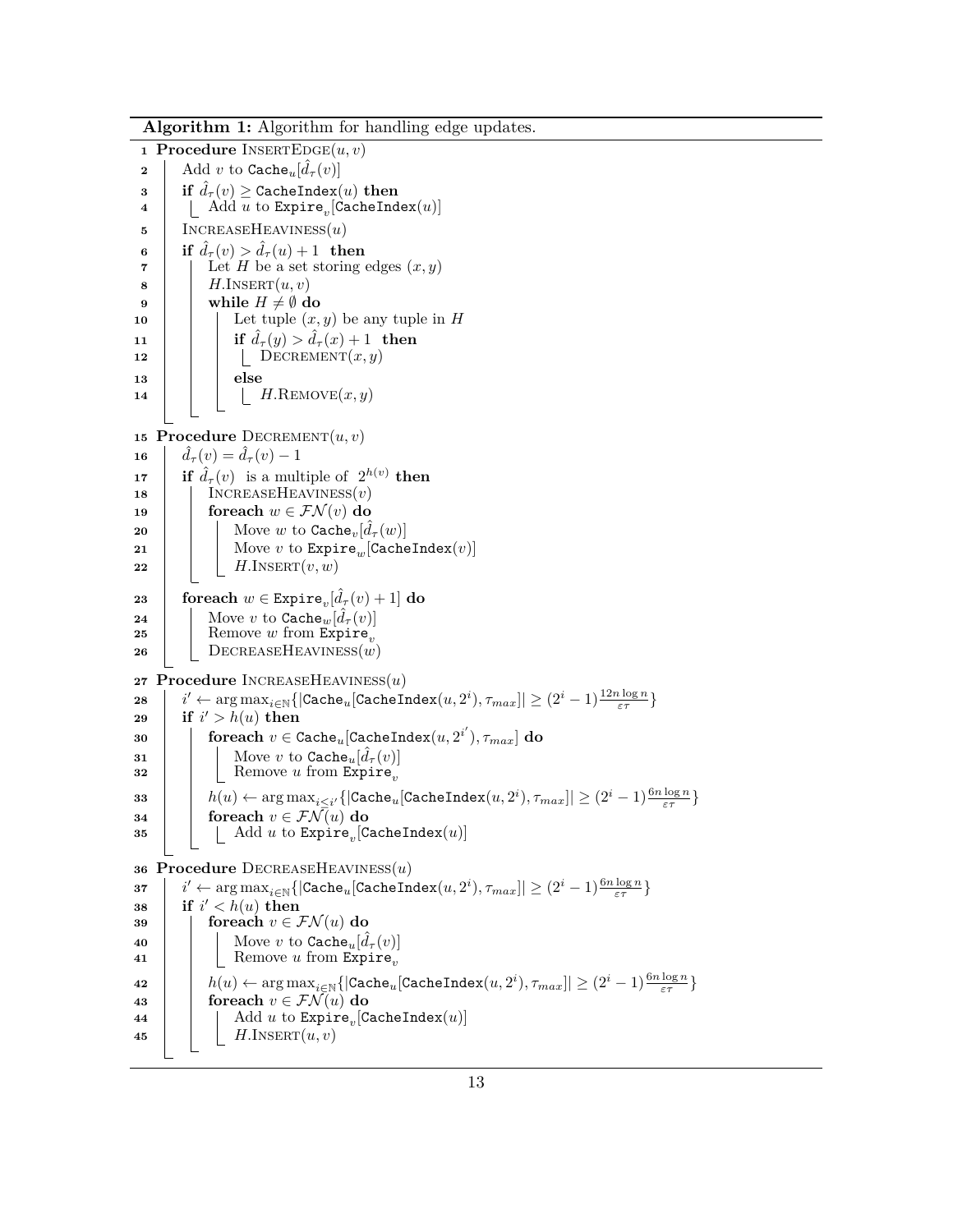<span id="page-13-21"></span><span id="page-13-20"></span><span id="page-13-19"></span><span id="page-13-18"></span><span id="page-13-17"></span><span id="page-13-16"></span><span id="page-13-15"></span><span id="page-13-14"></span><span id="page-13-13"></span><span id="page-13-12"></span><span id="page-13-11"></span><span id="page-13-10"></span><span id="page-13-9"></span><span id="page-13-8"></span><span id="page-13-7"></span><span id="page-13-6"></span><span id="page-13-5"></span><span id="page-13-4"></span><span id="page-13-3"></span><span id="page-13-2"></span><span id="page-13-1"></span><span id="page-13-0"></span>**Algorithm 1:** Algorithm for handling edge updates. **Procedure**  $INSERTEDGE(u, v)$   $\left[ \begin{array}{c} \text{Add } v \text{ to } \texttt{Cache}_u[\hat{d}_{\tau}(v)] \end{array} \right]$  **if**  $\hat{d}_{\tau}(v) \geq$  CacheIndex(*u*) **then**  $\begin{bmatrix} 4 & | & \end{bmatrix}$   $\begin{bmatrix} \text{Add } u \text{ to Expire}_v[\text{CacheIndex}(u)] \end{bmatrix}$  IncreaseHeaviness(*u*) **if**  $\hat{d}_{\tau}(v) > \hat{d}_{\tau}(u) + 1$  **then**  | Let *H* be a set storing edges  $(x, y)$  *H.INSERT* $(u, v)$   $\vert \quad \vert$  while  $H \neq \emptyset$  do  $\vert$   $\vert$  Let tuple  $(x, y)$  be any tuple in *H* **if**  $\hat{d}_{\tau}(y) > \hat{d}_{\tau}(x) + 1$  then 12 | | | DECREMENT $(x, y)$ **<sup>13</sup> else** 14 | | | *H.REMOVE* $(x, y)$  **Procedure**  $DECREMENT(u, v)$   $\hat{d}_{\tau}(v) = \hat{d}_{\tau}(v) - 1$  **if**  $\hat{d}_{\tau}(v)$  is a multiple of  $2^{h(v)}$  **then**  IncreaseHeaviness(*v*) **foreach**  $w \in \mathcal{FN}(v)$  **do**  $\begin{bmatrix} \cos \theta \end{bmatrix}$   $\begin{bmatrix} \sin \theta \end{bmatrix}$  Move *w* to  $\mathtt{Cache}_v[\hat{d}_{\tau}(w)]$   $\vert$  Move *v* to Expire<sub>*w*</sub>[CacheIndex(*v*)] **H.INSERT** $(v, w)$  $\textbf{23} \quad \textbf{for each} \,\, w \in \texttt{Explore}_v[\hat{d}_{\tau}(v)+1] \,\, \textbf{do}$   $\left| \quad \right|$  Move *v* to Cache<sub>*w*</sub>[ $\hat{d}_{\tau}(v)$ ] Remove *w* from Expire<sub>*v*</sub> DECREASEHEAVINESS $(w)$  **Procedure** IncreaseHeaviness(*u*)  $28 \mid i' \leftarrow \argmax_{i \in \mathbb{N}}\{| \texttt{Cache}_u[\texttt{CacheIndex}(u,2^i), \tau_{max}]| \geq (2^i-1)\frac{12n\log n}{\varepsilon\tau} \}$  $\textbf{29}$  **if**  $i' > h(u)$  **then**  $\textbf{30} \quad | \quad | \quad \textbf{for each} \; v \in \texttt{Cache}_u[\texttt{CacheIndex}(u,2^{i'}), \tau_{max}] \; \textbf{do}$   $\left| \begin{array}{c} \end{array} \right|$  Move *v* to Cache<sub>*u*</sub>[ $\hat{d}_{\tau}(v)$ ]  $\vert$   $\vert$  Remove *u* from Expire<sub>*v*</sub> *h*(*u*) ← arg max*i*≤*<sup>i</sup>* <sup>0</sup>{|Cache*u*[CacheIndex(*u,* 2 *i* )*, τmax*]| ≥ (2*<sup>i</sup>* − 1) <sup>6</sup>*<sup>n</sup>* log *<sup>n</sup> ετ* } **for each**  $v \in \mathcal{FN}(u)$  **do**  $\begin{array}{|c|c|} \hline \texttt{35} & & \end{array} \begin{array}{|c|c|} \hline \texttt{Add }u\text{ to Expire}_v[\texttt{CacheIndex}(u)] \hline \end{array}$  **Procedure** DecreaseHeaviness(*u*)  $37 \mid i' \leftarrow \argmax_{i \in \mathbb{N}}\{| \texttt{Cache}_u[\texttt{CacheIndex}(u,2^i), \tau_{max}]| \geq (2^i-1) \frac{6 n \log n}{\varepsilon\tau} \}$  $\textbf{38}$  **if**  $i' < h(u) \textbf{ then}$  **foreach**  $v \in \mathcal{FN}(u)$  **do**  $\begin{array}{|c|c|c|}\n\hline\n\text{40} & \text{if } \text{Move } v \text{ to } \texttt{Cache}_u[\hat{d}_{\tau}(v)]\n\hline\n\end{array}$   $\vert$  Remove *u* from Expire<sub>*v*</sub>  $h(u) \leftarrow \argmax_{i \in \mathbb{N}} \{| \texttt{Cache}_u[\texttt{CacheIndex}(u,2^i), \tau_{max}]| \geq (2^i-1) \frac{6 n \log n}{\varepsilon \tau} \}$  **foreach**  $v \in \mathcal{FN}(u)$  **do**  $\begin{array}{|c|c|} \hline \textbf{44} & & \end{array} \begin{array}{|c|c|} \hline \textbf{44} & \textbf{45} & \textbf{0.04} \end{array} \begin{array}{|c|c|} \hline \textbf{45} & \textbf{0.04} & \textbf{0.04} \end{array} \begin{array}{|c|c|c|} \hline \textbf{46} & \textbf{0.04} & \textbf{0.04} & \textbf{0.04} \end{array}$ 45 |  $H.\text{INSERT}(u, v)$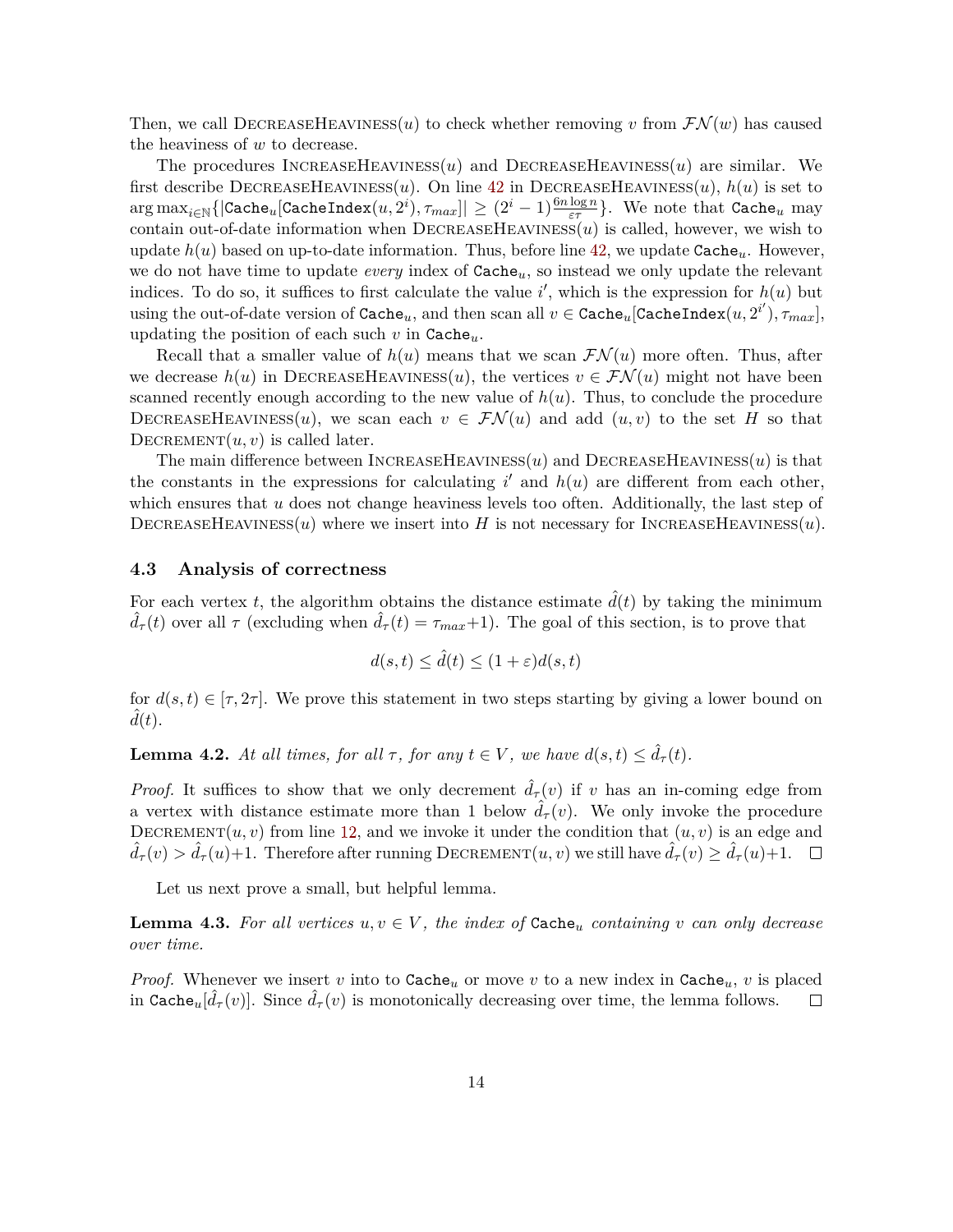Then, we call DECREASEHEAVINESS(*u*) to check whether removing *v* from  $\mathcal{FN}(w)$  has caused the heaviness of *w* to decrease.

The procedures IncreaseHeaviness(*u*) and DecreaseHeaviness(*u*) are similar. We first describe DECREASEHEAVINESS $(u)$ . On line [42](#page-13-1) in DECREASEHEAVINESS $(u)$ ,  $h(u)$  is set to  $\max_{i\in\mathbb{N}}\{|{\tt Cache}_u[{\tt CacheIndex}(u,2^i), \tau_{max}]|\geq (2^i-1)\frac{6n\log n}{\varepsilon\tau}\}.$  We note that  ${\tt Cache}_u$  may contain out-of-date information when  $DECREASEHEAVINES(u)$  is called, however, we wish to update  $h(u)$  based on up-to-date information. Thus, before line [42,](#page-13-1) we update  $\texttt{Cache}_u$ . However, we do not have time to update *every* index of Cache*u*, so instead we only update the relevant indices. To do so, it suffices to first calculate the value  $i'$ , which is the expression for  $h(u)$  but using the out-of-date version of  $\mathtt{Cache}_u$ , and then scan all  $v\in \mathtt{Cache}_u[\mathtt{CacheIndex}(u,2^{i'}), \tau_{max}],$ updating the position of each such *v* in Cache*u*.

Recall that a smaller value of  $h(u)$  means that we scan  $\mathcal{FN}(u)$  more often. Thus, after we decrease  $h(u)$  in DECREASEHEAVINESS(*u*), the vertices  $v \in \mathcal{FN}(u)$  might not have been scanned recently enough according to the new value of  $h(u)$ . Thus, to conclude the procedure DECREASEHEAVINESS(*u*), we scan each  $v \in \mathcal{FN}(u)$  and add  $(u, v)$  to the set *H* so that DECREMENT $(u, v)$  is called later.

The main difference between  $\text{INCREASEHEAVINES}(u)$  and  $\text{DECREASEHEAVINES}(u)$  is that the constants in the expressions for calculating  $i'$  and  $h(u)$  are different from each other, which ensures that *u* does not change heaviness levels too often. Additionally, the last step of DECREASEHEAVINESS $(u)$  where we insert into H is not necessary for INCREASEHEAVINESS $(u)$ .

### **4.3 Analysis of correctness**

For each vertex *t*, the algorithm obtains the distance estimate  $\hat{d}(t)$  by taking the minimum  $\hat{d}_{\tau}(t)$  over all  $\tau$  (excluding when  $\hat{d}_{\tau}(t) = \tau_{max}+1$ ). The goal of this section, is to prove that

$$
d(s,t) \le \hat{d}(t) \le (1+\varepsilon)d(s,t)
$$

for  $d(s, t) \in [\tau, 2\tau]$ . We prove this statement in two steps starting by giving a lower bound on  $\ddot{d}(t)$ .

**Lemma 4.2.** At all times, for all  $\tau$ , for any  $t \in V$ , we have  $d(s,t) \leq \hat{d}_{\tau}(t)$ .

*Proof.* It suffices to show that we only decrement  $\hat{d}_{\tau}(v)$  if *v* has an in-coming edge from a vertex with distance estimate more than 1 below  $\overline{d}_{\tau}(v)$ . We only invoke the procedure DECREMENT $(u, v)$  from line [12,](#page-13-2) and we invoke it under the condition that  $(u, v)$  is an edge and  $d_{\tau}(v) > d_{\tau}(u) + 1$ . Therefore after running DECREMENT $(u, v)$  we still have  $\hat{d}_{\tau}(v) \geq \hat{d}_{\tau}(u) + 1$ .  $\Box$ 

Let us next prove a small, but helpful lemma.

<span id="page-14-0"></span>**Lemma 4.3.** For all vertices  $u, v \in V$ , the index of  $\text{Cache}_u$  containing v can only decrease *over time.*

*Proof.* Whenever we insert *v* into to Cache<sub>*u*</sub> or move *v* to a new index in Cache<sub>*u*</sub>, *v* is placed in Cache<sub>*u*</sub>[ $\hat{d}_{\tau}(v)$ ]. Since  $\hat{d}_{\tau}(v)$  is monotonically decreasing over time, the lemma follows.  $\Box$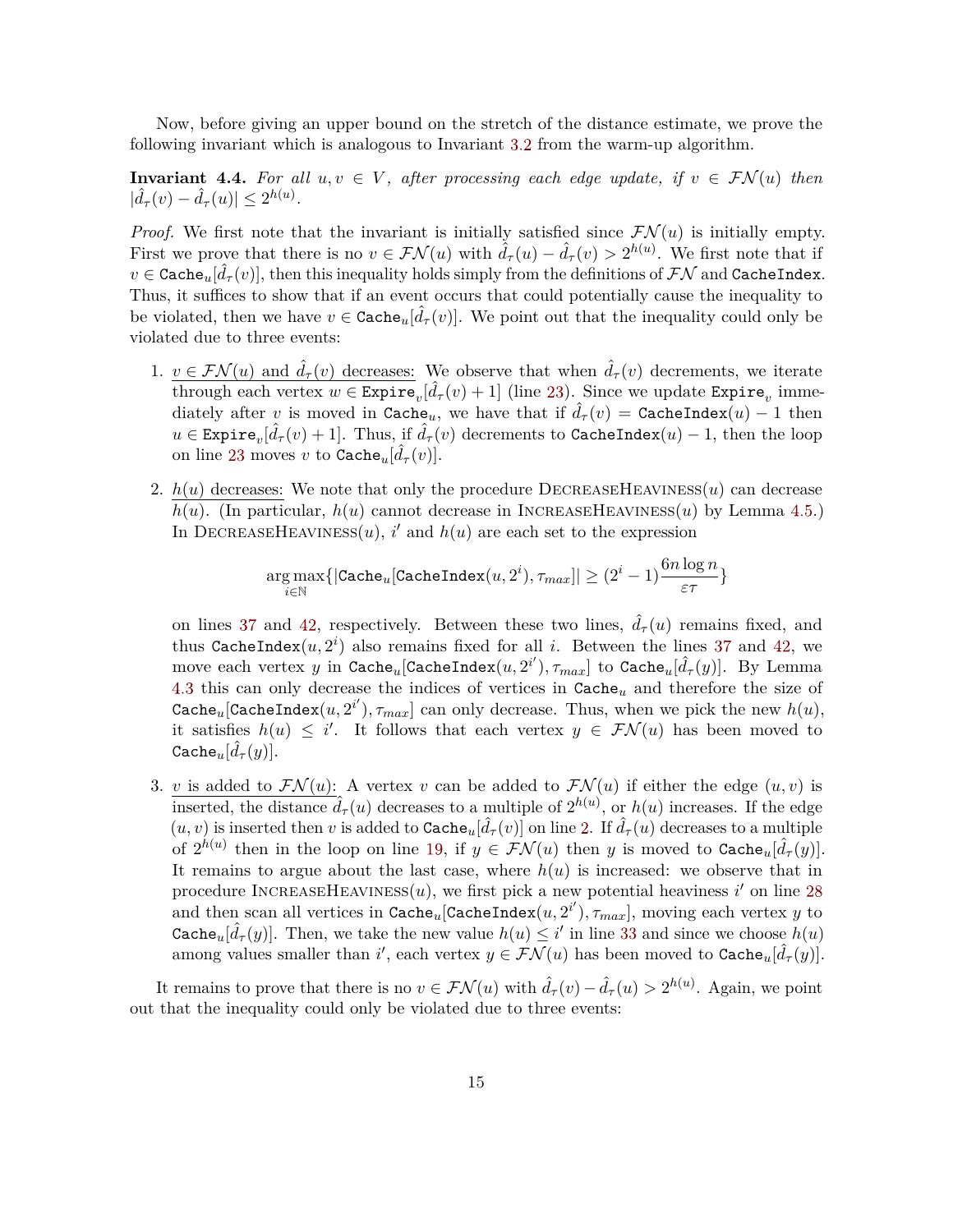Now, before giving an upper bound on the stretch of the distance estimate, we prove the following invariant which is analogous to Invariant [3.2](#page-8-0) from the warm-up algorithm.

<span id="page-15-0"></span>**Invariant 4.4.** For all  $u, v \in V$ , after processing each edge update, if  $v \in \mathcal{FN}(u)$  then  $|\hat{d}_{\tau}(v) - \hat{d}_{\tau}(u)| \leq 2^{h(u)}$ .

*Proof.* We first note that the invariant is initially satisfied since  $\mathcal{FN}(u)$  is initially empty. First we prove that there is no  $v \in \mathcal{FN}(u)$  with  $\hat{d}_{\tau}(u) - \hat{d}_{\tau}(v) > 2^{h(u)}$ . We first note that if  $v\in \texttt{Cache}_u[\hat{d}_{\tau}(v)],$  then this inequality holds simply from the definitions of  $\mathcal{FN}$  and <code>CacheIndex.</code> Thus, it suffices to show that if an event occurs that could potentially cause the inequality to be violated, then we have  $v \in \texttt{Cache}_u[\hat{d}_{\tau}(v)]$ . We point out that the inequality could only be violated due to three events:

- 1.  $v \in \mathcal{FN}(u)$  and  $\hat{d}_{\tau}(v)$  decreases: We observe that when  $\hat{d}_{\tau}(v)$  decrements, we iterate through each vertex  $w \in \text{Expire}_v[\hat{d}_\tau(v) + 1]$  (line [23\)](#page-13-3). Since we update  $\text{Expire}_v$  immediately after *v* is moved in Cache<sub>*u*</sub>, we have that if  $\hat{d}_{\tau}(v) =$  CacheIndex $(u) - 1$  then  $u \in \texttt{Expire}_v[\hat{d}_{\tau}(v) + 1]$ . Thus, if  $\hat{d}_{\tau}(v)$  decrements to CacheIndex $(u) - 1$ , then the loop on line [23](#page-13-3) moves *v* to Cache<sub>*u*</sub>[ $\hat{d}_{\tau}(v)$ ].
- 2.  $h(u)$  decreases: We note that only the procedure DECREASEHEAVINESS $(u)$  can decrease  $h(u)$ . (In particular,  $h(u)$  cannot decrease in INCREASEHEAVINESS(*u*) by Lemma [4.5.](#page-16-0)) In DECREASEHEAVINESS $(u)$ , *i*' and  $h(u)$  are each set to the expression

$$
\argmax_{i \in \mathbb{N}}\{| \texttt{Cache}_u[\texttt{CacheIndex}(u,2^i), \tau_{max}]| \geq (2^i-1) \frac{6 n \log n }{\varepsilon\tau}\}
$$

on lines [37](#page-13-4) and [42,](#page-13-1) respectively. Between these two lines,  $\hat{d}_{\tau}(u)$  remains fixed, and thus CacheIndex $(u, 2^i)$  also remains fixed for all *i*. Between the lines [37](#page-13-4) and [42,](#page-13-1) we  $\text{move each vertex } y \text{ in } \texttt{Cache}_u[\texttt{CacheIndex}(u, 2^{i'}), \tau_{max}] \text{ to } \texttt{Cache}_u[\hat{d}_{\tau}(y)]. \text{ By Lemma}$ [4.3](#page-14-0) this can only decrease the indices of vertices in Cache*<sup>u</sup>* and therefore the size of Cache<sub>u</sub>[CacheIndex $(u, 2^{i'})$ ,  $\tau_{max}$ ] can only decrease. Thus, when we pick the new  $h(u)$ , it satisfies  $h(u) \leq i'$ . It follows that each vertex  $y \in \mathcal{FN}(u)$  has been moved to  $\texttt{Cache}_u[\hat{d}_{\tau}(y)].$ 

3. *v* is added to  $\mathcal{FN}(u)$ : A vertex *v* can be added to  $\mathcal{FN}(u)$  if either the edge  $(u, v)$  is inserted, the distance  $\hat{d}_{\tau}(u)$  decreases to a multiple of  $2^{h(u)}$ , or  $h(u)$  increases. If the edge  $(u, v)$  is inserted then *v* is added to Cache<sub>*u*</sub>[ $\hat{d}_{\tau}(v)$ ] on line [2.](#page-13-5) If  $\hat{d}_{\tau}(u)$  decreases to a multiple of  $2^{h(u)}$  then in the loop on line [19,](#page-13-6) if  $y \in \mathcal{FN}(u)$  then *y* is moved to  $\text{Cache}_u[\hat{d}_{\tau}(y)]$ . It remains to argue about the last case, where  $h(u)$  is increased: we observe that in procedure INCREASEHEAVINESS $(u)$ , we first pick a new potential heaviness *i*' on line [28](#page-13-7) and then scan all vertices in  $\texttt{Cache}_u[\texttt{CacheIndex}(u, 2^{i'}), \tau_{max}],$  moving each vertex  $y$  to Cache<sub>*u*</sub>[ $\hat{d}_{\tau}(y)$ ]. Then, we take the new value  $h(u) \leq i'$  in line [33](#page-13-8) and since we choose  $h(u)$ among values smaller than *i*', each vertex  $y \in \mathcal{FN}(u)$  has been moved to  $\text{Cache}_u[\hat{d}_{\tau}(y)]$ .

It remains to prove that there is no  $v \in \mathcal{FN}(u)$  with  $\hat{d}_{\tau}(v) - \hat{d}_{\tau}(u) > 2^{h(u)}$ . Again, we point out that the inequality could only be violated due to three events: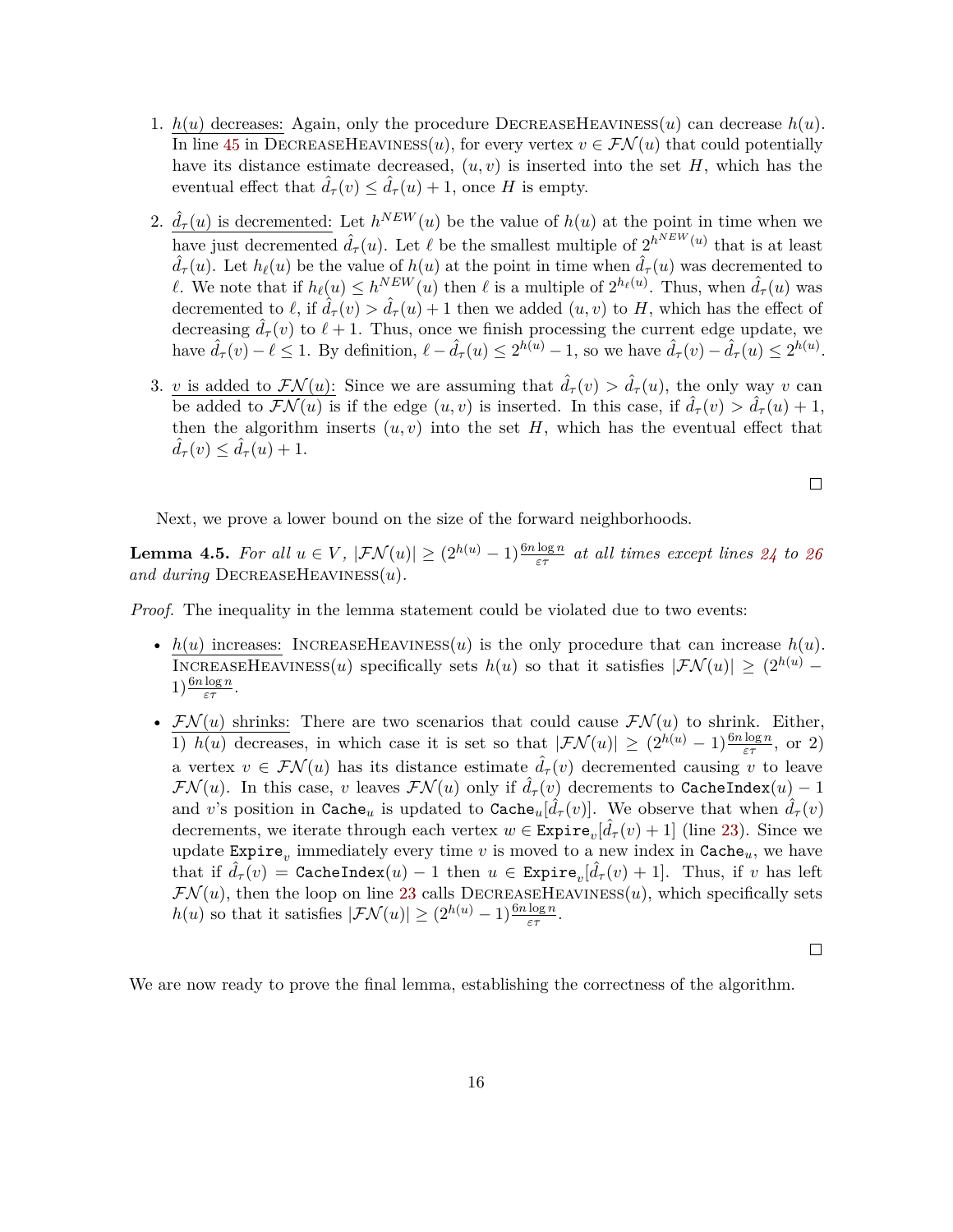- 1.  $h(u)$  decreases: Again, only the procedure DECREASEHEAVINESS $(u)$  can decrease  $h(u)$ . In line [45](#page-13-9) in DECREASEHEAVINESS(*u*), for every vertex  $v \in \mathcal{FN}(u)$  that could potentially have its distance estimate decreased,  $(u, v)$  is inserted into the set  $H$ , which has the eventual effect that  $\hat{d}_{\tau}(v) \leq \hat{d}_{\tau}(u) + 1$ , once *H* is empty.
- 2.  $\hat{d}_{\tau}(u)$  is decremented: Let  $h^{NEW}(u)$  be the value of  $h(u)$  at the point in time when we have just decremented  $\hat{d}_{\tau}(u)$ . Let  $\ell$  be the smallest multiple of  $2^{h^{NEW}(u)}$  that is at least  $\hat{d}_{\tau}(u)$ . Let  $h_{\ell}(u)$  be the value of  $h(u)$  at the point in time when  $\hat{d}_{\tau}(u)$  was decremented to *l*. We note that if  $h_{\ell}(u) \leq h^{NEW}(u)$  then  $\ell$  is a multiple of  $2^{h_{\ell}(u)}$ . Thus, when  $\hat{d}_{\tau}(u)$  was decremented to  $\ell$ , if  $\hat{d}_{\tau}(v) > \hat{d}_{\tau}(u) + 1$  then we added  $(u, v)$  to *H*, which has the effect of decreasing  $\hat{d}_{\tau}(v)$  to  $\ell + 1$ . Thus, once we finish processing the current edge update, we have  $\hat{d}_{\tau}(v) - \ell \leq 1$ . By definition,  $\ell - \hat{d}_{\tau}(u) \leq 2^{h(u)} - 1$ , so we have  $\hat{d}_{\tau}(v) - \hat{d}_{\tau}(u) \leq 2^{h(u)}$ .
- 3. *v* is added to  $\mathcal{FN}(u)$ : Since we are assuming that  $\hat{d}_{\tau}(v) > \hat{d}_{\tau}(u)$ , the only way *v* can be added to  $\mathcal{FN}(u)$  is if the edge  $(u, v)$  is inserted. In this case, if  $\hat{d}_{\tau}(v) > \hat{d}_{\tau}(u) + 1$ , then the algorithm inserts  $(u, v)$  into the set  $H$ , which has the eventual effect that  $\hat{d}_{\tau}(v) \leq \hat{d}_{\tau}(u) + 1.$

Next, we prove a lower bound on the size of the forward neighborhoods.

<span id="page-16-0"></span>**Lemma 4.5.** For all  $u \in V$ ,  $|\mathcal{FN}(u)| \geq (2^{h(u)} - 1) \frac{6n \log n}{\varepsilon \tau}$  at all times except lines [24](#page-13-10) to [26](#page-13-11) *and during* DecreaseHeaviness(*u*)*.*

*Proof.* The inequality in the lemma statement could be violated due to two events:

- $h(u)$  increases: INCREASEHEAVINESS(*u*) is the only procedure that can increase  $h(u)$ . INCREASEHEAVINESS(*u*) specifically sets  $h(u)$  so that it satisfies  $|\mathcal{FN}(u)| \geq (2^{h(u)} 1) \frac{6n \log n}{\varepsilon \tau}$ .
- $\mathcal{FN}(u)$  shrinks: There are two scenarios that could cause  $\mathcal{FN}(u)$  to shrink. Either, 1) *h*(*u*) decreases, in which case it is set so that  $|\mathcal{FN}(u)| \geq (2^{h(u)} - 1) \frac{6n \log n}{\varepsilon \tau}$ , or 2) a vertex  $v \in \mathcal{FN}(u)$  has its distance estimate  $\hat{d}_{\tau}(v)$  decremented causing *v* to leave  $\mathcal{FN}(u)$ . In this case, *v* leaves  $\mathcal{FN}(u)$  only if  $\hat{d}_{\tau}(v)$  decrements to CacheIndex $(u) - 1$ and *v*'s position in Cache<sub>*u*</sub> is updated to Cache<sub>*u*</sub>[ $\hat{d}_{\tau}(v)$ ]. We observe that when  $\hat{d}_{\tau}(v)$ decrements, we iterate through each vertex  $w \in \text{Expire}_v[\hat{d}_{\tau}(v) + 1]$  (line [23\)](#page-13-3). Since we update  $\text{Expire}_v$  immediately every time *v* is moved to a new index in  $\text{Cache}_u$ , we have that if  $\hat{d}_{\tau}(v) =$  CacheIndex $(u) - 1$  then  $u \in$  Expire $_v[\hat{d}_{\tau}(v) + 1]$ . Thus, if  $v$  has left  $\mathcal{FN}(u)$ , then the loop on line [23](#page-13-3) calls DECREASEHEAVINESS $(u)$ , which specifically sets *h*(*u*) so that it satisfies  $|\mathcal{FN}(u)| \geq (2^{h(u)} - 1)^{\frac{6n\log n}{\varepsilon \tau}}$ .

 $\Box$ 

<span id="page-16-1"></span>We are now ready to prove the final lemma, establishing the correctness of the algorithm.

 $\Box$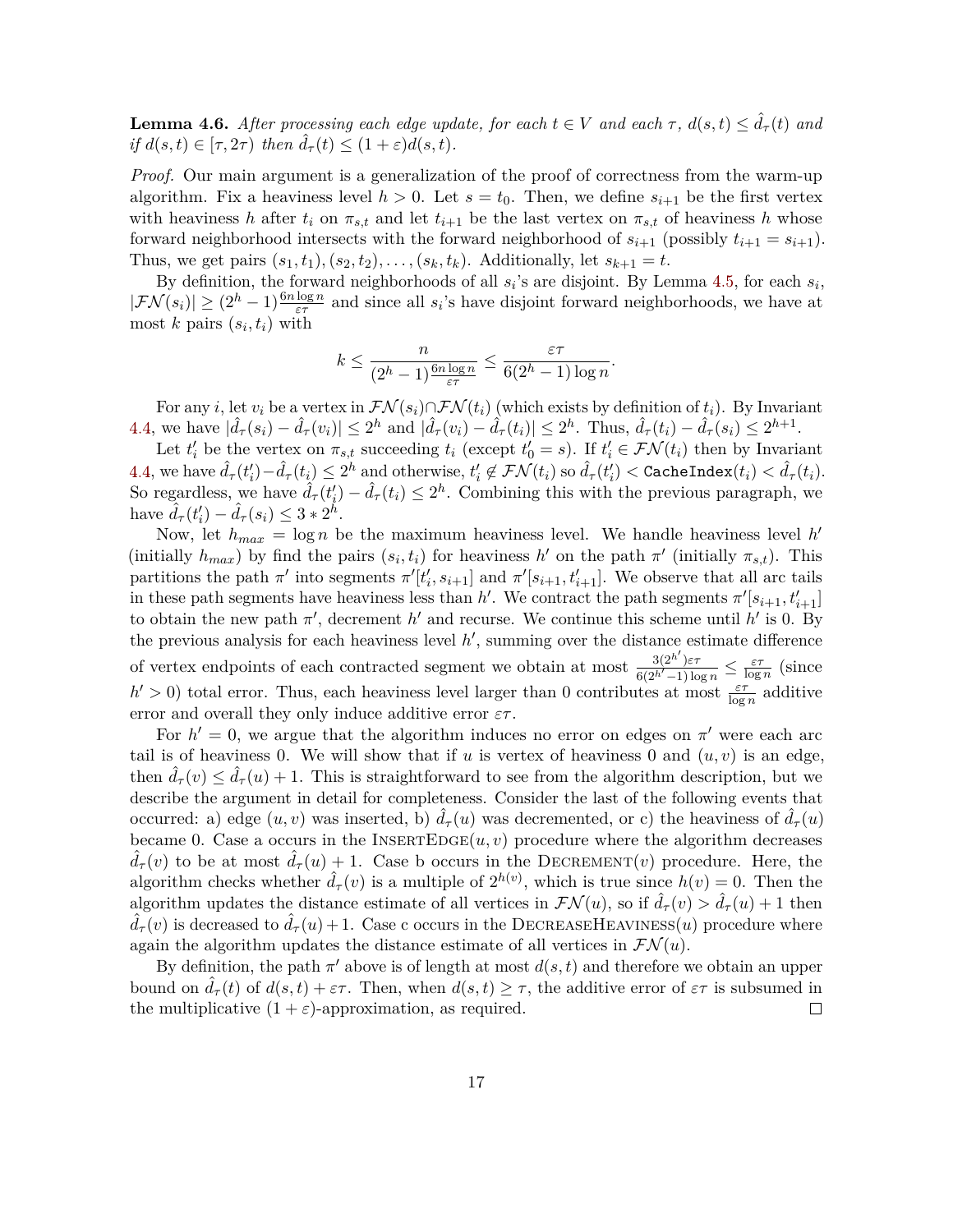**Lemma 4.6.** *After processing each edge update, for each*  $t \in V$  *and each*  $\tau$ ,  $d(s,t) \leq \hat{d}_{\tau}(t)$  *and*  $if d(s,t) \in [\tau, 2\tau)$  *then*  $\hat{d}_{\tau}(t) \leq (1+\varepsilon)d(s,t)$ *.* 

*Proof.* Our main argument is a generalization of the proof of correctness from the warm-up algorithm. Fix a heaviness level  $h > 0$ . Let  $s = t_0$ . Then, we define  $s_{i+1}$  be the first vertex with heaviness *h* after  $t_i$  on  $\pi_{s,t}$  and let  $t_{i+1}$  be the last vertex on  $\pi_{s,t}$  of heaviness *h* whose forward neighborhood intersects with the forward neighborhood of  $s_{i+1}$  (possibly  $t_{i+1} = s_{i+1}$ ). Thus, we get pairs  $(s_1, t_1), (s_2, t_2), \ldots, (s_k, t_k)$ . Additionally, let  $s_{k+1} = t$ .

By definition, the forward neighborhoods of all  $s_i$ 's are disjoint. By Lemma [4.5,](#page-16-0) for each  $s_i$ ,  $|\mathcal{FN}(s_i)| \geq (2^h - 1) \frac{6n \log n}{\varepsilon \tau}$  and since all  $s_i$ 's have disjoint forward neighborhoods, we have at most  $k$  pairs  $(s_i, t_i)$  with

$$
k \le \frac{n}{(2^h - 1)\frac{6n\log n}{\varepsilon\tau}} \le \frac{\varepsilon\tau}{6(2^h - 1)\log n}.
$$

For any *i*, let  $v_i$  be a vertex in  $\mathcal{FN}(s_i) \cap \mathcal{FN}(t_i)$  (which exists by definition of  $t_i$ ). By Invariant [4.4,](#page-15-0) we have  $|\hat{d}_{\tau}(s_i) - \hat{d}_{\tau}(v_i)| \leq 2^h$  and  $|\hat{d}_{\tau}(v_i) - \hat{d}_{\tau}(t_i)| \leq 2^h$ . Thus,  $\hat{d}_{\tau}(t_i) - \hat{d}_{\tau}(s_i) \leq 2^{h+1}$ .

Let  $t'_i$  be the vertex on  $\pi_{s,t}$  succeeding  $t_i$  (except  $t'_0 = s$ ). If  $t'_i \in \mathcal{FN}(t_i)$  then by Invariant  $4.4$ , we have  $\hat{d}_{\tau}(t'_i) - \hat{d}_{\tau}(t_i) \leq 2^h$  and otherwise,  $t'_i \notin \mathcal{FN}(t_i)$  so  $\hat{d}_{\tau}(t'_i) <$  CacheIndex $(t_i) < \hat{d}_{\tau}(t_i)$ . So regardless, we have  $\hat{d}_{\tau}(t'_i) - \hat{d}_{\tau}(t_i) \leq 2^h$ . Combining this with the previous paragraph, we have  $\hat{d}_{\tau}(t'_i) - \hat{d}_{\tau}(s_i) \leq 3 * 2^{\hat{h}}$ .

Now, let  $h_{max} = \log n$  be the maximum heaviness level. We handle heaviness level  $h'$ (initially  $h_{max}$ ) by find the pairs  $(s_i, t_i)$  for heaviness  $h'$  on the path  $\pi'$  (initially  $\pi_{s,t}$ ). This partitions the path  $\pi'$  into segments  $\pi'[t'_i, s_{i+1}]$  and  $\pi'[s_{i+1}, t'_{i+1}]$ . We observe that all arc tails in these path segments have heaviness less than *h'*. We contract the path segments  $\pi'[s_{i+1}, t'_{i+1}]$ to obtain the new path  $\pi'$ , decrement *h*' and recurse. We continue this scheme until *h*' is 0. By the previous analysis for each heaviness level  $h'$ , summing over the distance estimate difference of vertex endpoints of each contracted segment we obtain at most  $\frac{3(2^{h'})\varepsilon\tau}{6(2^{h'-1})\log n} \leq \frac{\varepsilon\tau}{\log n}$  $\frac{\varepsilon\tau}{\log n}$  (since  $h' > 0$ ) total error. Thus, each heaviness level larger than 0 contributes at most  $\frac{\varepsilon \tau}{\log n}$  additive error and overall they only induce additive error *ετ* .

For  $h' = 0$ , we argue that the algorithm induces no error on edges on  $\pi'$  were each arc tail is of heaviness 0. We will show that if  $u$  is vertex of heaviness 0 and  $(u, v)$  is an edge, then  $\hat{d}_{\tau}(v) \leq \hat{d}_{\tau}(u) + 1$ . This is straightforward to see from the algorithm description, but we describe the argument in detail for completeness. Consider the last of the following events that occurred: a) edge  $(u, v)$  was inserted, b)  $d_{\tau}(u)$  was decremented, or c) the heaviness of  $d_{\tau}(u)$ became 0. Case a occurs in the  $INSERTEDGE(u, v)$  procedure where the algorithm decreases  $\hat{d}_{\tau}(v)$  to be at most  $\hat{d}_{\tau}(u) + 1$ . Case b occurs in the DECREMENT(*v*) procedure. Here, the algorithm checks whether  $\hat{d}_{\tau}(v)$  is a multiple of  $2^{h(v)}$ , which is true since  $h(v) = 0$ . Then the algorithm updates the distance estimate of all vertices in  $\mathcal{FN}(u)$ , so if  $\hat{d}_{\tau}(v) > \hat{d}_{\tau}(u) + 1$  then  $\hat{d}_{\tau}(v)$  is decreased to  $\hat{d}_{\tau}(u) + 1$ . Case c occurs in the DECREASEHEAVINESS(*u*) procedure where again the algorithm updates the distance estimate of all vertices in  $\mathcal{FN}(u)$ .

By definition, the path  $\pi'$  above is of length at most  $d(s, t)$  and therefore we obtain an upper bound on  $\hat{d}_{\tau}(t)$  of  $d(s,t) + \varepsilon\tau$ . Then, when  $d(s,t) \geq \tau$ , the additive error of  $\varepsilon\tau$  is subsumed in the multiplicative  $(1 + \varepsilon)$ -approximation, as required.  $\Box$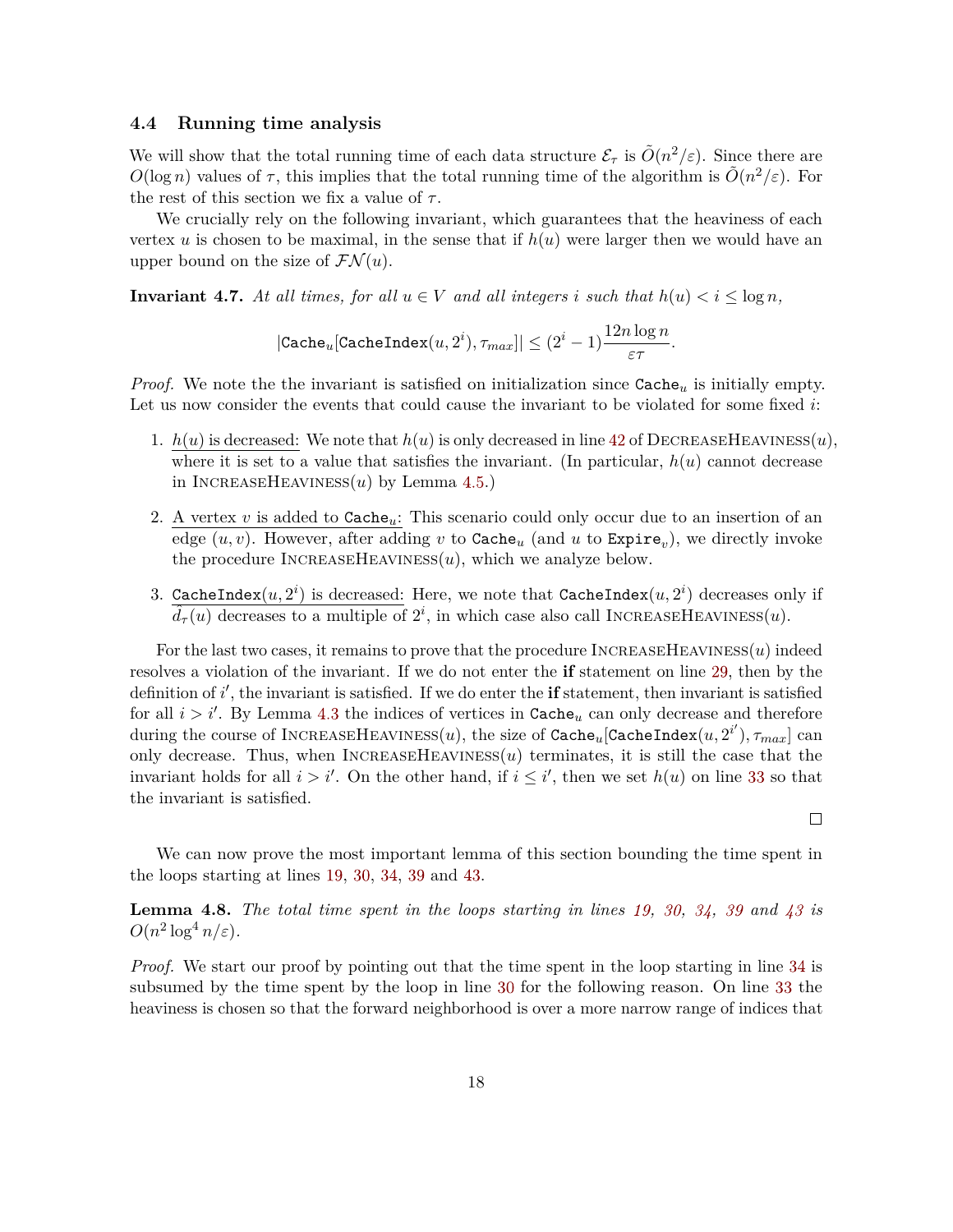## **4.4 Running time analysis**

We will show that the total running time of each data structure  $\mathcal{E}_{\tau}$  is  $\tilde{O}(n^2/\varepsilon)$ . Since there are *O*(log *n*) values of  $\tau$ , this implies that the total running time of the algorithm is  $\tilde{O}(n^2/\varepsilon)$ . For the rest of this section we fix a value of *τ* .

We crucially rely on the following invariant, which guarantees that the heaviness of each vertex  $u$  is chosen to be maximal, in the sense that if  $h(u)$  were larger then we would have an upper bound on the size of  $\mathcal{FN}(u)$ .

<span id="page-18-0"></span>**Invariant 4.7.** At all times, for all  $u \in V$  and all integers *i* such that  $h(u) < i \leq \log n$ ,

$$
|\texttt{Cache}_u[\texttt{CacheIndex}(u,2^i),\tau_{max}]| \leq (2^i-1) \frac{12 n \log n }{\varepsilon \tau}.
$$

*Proof.* We note the the invariant is satisfied on initialization since  $\text{Cache}_u$  is initially empty. Let us now consider the events that could cause the invariant to be violated for some fixed *i*:

- 1.  $h(u)$  is decreased: We note that  $h(u)$  is only decreased in line [42](#page-13-1) of DECREASEHEAVINESS(*u*), where it is set to a value that satisfies the invariant. (In particular,  $h(u)$  cannot decrease in INCREASEHEAVINESS $(u)$  by Lemma [4.5.](#page-16-0))
- 2. A vertex *v* is added to Cache*u*: This scenario could only occur due to an insertion of an edge  $(u, v)$ . However, after adding  $v$  to  $\mathtt{Cache}_u$  (and  $u$  to  $\mathtt{Expire}_v$ ), we directly invoke the procedure  $INCREASEHEAVINESs(u)$ , which we analyze below.
- 3. CacheIndex $(u, 2^i)$  is decreased: Here, we note that CacheIndex $(u, 2^i)$  decreases only if  $\hat{d}_{\tau}(u)$  decreases to a multiple of  $2^i$ , in which case also call INCREASEHEAVINESS $(u)$ .

For the last two cases, it remains to prove that the procedure IncreaseHeaviness(*u*) indeed resolves a violation of the invariant. If we do not enter the **if** statement on line [29,](#page-13-12) then by the definition of *i*', the invariant is satisfied. If we do enter the **if** statement, then invariant is satisfied for all  $i > i'$ . By Lemma [4.3](#page-14-0) the indices of vertices in  $\texttt{Cache}_u$  can only decrease and therefore  $\dim$  during the course of INCREASEHEAVINESS $(u)$ , the size of  $\texttt{Cache}_u[\texttt{CacheIndex}(u,2^{i'}), \tau_{max}]$  can only decrease. Thus, when  $INCREASEHEAVINES(u)$  terminates, it is still the case that the invariant holds for all  $i > i'$ . On the other hand, if  $i \leq i'$ , then we set  $h(u)$  on line [33](#page-13-8) so that the invariant is satisfied.

We can now prove the most important lemma of this section bounding the time spent in the loops starting at lines [19,](#page-13-6) [30,](#page-13-13) [34,](#page-13-14) [39](#page-13-15) and [43.](#page-13-16)

 $\Box$ 

<span id="page-18-1"></span>**Lemma 4.8.** *The total time spent in the loops starting in lines [19,](#page-13-6) [30,](#page-13-13) [34,](#page-13-14) [39](#page-13-15) and [43](#page-13-16) is*  $O(n^2 \log^4 n/\varepsilon)$ .

*Proof.* We start our proof by pointing out that the time spent in the loop starting in line [34](#page-13-14) is subsumed by the time spent by the loop in line [30](#page-13-13) for the following reason. On line [33](#page-13-8) the heaviness is chosen so that the forward neighborhood is over a more narrow range of indices that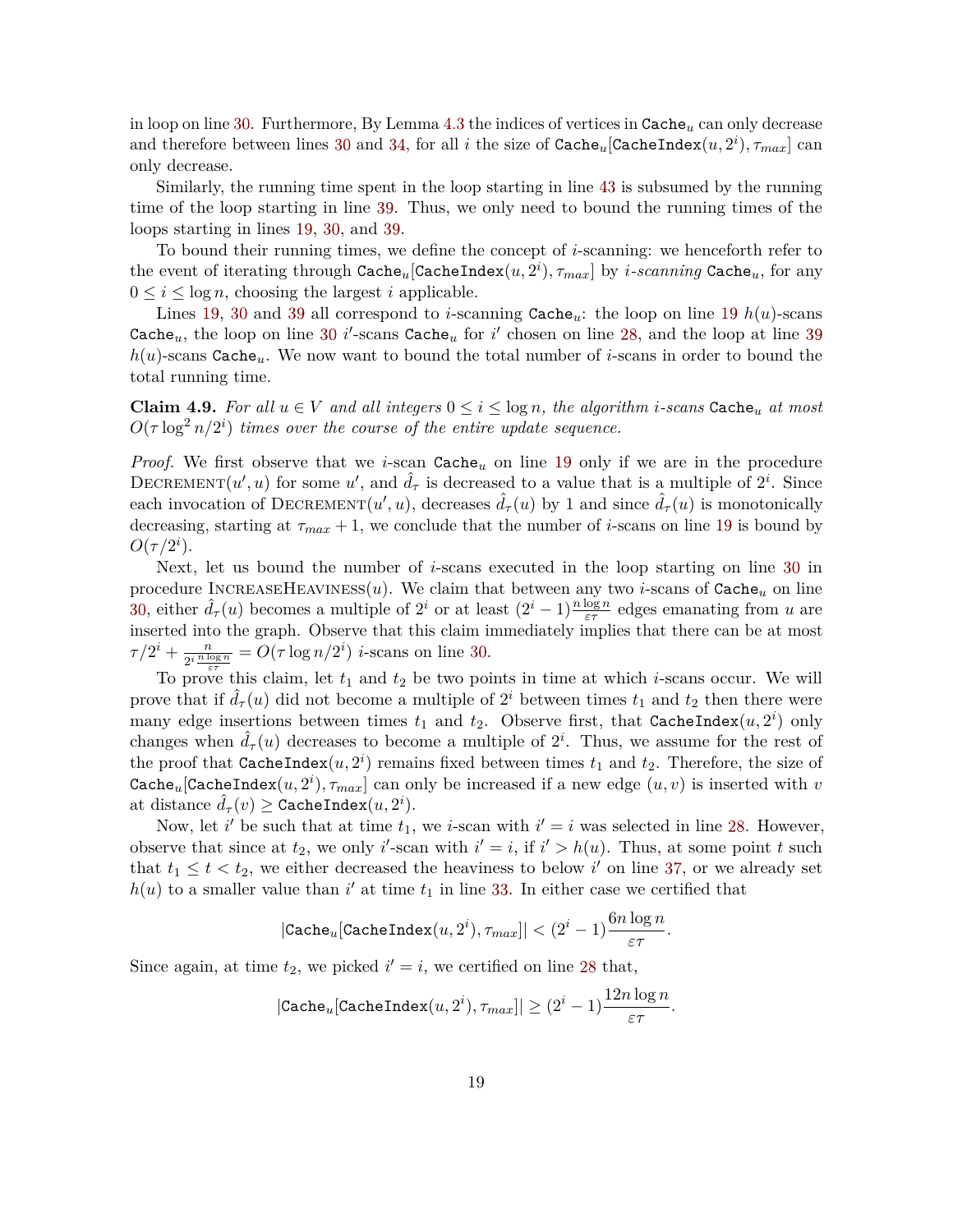in loop on line [30.](#page-13-13) Furthermore, By Lemma [4.3](#page-14-0) the indices of vertices in Cache*<sup>u</sup>* can only decrease and therefore between lines [30](#page-13-13) and [34,](#page-13-14) for all *i* the size of  $\texttt{Cache}_u[\texttt{CacheIndex}(u,2^i), \tau_{max}]$  can only decrease.

Similarly, the running time spent in the loop starting in line [43](#page-13-16) is subsumed by the running time of the loop starting in line [39.](#page-13-15) Thus, we only need to bound the running times of the loops starting in lines [19,](#page-13-6) [30,](#page-13-13) and [39.](#page-13-15)

To bound their running times, we define the concept of *i*-scanning: we henceforth refer to the event of iterating through  $\mathtt{Cache}_u[\mathtt{CacheIndex}(u,2^i), \tau_{max}]$  by  $i\text{-}scanning$   $\mathtt{Cache}_u,$  for any  $0 \leq i \leq \log n$ , choosing the largest *i* applicable.

Lines [19,](#page-13-6) [30](#page-13-13) and [39](#page-13-15) all correspond to *i*-scanning  $\text{Cache}_u$ : the loop on line [19](#page-13-6)  $h(u)$ -scans Cache<sub>u</sub>, the loop on line [30](#page-13-13) *i*'-scans Cache<sub>u</sub> for *i*' chosen on line [28,](#page-13-7) and the loop at line [39](#page-13-15) *h*(*u*)-scans Cache*u*. We now want to bound the total number of *i*-scans in order to bound the total running time.

<span id="page-19-0"></span>**Claim 4.9.** For all  $u \in V$  and all integers  $0 \le i \le \log n$ , the algorithm *i*-scans Cache<sub>u</sub> at most  $O(\tau \log^2 n/2^i)$  *times over the course of the entire update sequence.* 

*Proof.* We first observe that we *i*-scan Cache*<sup>u</sup>* on line [19](#page-13-6) only if we are in the procedure DECREMENT $(u', u)$  for some  $u'$ , and  $\hat{d}_{\tau}$  is decreased to a value that is a multiple of  $2^i$ . Since each invocation of DECREMENT $(u', u)$ , decreases  $\hat{d}_{\tau}(u)$  by 1 and since  $\hat{d}_{\tau}(u)$  is monotonically decreasing, starting at  $\tau_{max} + 1$ , we conclude that the number of *i*-scans on line [19](#page-13-6) is bound by  $O(\tau/2^i)$ .

Next, let us bound the number of *i*-scans executed in the loop starting on line [30](#page-13-13) in procedure INCREASEHEAVINESS $(u)$ . We claim that between any two *i*-scans of Cache<sub>u</sub> on line [30,](#page-13-13) either  $\hat{d}_{\tau}(u)$  becomes a multiple of  $2^{i}$  or at least  $(2^{i} - 1) \frac{n \log n}{\varepsilon \tau}$  edges emanating from *u* are inserted into the graph. Observe that this claim immediately implies that there can be at most  $\tau/2^i + \frac{n}{\alpha i}$  $\frac{n}{2^i \frac{n \log n}{\varepsilon \tau}} = O(\tau \log n / 2^i)$  *i*-scans on line [30.](#page-13-13)

To prove this claim, let *t*<sup>1</sup> and *t*<sup>2</sup> be two points in time at which *i*-scans occur. We will prove that if  $\hat{d}_{\tau}(u)$  did not become a multiple of  $2^{i}$  between times  $t_1$  and  $t_2$  then there were many edge insertions between times  $t_1$  and  $t_2$ . Observe first, that CacheIndex $(u, 2^i)$  only changes when  $\hat{d}_{\tau}(u)$  decreases to become a multiple of  $2^i$ . Thus, we assume for the rest of the proof that  $\texttt{CacheIndex}(u, 2^i)$  remains fixed between times  $t_1$  and  $t_2$ . Therefore, the size of Cache $_{u}$ [CacheIndex $(u, 2^{i}), \tau_{max}$ ] can only be increased if a new edge  $(u, v)$  is inserted with  $v$ at distance  $\hat{d}_{\tau}(v) \geq \texttt{CacheIndex}(u, 2^i)$ .

Now, let *i*' be such that at time  $t_1$ , we *i*-scan with  $i' = i$  was selected in line [28.](#page-13-7) However, observe that since at  $t_2$ , we only *i*'-scan with  $i' = i$ , if  $i' > h(u)$ . Thus, at some point *t* such that  $t_1 \leq t \leq t_2$ , we either decreased the heaviness to below i' on line [37,](#page-13-4) or we already set  $h(u)$  to a smaller value than  $i'$  at time  $t_1$  in line [33.](#page-13-8) In either case we certified that

$$
|\texttt{Cache}_u[\texttt{CacheIndex}(u,2^i),\tau_{max}]|<(2^i-1)\frac{6n\log n}{\varepsilon\tau}.
$$

Since again, at time  $t_2$ , we picked  $i' = i$ , we certified on line [28](#page-13-7) that,

$$
|\texttt{Cache}_u[\texttt{CacheIndex}(u,2^i), \tau_{max}]| \geq (2^i-1) \frac{12 n \log n }{\varepsilon \tau}.
$$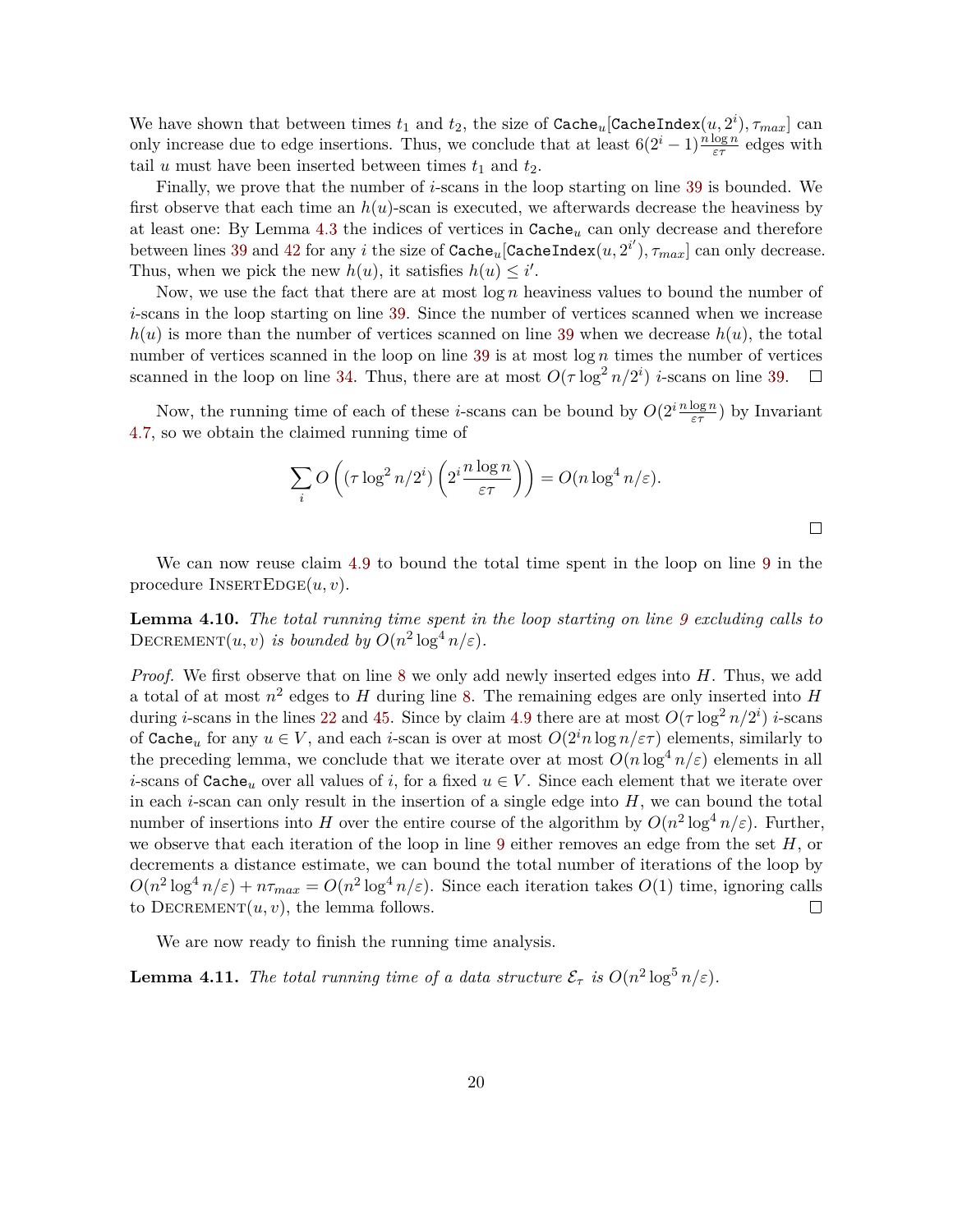We have shown that between times  $t_1$  and  $t_2$ , the size of  $\texttt{Cache}_u[\texttt{CacheIndex}(u,2^i), \tau_{max}]$  can only increase due to edge insertions. Thus, we conclude that at least  $6(2^i - 1)\frac{n \log n}{\varepsilon \tau}$  edges with tail *u* must have been inserted between times  $t_1$  and  $t_2$ .

Finally, we prove that the number of *i*-scans in the loop starting on line [39](#page-13-15) is bounded. We first observe that each time an *h*(*u*)-scan is executed, we afterwards decrease the heaviness by at least one: By Lemma [4.3](#page-14-0) the indices of vertices in Cache*<sup>u</sup>* can only decrease and therefore between lines [39](#page-13-15) and [42](#page-13-1) for any *i* the size of  $\texttt{Cache}_u[\texttt{CacheIndex}(u, 2^{i'}), \tau_{max}]$  can only decrease. Thus, when we pick the new  $h(u)$ , it satisfies  $h(u) \leq i'$ .

Now, we use the fact that there are at most log *n* heaviness values to bound the number of *i*-scans in the loop starting on line [39.](#page-13-15) Since the number of vertices scanned when we increase  $h(u)$  is more than the number of vertices scanned on line [39](#page-13-15) when we decrease  $h(u)$ , the total number of vertices scanned in the loop on line [39](#page-13-15) is at most log *n* times the number of vertices scanned in the loop on line [34.](#page-13-14) Thus, there are at most  $O(\tau \log^2 n/2^i)$  *i*-scans on line [39.](#page-13-15)  $\Box$ 

Now, the running time of each of these *i*-scans can be bound by  $O(2^i \frac{n \log n}{\varepsilon \tau})$  by Invariant [4.7,](#page-18-0) so we obtain the claimed running time of

$$
\sum_{i} O\left((\tau \log^2 n/2^i) \left(2^i \frac{n \log n}{\varepsilon \tau}\right)\right) = O(n \log^4 n/\varepsilon).
$$

We can now reuse claim [4.9](#page-19-0) to bound the total time spent in the loop on line [9](#page-13-17) in the procedure  $I$ NSERTEDGE $(u, v)$ .

<span id="page-20-0"></span>**Lemma 4.10.** *The total running time spent in the loop starting on line [9](#page-13-17) excluding calls to* DECREMENT $(u, v)$  *is bounded by*  $O(n^2 \log^4 n/\varepsilon)$ *.* 

*Proof.* We first observe that on line [8](#page-13-18) we only add newly inserted edges into *H*. Thus, we add a total of at most *n* 2 edges to *H* during line [8.](#page-13-18) The remaining edges are only inserted into *H* during *i*-scans in the lines [22](#page-13-19) and [45.](#page-13-9) Since by claim [4.9](#page-19-0) there are at most  $O(\tau \log^2 n/2^i)$  *i*-scans of Cache<sub>u</sub> for any  $u \in V$ , and each *i*-scan is over at most  $O(2<sup>i</sup>n \log n/\epsilon\tau)$  elements, similarly to the preceding lemma, we conclude that we iterate over at most  $O(n \log^4 n/\varepsilon)$  elements in all *i*-scans of Cache<sub>*u*</sub> over all values of *i*, for a fixed  $u \in V$ . Since each element that we iterate over in each *i*-scan can only result in the insertion of a single edge into *H*, we can bound the total number of insertions into *H* over the entire course of the algorithm by  $O(n^2 \log^4 n/\varepsilon)$ . Further, we observe that each iteration of the loop in line [9](#page-13-17) either removes an edge from the set *H*, or decrements a distance estimate, we can bound the total number of iterations of the loop by  $O(n^2 \log^4 n/\varepsilon) + n\tau_{max} = O(n^2 \log^4 n/\varepsilon)$ . Since each iteration takes  $O(1)$  time, ignoring calls to  $DECREMENT(u, v)$ , the lemma follows.  $\Box$ 

We are now ready to finish the running time analysis.

<span id="page-20-1"></span>**Lemma 4.11.** *The total running time of a data structure*  $\mathcal{E}_{\tau}$  *is*  $O(n^2 \log^5 n/\varepsilon)$ *.*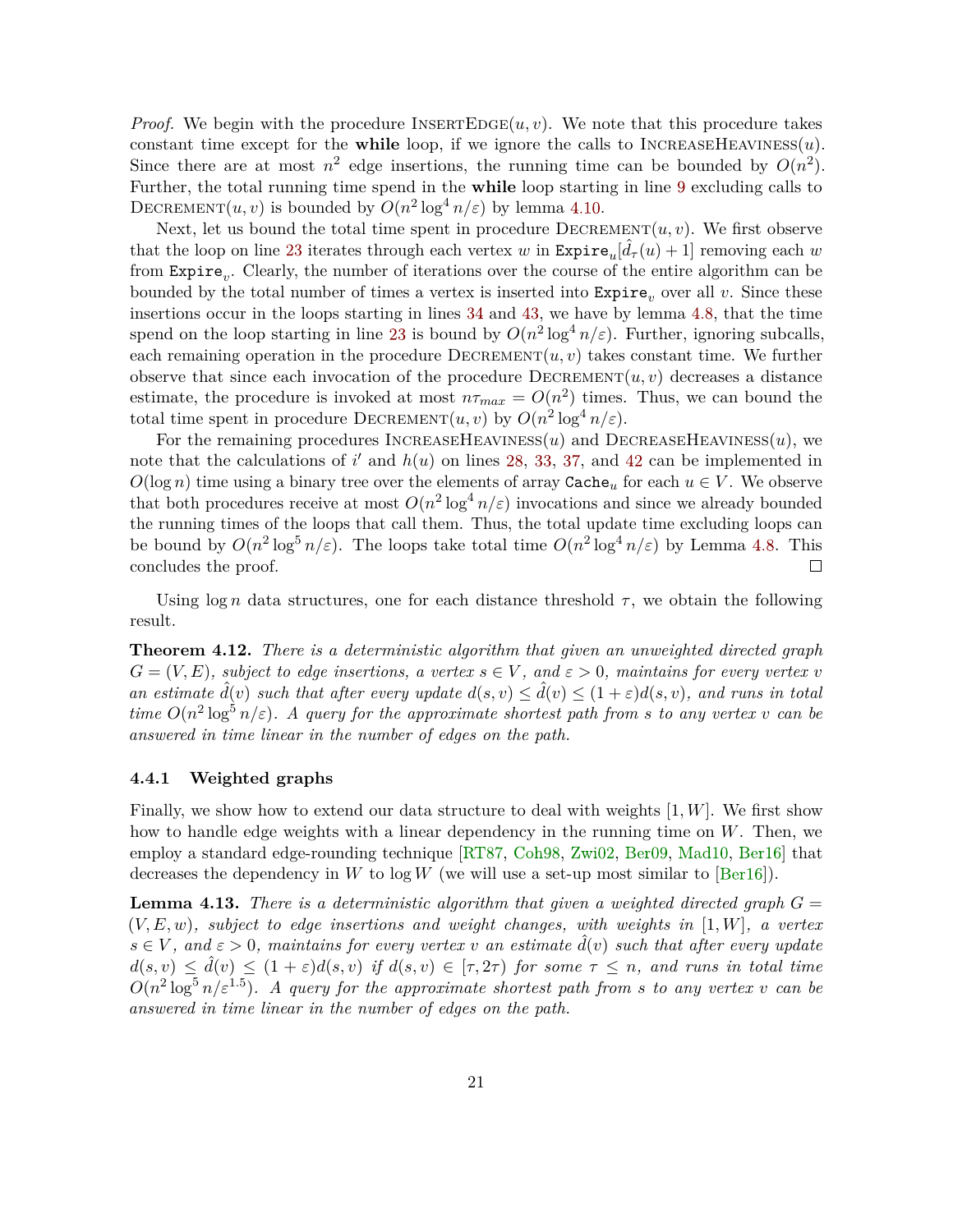<span id="page-21-1"></span>*Proof.* We begin with the procedure INSERTEDGE $(u, v)$ . We note that this procedure takes constant time except for the while loop, if we ignore the calls to  $INCREASEHEAVINES( u)$ . Since there are at most  $n^2$  edge insertions, the running time can be bounded by  $O(n^2)$ . Further, the total running time spend in the **while** loop starting in line [9](#page-13-17) excluding calls to DECREMENT $(u, v)$  is bounded by  $O(n^2 \log^4 n/\varepsilon)$  by lemma [4.10.](#page-20-0)

Next, let us bound the total time spent in procedure  $DECREMENT(u, v)$ . We first observe that the loop on line [23](#page-13-3) iterates through each vertex *w* in  $\text{Expire}_u[\hat{d}_{\tau}(u) + 1]$  removing each *w* from Expire<sub>v</sub>. Clearly, the number of iterations over the course of the entire algorithm can be bounded by the total number of times a vertex is inserted into  $\text{Expire}_v$  over all v. Since these insertions occur in the loops starting in lines [34](#page-13-14) and [43,](#page-13-16) we have by lemma [4.8,](#page-18-1) that the time spend on the loop starting in line [23](#page-13-3) is bound by  $O(n^2 \log^4 n/\varepsilon)$ . Further, ignoring subcalls, each remaining operation in the procedure  $\text{Dec}-\text{RE}(\mathbf{u}, v)$  takes constant time. We further observe that since each invocation of the procedure  $\text{DECREMENT}(u, v)$  decreases a distance estimate, the procedure is invoked at most  $n\tau_{max} = O(n^2)$  times. Thus, we can bound the total time spent in procedure  $\text{DECREMENT}(u, v)$  by  $O(n^2 \log^4 n/\varepsilon)$ .

For the remaining procedures  $\text{INCREASEHEAVINES}(u)$  and  $\text{DECREASEHEAVINES}(u)$ , we note that the calculations of  $i'$  and  $h(u)$  on lines [28,](#page-13-7) [33,](#page-13-8) [37,](#page-13-4) and [42](#page-13-1) can be implemented in  $O(\log n)$  time using a binary tree over the elements of array Cache<sub>u</sub> for each  $u \in V$ . We observe that both procedures receive at most  $O(n^2 \log^4 n/\varepsilon)$  invocations and since we already bounded the running times of the loops that call them. Thus, the total update time excluding loops can be bound by  $O(n^2 \log^5 n/\varepsilon)$ . The loops take total time  $O(n^2 \log^4 n/\varepsilon)$  by Lemma [4.8.](#page-18-1) This concludes the proof.  $\Box$ 

Using  $\log n$  data structures, one for each distance threshold  $\tau$ , we obtain the following result.

**Theorem 4.12.** *There is a deterministic algorithm that given an unweighted directed graph*  $G = (V, E)$ *, subject to edge insertions, a vertex*  $s \in V$ *, and*  $\varepsilon > 0$ *, maintains for every vertex v an estimate*  $\hat{d}(v)$  *such that after every update*  $d(s, v) \leq \hat{d}(v) \leq (1 + \varepsilon)d(s, v)$ *, and runs in total time*  $O(n^2 \log^5 n/\varepsilon)$ . A query for the approximate shortest path from s to any vertex v can be *answered in time linear in the number of edges on the path.*

#### **4.4.1 Weighted graphs**

Finally, we show how to extend our data structure to deal with weights [1*, W*]. We first show how to handle edge weights with a linear dependency in the running time on *W*. Then, we employ a standard edge-rounding technique [\[RT87,](#page-37-3) [Coh98,](#page-34-2) [Zwi02,](#page-38-1) [Ber09,](#page-33-1) [Mad10,](#page-37-1) [Ber16\]](#page-33-2) that decreases the dependency in *W* to  $\log W$  (we will use a set-up most similar to [\[Ber16\]](#page-33-2)).

<span id="page-21-0"></span>**Lemma 4.13.** There is a deterministic algorithm that given a weighted directed graph  $G =$ (*V, E, w*)*, subject to edge insertions and weight changes, with weights in* [1*, W*]*, a vertex*  $s \in V$ , and  $\varepsilon > 0$ , maintains for every vertex *v* an estimate  $\hat{d}(v)$  such that after every update  $d(s, v) \leq \hat{d}(v) \leq (1 + \varepsilon)d(s, v)$  *if*  $d(s, v) \in [\tau, 2\tau)$  *for some*  $\tau \leq n$ *, and runs in total time*  $O(n^2 \log^5 n/\varepsilon^{1.5})$ . A query for the approximate shortest path from s to any vertex *v* can be *answered in time linear in the number of edges on the path.*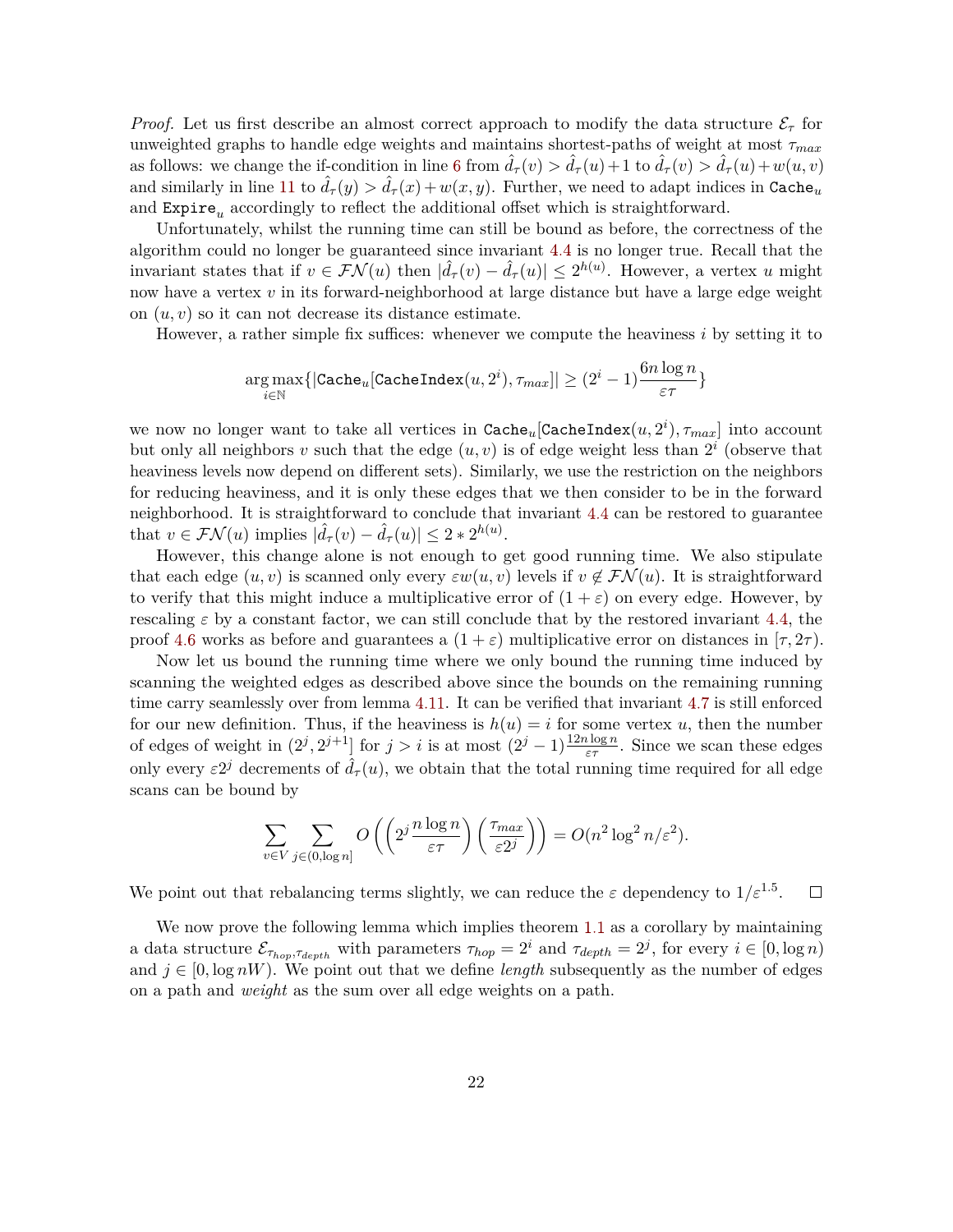*Proof.* Let us first describe an almost correct approach to modify the data structure  $\mathcal{E}_{\tau}$  for unweighted graphs to handle edge weights and maintains shortest-paths of weight at most *τmax* as follows: we change the if-condition in line [6](#page-13-20) from  $\hat{d}_{\tau}(v) > \hat{d}_{\tau}(u) + 1$  to  $\hat{d}_{\tau}(v) > \hat{d}_{\tau}(u) + w(u, v)$ and similarly in line [11](#page-13-21) to  $\hat{d}_{\tau}(y) > \hat{d}_{\tau}(x) + w(x, y)$ . Further, we need to adapt indices in Cache<sub>u</sub> and  $\mathtt{Expire}_u$  accordingly to reflect the additional offset which is straightforward.

Unfortunately, whilst the running time can still be bound as before, the correctness of the algorithm could no longer be guaranteed since invariant [4.4](#page-15-0) is no longer true. Recall that the invariant states that if  $v \in \mathcal{FN}(u)$  then  $|\hat{d}_{\tau}(v) - \hat{d}_{\tau}(u)| \leq 2^{h(u)}$ . However, a vertex *u* might now have a vertex *v* in its forward-neighborhood at large distance but have a large edge weight on  $(u, v)$  so it can not decrease its distance estimate.

However, a rather simple fix suffices: whenever we compute the heaviness *i* by setting it to

$$
\argmax_{i \in \mathbb{N}} \{| \texttt{Cache}_u[\texttt{CacheIndex}(u,2^i), \tau_{max}]| \geq (2^i-1) \frac{6 n \log n }{\varepsilon\tau}\}
$$

we now no longer want to take all vertices in  $\texttt{Cache}_u[\texttt{CacheIndex}(u,2^i), \tau_{max}]$  into account but only all neighbors  $v$  such that the edge  $(u, v)$  is of edge weight less than  $2^i$  (observe that heaviness levels now depend on different sets). Similarly, we use the restriction on the neighbors for reducing heaviness, and it is only these edges that we then consider to be in the forward neighborhood. It is straightforward to conclude that invariant [4.4](#page-15-0) can be restored to guarantee that  $v \in \mathcal{FN}(u)$  implies  $|\hat{d}_{\tau}(v) - \hat{d}_{\tau}(u)| \leq 2 * 2^{h(u)}$ .

However, this change alone is not enough to get good running time. We also stipulate that each edge  $(u, v)$  is scanned only every  $\varepsilon w(u, v)$  levels if  $v \notin \mathcal{FN}(u)$ . It is straightforward to verify that this might induce a multiplicative error of  $(1 + \varepsilon)$  on every edge. However, by rescaling  $\varepsilon$  by a constant factor, we can still conclude that by the restored invariant [4.4,](#page-15-0) the proof [4.6](#page-16-1) works as before and guarantees a  $(1 + \varepsilon)$  multiplicative error on distances in  $[\tau, 2\tau)$ .

Now let us bound the running time where we only bound the running time induced by scanning the weighted edges as described above since the bounds on the remaining running time carry seamlessly over from lemma [4.11.](#page-20-1) It can be verified that invariant [4.7](#page-18-0) is still enforced for our new definition. Thus, if the heaviness is  $h(u) = i$  for some vertex *u*, then the number of edges of weight in  $(2^j, 2^{j+1}]$  for  $j > i$  is at most  $(2^j - 1) \frac{12n \log n}{\varepsilon \tau}$ . Since we scan these edges only every  $\varepsilon 2^j$  decrements of  $\hat{d}_{\tau}(u)$ , we obtain that the total running time required for all edge scans can be bound by

$$
\sum_{v \in V} \sum_{j \in (0, \log n]} O\left( \left( 2^j \frac{n \log n}{\varepsilon \tau} \right) \left( \frac{\tau_{\max}}{\varepsilon 2^j} \right) \right) = O(n^2 \log^2 n/\varepsilon^2).
$$

We point out that rebalancing terms slightly, we can reduce the  $\varepsilon$  dependency to  $1/\varepsilon^{1.5}$ .  $\Box$ 

We now prove the following lemma which implies theorem [1.1](#page-3-0) as a corollary by maintaining a data structure  $\mathcal{E}_{\tau_{hop}, \tau_{depth}}$  with parameters  $\tau_{hop} = 2^i$  and  $\tau_{depth} = 2^j$ , for every  $i \in [0, \log n)$ and  $j \in [0, \log nW)$ . We point out that we define *length* subsequently as the number of edges on a path and *weight* as the sum over all edge weights on a path.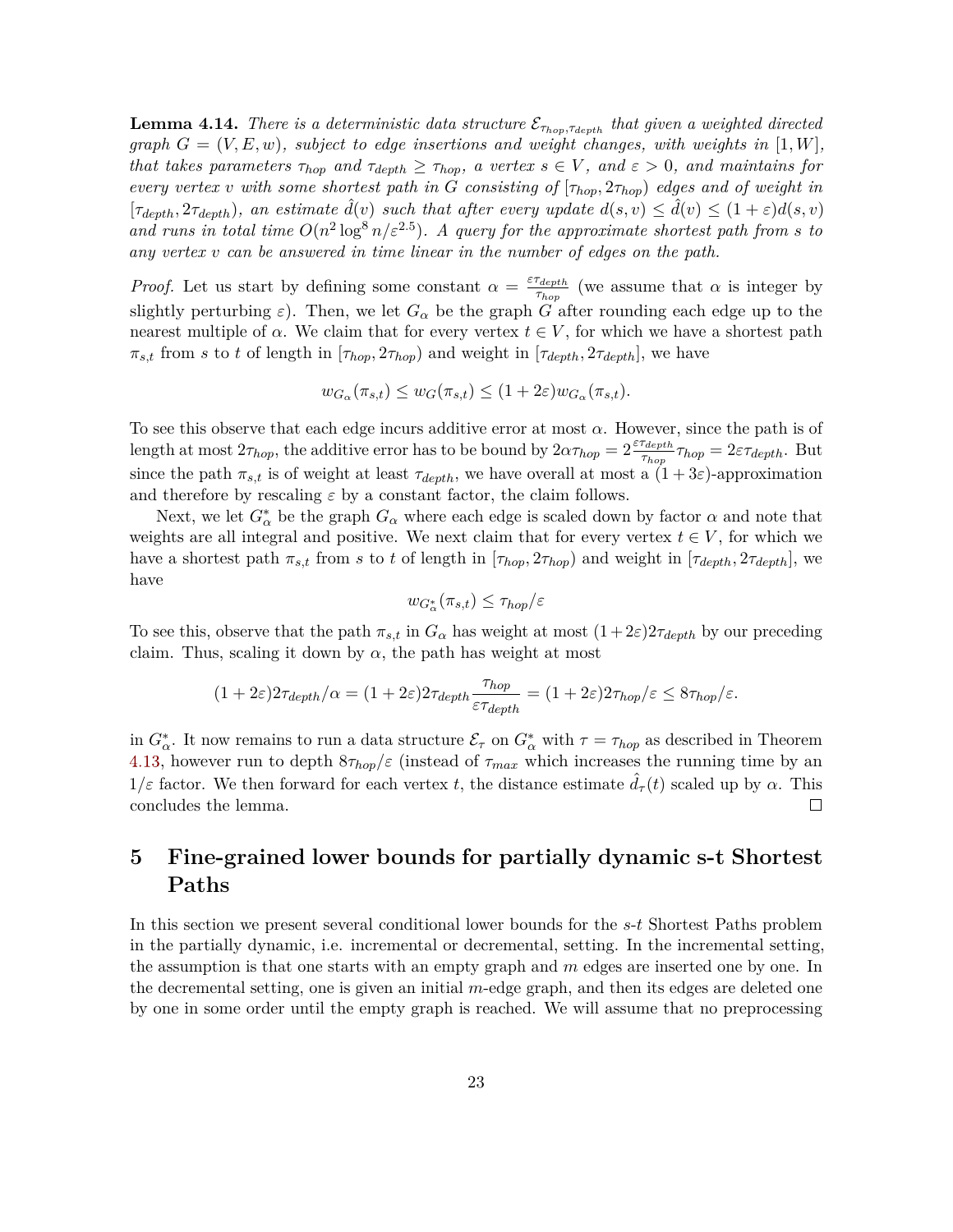**Lemma 4.14.** *There is a deterministic data structure*  $\mathcal{E}_{\tau_{hop}, \tau_{depth}}$  *that given a weighted directed graph*  $G = (V, E, w)$ *, subject to edge insertions and weight changes, with weights in*  $[1, W]$ *, that takes parameters*  $\tau_{hop}$  *and*  $\tau_{depth} \geq \tau_{hop}$ *, a vertex*  $s \in V$ *, and*  $\varepsilon > 0$ *, and maintains for every vertex v with some shortest path in G consisting of* [*τhop,* 2*τhop*) *edges and of weight in*  $[\tau_{depth}, 2\tau_{depth})$ , an estimate  $\hat{d}(v)$  such that after every update  $d(s, v) \leq \hat{d}(v) \leq (1 + \varepsilon)d(s, v)$ and runs in total time  $O(n^2 \log^8 n/\varepsilon^{2.5})$ . A query for the approximate shortest path from *s* to *any vertex v can be answered in time linear in the number of edges on the path.*

*Proof.* Let us start by defining some constant  $\alpha = \frac{\varepsilon \tau_{depth}}{\tau_{e}}$  $\frac{r_{depth}}{\tau_{hop}}$  (we assume that  $\alpha$  is integer by slightly perturbing  $\varepsilon$ ). Then, we let  $G_{\alpha}$  be the graph  $G$  after rounding each edge up to the nearest multiple of  $\alpha$ . We claim that for every vertex  $t \in V$ , for which we have a shortest path  $\pi_{s,t}$  from *s* to *t* of length in [ $\tau_{hop}$ ,  $2\tau_{hop}$ ] and weight in [ $\tau_{depth}$ ,  $2\tau_{depth}$ ], we have

$$
w_{G_{\alpha}}(\pi_{s,t}) \le w_G(\pi_{s,t}) \le (1+2\varepsilon)w_{G_{\alpha}}(\pi_{s,t}).
$$

To see this observe that each edge incurs additive error at most *α*. However, since the path is of length at most  $2\tau_{hop}$ , the additive error has to be bound by  $2\alpha\tau_{hop} = 2\frac{\varepsilon\tau_{depth}}{\tau_{hop}}\tau_{hop} = 2\varepsilon\tau_{depth}$ . But since the path  $\pi_{s,t}$  is of weight at least  $\tau_{depth}$ , we have overall at most a  $(1+3\varepsilon)$ -approximation and therefore by rescaling  $\varepsilon$  by a constant factor, the claim follows.

Next, we let  $G^*_{\alpha}$  be the graph  $G_{\alpha}$  where each edge is scaled down by factor  $\alpha$  and note that weights are all integral and positive. We next claim that for every vertex  $t \in V$ , for which we have a shortest path  $\pi_{s,t}$  from *s* to *t* of length in  $[\tau_{hop}, 2\tau_{hop})$  and weight in  $[\tau_{depth}, 2\tau_{depth}]$ , we have

$$
w_{G^*_{\alpha}}(\pi_{s,t}) \leq \tau_{hop}/\varepsilon
$$

To see this, observe that the path  $\pi_{s,t}$  in  $G_\alpha$  has weight at most  $(1+2\varepsilon)2\tau_{depth}$  by our preceding claim. Thus, scaling it down by  $\alpha$ , the path has weight at most

$$
(1+2\varepsilon)2\tau_{depth}/\alpha = (1+2\varepsilon)2\tau_{depth}\frac{\tau_{hop}}{\varepsilon\tau_{depth}} = (1+2\varepsilon)2\tau_{hop}/\varepsilon \le 8\tau_{hop}/\varepsilon.
$$

in  $G^*_{\alpha}$ . It now remains to run a data structure  $\mathcal{E}_{\tau}$  on  $G^*_{\alpha}$  with  $\tau = \tau_{hop}$  as described in Theorem [4.13,](#page-21-0) however run to depth  $8\tau_{hop}/\varepsilon$  (instead of  $\tau_{max}$  which increases the running time by an  $1/\varepsilon$  factor. We then forward for each vertex *t*, the distance estimate  $\tilde{d}_{\tau}(t)$  scaled up by  $\alpha$ . This concludes the lemma.  $\Box$ 

# <span id="page-23-0"></span>**5 Fine-grained lower bounds for partially dynamic s-t Shortest Paths**

In this section we present several conditional lower bounds for the *s*-*t* Shortest Paths problem in the partially dynamic, i.e. incremental or decremental, setting. In the incremental setting, the assumption is that one starts with an empty graph and *m* edges are inserted one by one. In the decremental setting, one is given an initial *m*-edge graph, and then its edges are deleted one by one in some order until the empty graph is reached. We will assume that no preprocessing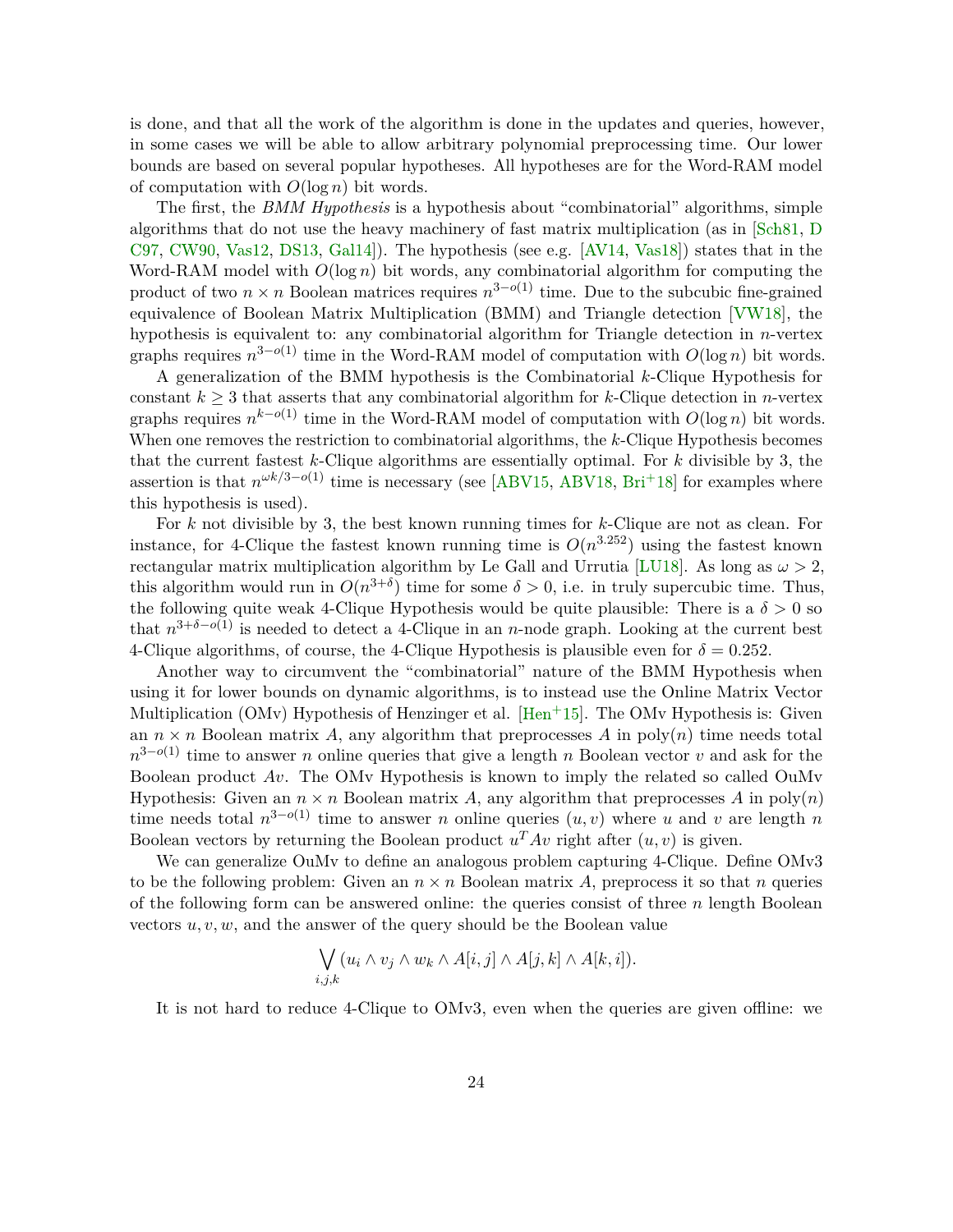<span id="page-24-0"></span>is done, and that all the work of the algorithm is done in the updates and queries, however, in some cases we will be able to allow arbitrary polynomial preprocessing time. Our lower bounds are based on several popular hypotheses. All hypotheses are for the Word-RAM model of computation with *O*(log *n*) bit words.

The first, the *BMM Hypothesis* is a hypothesis about "combinatorial" algorithms, simple algorithms that do not use the heavy machinery of fast matrix multiplication (as in [\[Sch81,](#page-37-5) [D](#page-34-4) [C97,](#page-34-4) [CW90,](#page-34-5) [Vas12,](#page-37-6) [DS13,](#page-35-5) [Gal14\]](#page-35-6)). The hypothesis (see e.g. [\[AV14,](#page-32-2) [Vas18\]](#page-37-7)) states that in the Word-RAM model with *O*(log *n*) bit words, any combinatorial algorithm for computing the product of two  $n \times n$  Boolean matrices requires  $n^{3-o(1)}$  time. Due to the subcubic fine-grained equivalence of Boolean Matrix Multiplication (BMM) and Triangle detection [\[VW18\]](#page-38-2), the hypothesis is equivalent to: any combinatorial algorithm for Triangle detection in *n*-vertex graphs requires  $n^{3-o(1)}$  time in the Word-RAM model of computation with  $O(\log n)$  bit words.

A generalization of the BMM hypothesis is the Combinatorial *k*-Clique Hypothesis for constant  $k \geq 3$  that asserts that any combinatorial algorithm for *k*-Clique detection in *n*-vertex graphs requires  $n^{k-o(1)}$  time in the Word-RAM model of computation with  $O(\log n)$  bit words. When one removes the restriction to combinatorial algorithms, the *k*-Clique Hypothesis becomes that the current fastest *k*-Clique algorithms are essentially optimal. For *k* divisible by 3, the assertion is that  $n^{\omega k/3-o(1)}$  time is necessary (see [\[ABV15,](#page-31-0) [ABV18,](#page-31-1) [Bri](#page-33-3)<sup>+</sup>18] for examples where this hypothesis is used).

For *k* not divisible by 3, the best known running times for *k*-Clique are not as clean. For instance, for 4-Clique the fastest known running time is  $O(n^{3.252})$  using the fastest known rectangular matrix multiplication algorithm by Le Gall and Urrutia [\[LU18\]](#page-36-4). As long as  $\omega > 2$ , this algorithm would run in  $O(n^{3+\delta})$  time for some  $\delta > 0$ , i.e. in truly supercubic time. Thus, the following quite weak 4-Clique Hypothesis would be quite plausible: There is a  $\delta > 0$  so that  $n^{3+\delta-o(1)}$  is needed to detect a 4-Clique in an *n*-node graph. Looking at the current best 4-Clique algorithms, of course, the 4-Clique Hypothesis is plausible even for  $\delta = 0.252$ .

Another way to circumvent the "combinatorial" nature of the BMM Hypothesis when using it for lower bounds on dynamic algorithms, is to instead use the Online Matrix Vector Multiplication (OMv) Hypothesis of Henzinger et al.  $\text{[Hen+15]}$  $\text{[Hen+15]}$  $\text{[Hen+15]}$ . The OMv Hypothesis is: Given an  $n \times n$  Boolean matrix A, any algorithm that preprocesses A in poly $(n)$  time needs total *n*<sup>3−*o*(1)</sup> time to answer *n* online queries that give a length *n* Boolean vector *v* and ask for the Boolean product *Av*. The OMv Hypothesis is known to imply the related so called OuMv Hypothesis: Given an  $n \times n$  Boolean matrix A, any algorithm that preprocesses A in  $\text{poly}(n)$ time needs total  $n^{3-o(1)}$  time to answer *n* online queries  $(u, v)$  where *u* and *v* are length *n* Boolean vectors by returning the Boolean product  $u^T A v$  right after  $(u, v)$  is given.

We can generalize OuMv to define an analogous problem capturing 4-Clique. Define OMv3 to be the following problem: Given an  $n \times n$  Boolean matrix A, preprocess it so that *n* queries of the following form can be answered online: the queries consist of three *n* length Boolean vectors *u, v, w*, and the answer of the query should be the Boolean value

$$
\bigvee_{i,j,k} (u_i \wedge v_j \wedge w_k \wedge A[i,j] \wedge A[j,k] \wedge A[k,i]).
$$

It is not hard to reduce 4-Clique to OMv3, even when the queries are given offline: we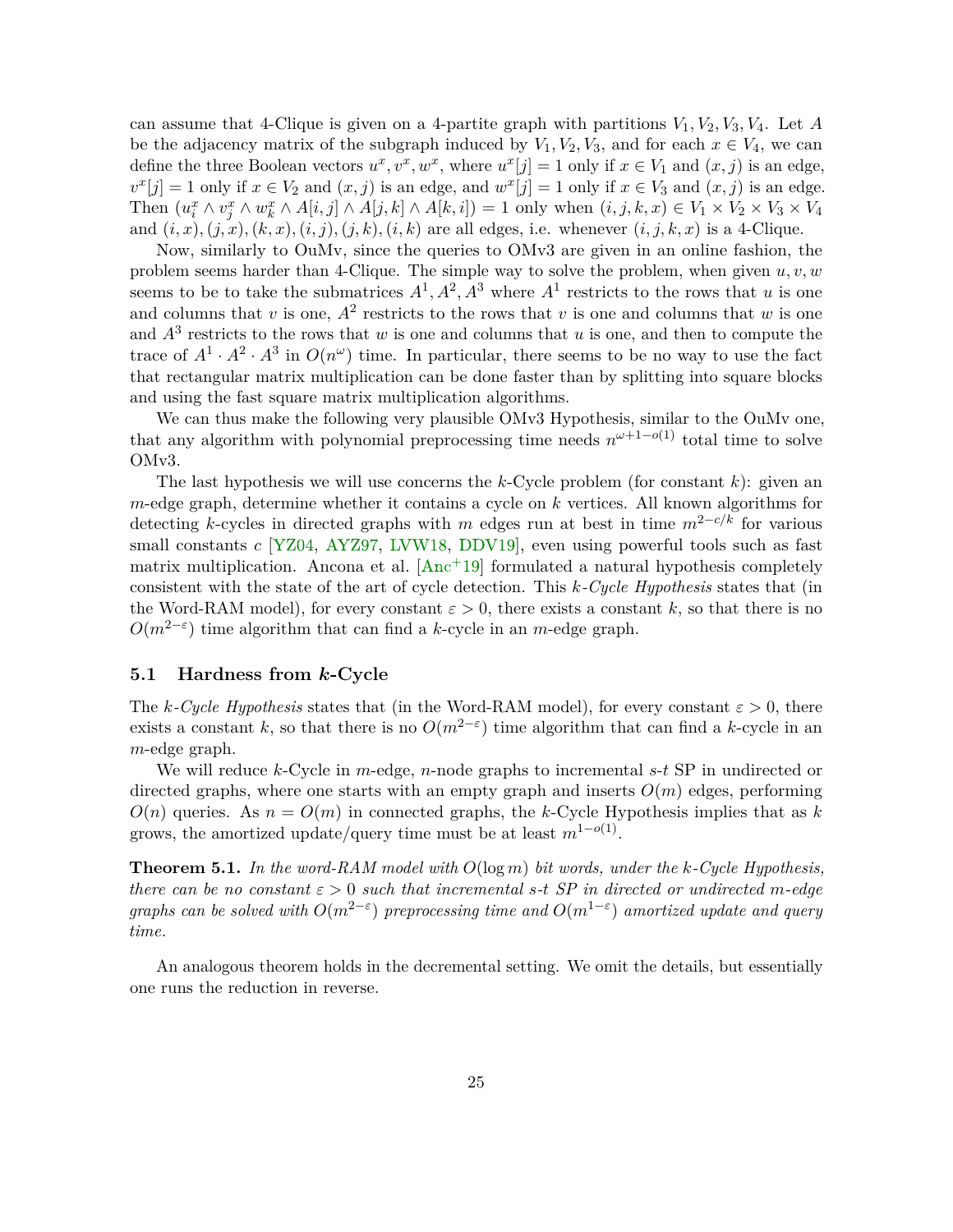<span id="page-25-1"></span>can assume that 4-Clique is given on a 4-partite graph with partitions  $V_1, V_2, V_3, V_4$ . Let *A* be the adjacency matrix of the subgraph induced by  $V_1, V_2, V_3$ , and for each  $x \in V_4$ , we can define the three Boolean vectors  $u^x, v^x, w^x$ , where  $u^x[j] = 1$  only if  $x \in V_1$  and  $(x, j)$  is an edge,  $v^x[j] = 1$  only if  $x \in V_2$  and  $(x, j)$  is an edge, and  $w^x[j] = 1$  only if  $x \in V_3$  and  $(x, j)$  is an edge. Then  $(u_i^x \wedge v_j^x \wedge w_k^x \wedge A[i,j] \wedge A[j,k] \wedge A[k,i]) = 1$  only when  $(i,j,k,x) \in V_1 \times V_2 \times V_3 \times V_4$ and  $(i, x), (j, x), (k, x), (i, j), (j, k), (i, k)$  are all edges, i.e. whenever  $(i, j, k, x)$  is a 4-Clique.

Now, similarly to OuMv, since the queries to OMv3 are given in an online fashion, the problem seems harder than 4-Clique. The simple way to solve the problem, when given *u, v, w* seems to be to take the submatrices  $A^1, A^2, A^3$  where  $A^1$  restricts to the rows that *u* is one and columns that *v* is one,  $A^2$  restricts to the rows that *v* is one and columns that *w* is one and *A*<sup>3</sup> restricts to the rows that *w* is one and columns that *u* is one, and then to compute the trace of  $A^1 \cdot A^2 \cdot A^3$  in  $O(n^{\omega})$  time. In particular, there seems to be no way to use the fact that rectangular matrix multiplication can be done faster than by splitting into square blocks and using the fast square matrix multiplication algorithms.

We can thus make the following very plausible OMv3 Hypothesis, similar to the OuMv one, that any algorithm with polynomial preprocessing time needs  $n^{\omega+1-o(1)}$  total time to solve OMv3.

The last hypothesis we will use concerns the *k*-Cycle problem (for constant *k*): given an *m*-edge graph, determine whether it contains a cycle on *k* vertices. All known algorithms for detecting *k*-cycles in directed graphs with *m* edges run at best in time *m*2−*c/k* for various small constants *c* [\[YZ04,](#page-38-3) [AYZ97,](#page-32-9) [LVW18,](#page-37-4) [DDV19\]](#page-34-6), even using powerful tools such as fast matrix multiplication. Ancona et al.  $[Anc+19]$  $[Anc+19]$  formulated a natural hypothesis completely consistent with the state of the art of cycle detection. This *k-Cycle Hypothesis* states that (in the Word-RAM model), for every constant  $\varepsilon > 0$ , there exists a constant k, so that there is no  $O(m^{2-\epsilon})$  time algorithm that can find a *k*-cycle in an *m*-edge graph.

## **5.1 Hardness from** *k***-Cycle**

The *k*-Cycle Hypothesis states that (in the Word-RAM model), for every constant  $\varepsilon > 0$ , there exists a constant *k*, so that there is no  $O(m^{2-\epsilon})$  time algorithm that can find a *k*-cycle in an *m*-edge graph.

We will reduce *k*-Cycle in *m*-edge, *n*-node graphs to incremental *s*-*t* SP in undirected or directed graphs, where one starts with an empty graph and inserts  $O(m)$  edges, performing  $O(n)$  queries. As  $n = O(m)$  in connected graphs, the *k*-Cycle Hypothesis implies that as *k* grows, the amortized update/query time must be at least  $m^{1-o(1)}$ .

<span id="page-25-0"></span>**Theorem 5.1.** *In the word-RAM model with O*(log *m*) *bit words, under the k-Cycle Hypothesis, there can be no constant*  $\varepsilon > 0$  *such that incremental*  $s$ *-t*  $SP$  *in directed or undirected m-edge graphs can be solved with*  $O(m^{2-\varepsilon})$  *preprocessing time and*  $O(m^{1-\varepsilon})$  *amortized update and query time.*

An analogous theorem holds in the decremental setting. We omit the details, but essentially one runs the reduction in reverse.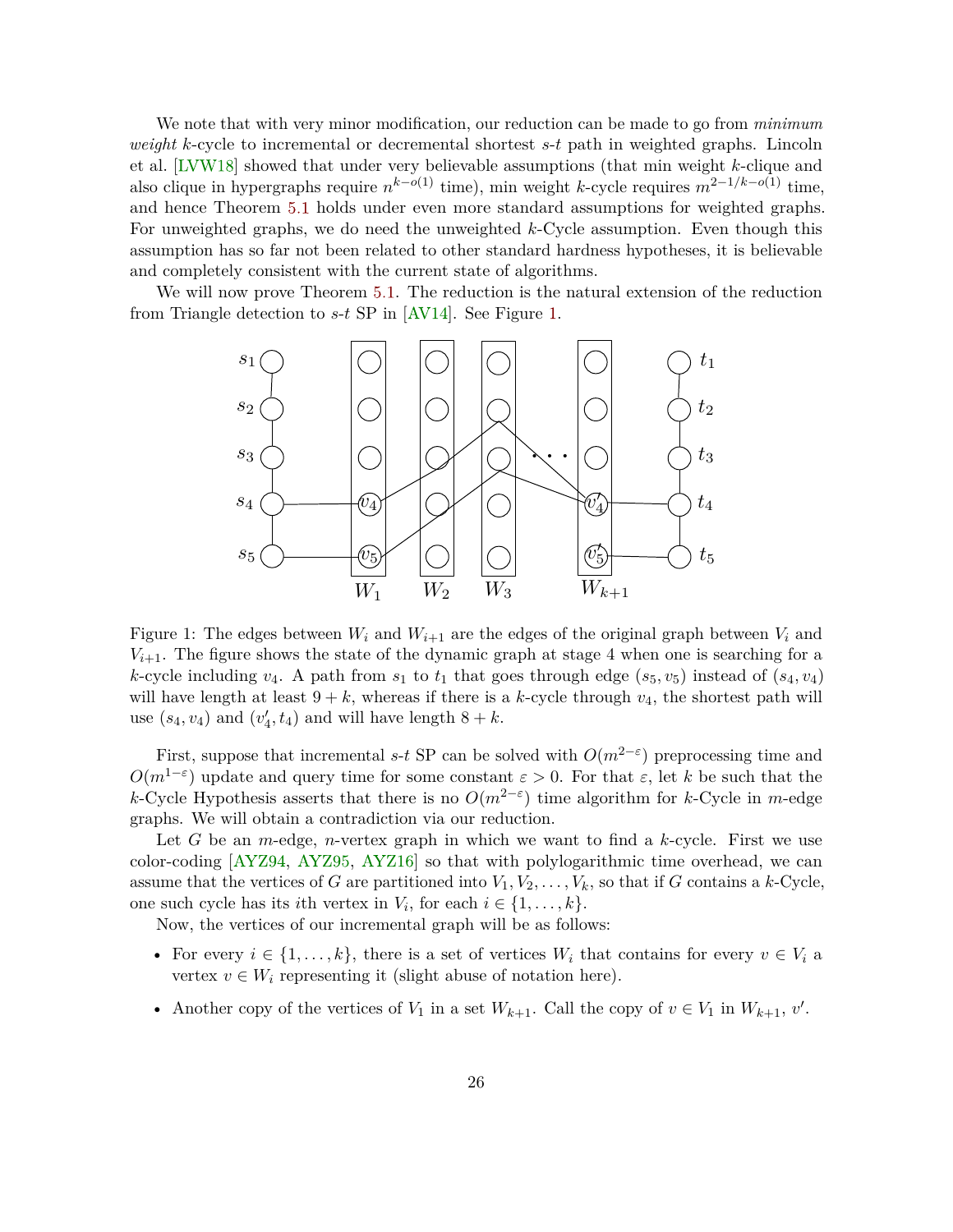<span id="page-26-1"></span>We note that with very minor modification, our reduction can be made to go from *minimum weight k*-cycle to incremental or decremental shortest *s*-*t* path in weighted graphs. Lincoln et al. [\[LVW18\]](#page-37-4) showed that under very believable assumptions (that min weight *k*-clique and also clique in hypergraphs require *n <sup>k</sup>*−*o*(1) time), min weight *k*-cycle requires *m*2−1*/k*−*o*(1) time, and hence Theorem [5.1](#page-25-0) holds under even more standard assumptions for weighted graphs. For unweighted graphs, we do need the unweighted *k*-Cycle assumption. Even though this assumption has so far not been related to other standard hardness hypotheses, it is believable and completely consistent with the current state of algorithms.

We will now prove Theorem [5.1.](#page-25-0) The reduction is the natural extension of the reduction from Triangle detection to *s*-*t* SP in [\[AV14\]](#page-32-2). See Figure [1.](#page-26-0)



<span id="page-26-0"></span>Figure 1: The edges between  $W_i$  and  $W_{i+1}$  are the edges of the original graph between  $V_i$  and  $V_{i+1}$ . The figure shows the state of the dynamic graph at stage 4 when one is searching for a *k*-cycle including  $v_4$ . A path from  $s_1$  to  $t_1$  that goes through edge ( $s_5, v_5$ ) instead of ( $s_4, v_4$ ) will have length at least  $9 + k$ , whereas if there is a *k*-cycle through  $v_4$ , the shortest path will use  $(s_4, v_4)$  and  $(v'_4, t_4)$  and will have length  $8 + k$ .

First, suppose that incremental *s*-*t* SP can be solved with  $O(m^{2-\epsilon})$  preprocessing time and  $O(m^{1-\epsilon})$  update and query time for some constant  $\varepsilon > 0$ . For that  $\varepsilon$ , let *k* be such that the *k*-Cycle Hypothesis asserts that there is no  $O(m^{2-\epsilon})$  time algorithm for *k*-Cycle in *m*-edge graphs. We will obtain a contradiction via our reduction.

Let *G* be an *m*-edge, *n*-vertex graph in which we want to find a *k*-cycle. First we use color-coding [\[AYZ94,](#page-32-10) [AYZ95,](#page-32-11) [AYZ16\]](#page-32-12) so that with polylogarithmic time overhead, we can assume that the vertices of *G* are partitioned into  $V_1, V_2, \ldots, V_k$ , so that if *G* contains a *k*-Cycle, one such cycle has its *i*th vertex in  $V_i$ , for each  $i \in \{1, \ldots, k\}$ .

Now, the vertices of our incremental graph will be as follows:

- For every  $i \in \{1, \ldots, k\}$ , there is a set of vertices  $W_i$  that contains for every  $v \in V_i$  a vertex  $v \in W_i$  representing it (slight abuse of notation here).
- Another copy of the vertices of  $V_1$  in a set  $W_{k+1}$ . Call the copy of  $v \in V_1$  in  $W_{k+1}$ ,  $v'$ .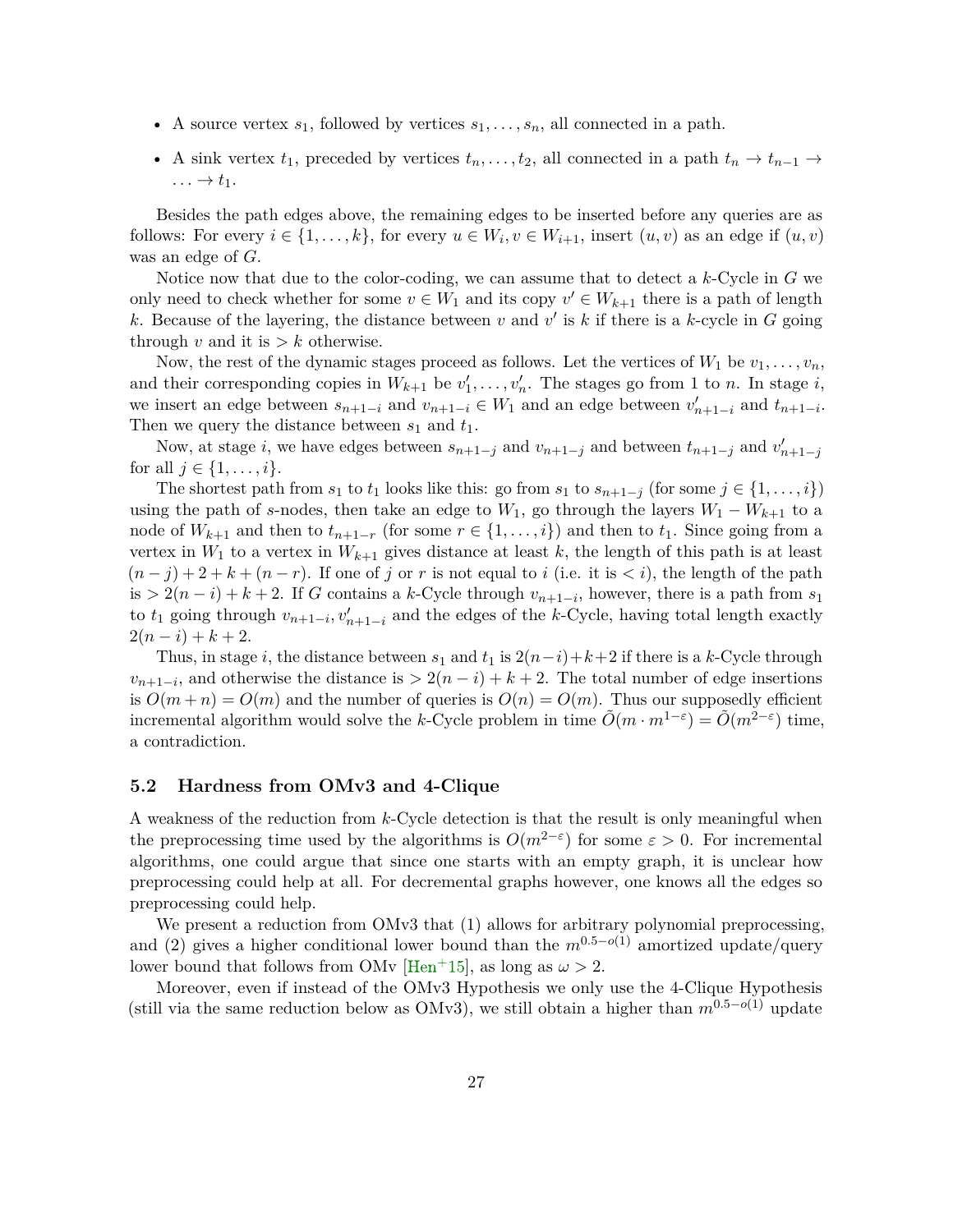- <span id="page-27-0"></span>• A source vertex  $s_1$ , followed by vertices  $s_1, \ldots, s_n$ , all connected in a path.
- A sink vertex  $t_1$ , preceded by vertices  $t_n, \ldots, t_2$ , all connected in a path  $t_n \to t_{n-1} \to$  $\ldots \rightarrow t_1.$

Besides the path edges above, the remaining edges to be inserted before any queries are as follows: For every  $i \in \{1, \ldots, k\}$ , for every  $u \in W_i$ ,  $v \in W_{i+1}$ , insert  $(u, v)$  as an edge if  $(u, v)$ was an edge of *G*.

Notice now that due to the color-coding, we can assume that to detect a *k*-Cycle in *G* we only need to check whether for some  $v \in W_1$  and its copy  $v' \in W_{k+1}$  there is a path of length k. Because of the layering, the distance between  $v$  and  $v'$  is  $k$  if there is a  $k$ -cycle in  $G$  going through  $v$  and it is  $> k$  otherwise.

Now, the rest of the dynamic stages proceed as follows. Let the vertices of  $W_1$  be  $v_1, \ldots, v_n$ , and their corresponding copies in  $W_{k+1}$  be  $v'_1, \ldots, v'_n$ . The stages go from 1 to *n*. In stage *i*, we insert an edge between  $s_{n+1-i}$  and  $v_{n+1-i} \in W_1$  and an edge between  $v'_{n+1-i}$  and  $t_{n+1-i}$ . Then we query the distance between  $s_1$  and  $t_1$ .

Now, at stage *i*, we have edges between  $s_{n+1-j}$  and  $v_{n+1-j}$  and between  $t_{n+1-j}$  and  $v'_{n+1-j}$ for all  $j \in \{1, ..., i\}$ .

The shortest path from  $s_1$  to  $t_1$  looks like this: go from  $s_1$  to  $s_{n+1-j}$  (for some  $j \in \{1, \ldots, i\}$ ) using the path of *s*-nodes, then take an edge to  $W_1$ , go through the layers  $W_1 - W_{k+1}$  to a node of  $W_{k+1}$  and then to  $t_{n+1-r}$  (for some  $r \in \{1, \ldots, i\}$ ) and then to  $t_1$ . Since going from a vertex in  $W_1$  to a vertex in  $W_{k+1}$  gives distance at least k, the length of this path is at least  $(n-j)+2+k+(n-r)$ . If one of *j* or *r* is not equal to *i* (i.e. it is  $\lt i$ ), the length of the path is  $> 2(n-i) + k + 2$ . If *G* contains a *k*-Cycle through  $v_{n+1-i}$ , however, there is a path from *s*<sub>1</sub> to  $t_1$  going through  $v_{n+1-i}$ ,  $v'_{n+1-i}$  and the edges of the *k*-Cycle, having total length exactly  $2(n-i) + k + 2$ .

Thus, in stage *i*, the distance between  $s_1$  and  $t_1$  is  $2(n-i)+k+2$  if there is a *k*-Cycle through  $v_{n+1-i}$ , and otherwise the distance is  $> 2(n-i) + k + 2$ . The total number of edge insertions is  $O(m+n) = O(m)$  and the number of queries is  $O(n) = O(m)$ . Thus our supposedly efficient incremental algorithm would solve the *k*-Cycle problem in time  $\tilde{O}(m \cdot m^{1-\epsilon}) = \tilde{O}(m^{2-\epsilon})$  time, a contradiction.

## **5.2 Hardness from OMv3 and 4-Clique**

A weakness of the reduction from *k*-Cycle detection is that the result is only meaningful when the preprocessing time used by the algorithms is  $O(m^{2-\epsilon})$  for some  $\varepsilon > 0$ . For incremental algorithms, one could argue that since one starts with an empty graph, it is unclear how preprocessing could help at all. For decremental graphs however, one knows all the edges so preprocessing could help.

We present a reduction from OMv3 that  $(1)$  allows for arbitrary polynomial preprocessing, and (2) gives a higher conditional lower bound than the  $m^{0.5-o(1)}$  amortized update/query lower bound that follows from OMv [\[Hen](#page-35-2)<sup>+</sup>15], as long as  $\omega > 2$ .

Moreover, even if instead of the OMv3 Hypothesis we only use the 4-Clique Hypothesis (still via the same reduction below as OMv3), we still obtain a higher than  $m^{0.5-o(1)}$  update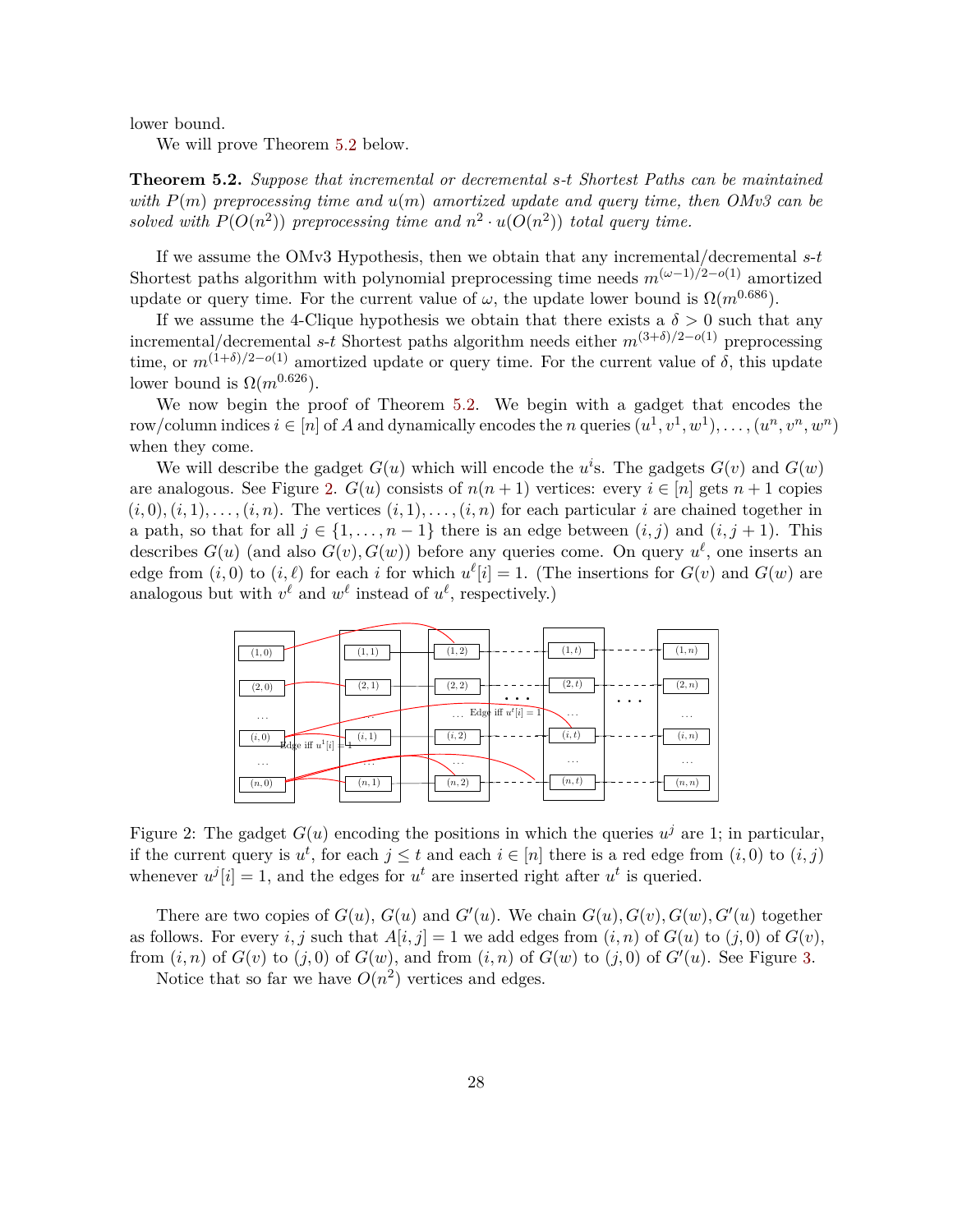lower bound.

We will prove Theorem [5.2](#page-28-0) below.

<span id="page-28-0"></span>**Theorem 5.2.** *Suppose that incremental or decremental s-t Shortest Paths can be maintained with P*(*m*) *preprocessing time and u*(*m*) *amortized update and query time, then OMv3 can be* solved with  $P(O(n^2))$  preprocessing time and  $n^2 \cdot u(O(n^2))$  total query time.

If we assume the OMv3 Hypothesis, then we obtain that any incremental/decremental *s*-*t* Shortest paths algorithm with polynomial preprocessing time needs  $m^{(\omega-1)/2-o(1)}$  amortized update or query time. For the current value of  $\omega$ , the update lower bound is  $\Omega(m^{0.686})$ .

If we assume the 4-Clique hypothesis we obtain that there exists a  $\delta > 0$  such that any incremental/decremental *s*-*t* Shortest paths algorithm needs either  $m^{(3+\delta)/2-o(1)}$  preprocessing time, or  $m^{(1+\delta)/2-o(1)}$  amortized update or query time. For the current value of  $\delta$ , this update lower bound is  $\Omega(m^{0.626})$ .

We now begin the proof of Theorem [5.2.](#page-28-0) We begin with a gadget that encodes the row/column indices  $i \in [n]$  of *A* and dynamically encodes the *n* queries  $(u^1, v^1, w^1), \ldots, (u^n, v^n, w^n)$ when they come.

We will describe the gadget  $G(u)$  which will encode the  $u^i$ s. The gadgets  $G(v)$  and  $G(w)$ are analogous. See Figure [2.](#page-28-1)  $G(u)$  consists of  $n(n+1)$  vertices: every  $i \in [n]$  gets  $n+1$  copies  $(i,0), (i,1), \ldots, (i,n)$ . The vertices  $(i,1), \ldots, (i,n)$  for each particular *i* are chained together in a path, so that for all  $j \in \{1, \ldots, n-1\}$  there is an edge between  $(i, j)$  and  $(i, j + 1)$ . This describes  $G(u)$  (and also  $G(v)$ ,  $G(w)$ ) before any queries come. On query  $u^{\ell}$ , one inserts an edge from  $(i, 0)$  to  $(i, \ell)$  for each *i* for which  $u^{\ell}[i] = 1$ . (The insertions for  $G(v)$  and  $G(w)$  are analogous but with  $v^{\ell}$  and  $w^{\ell}$  instead of  $u^{\ell}$ , respectively.)



<span id="page-28-1"></span>Figure 2: The gadget  $G(u)$  encoding the positions in which the queries  $u^j$  are 1; in particular, if the current query is  $u^t$ , for each  $j \leq t$  and each  $i \in [n]$  there is a red edge from  $(i, 0)$  to  $(i, j)$ whenever  $u^j[i] = 1$ , and the edges for  $u^t$  are inserted right after  $u^t$  is queried.

There are two copies of  $G(u)$ ,  $G(u)$  and  $G'(u)$ . We chain  $G(u)$ ,  $G(v)$ ,  $G(w)$ ,  $G'(u)$  together as follows. For every *i, j* such that  $A[i, j] = 1$  we add edges from  $(i, n)$  of  $G(u)$  to  $(j, 0)$  of  $G(v)$ , from  $(i, n)$  of  $G(v)$  to  $(j, 0)$  of  $G(w)$ , and from  $(i, n)$  of  $G(w)$  to  $(j, 0)$  of  $G'(u)$ . See Figure [3.](#page-29-0)

<span id="page-28-2"></span>Notice that so far we have  $O(n^2)$  vertices and edges.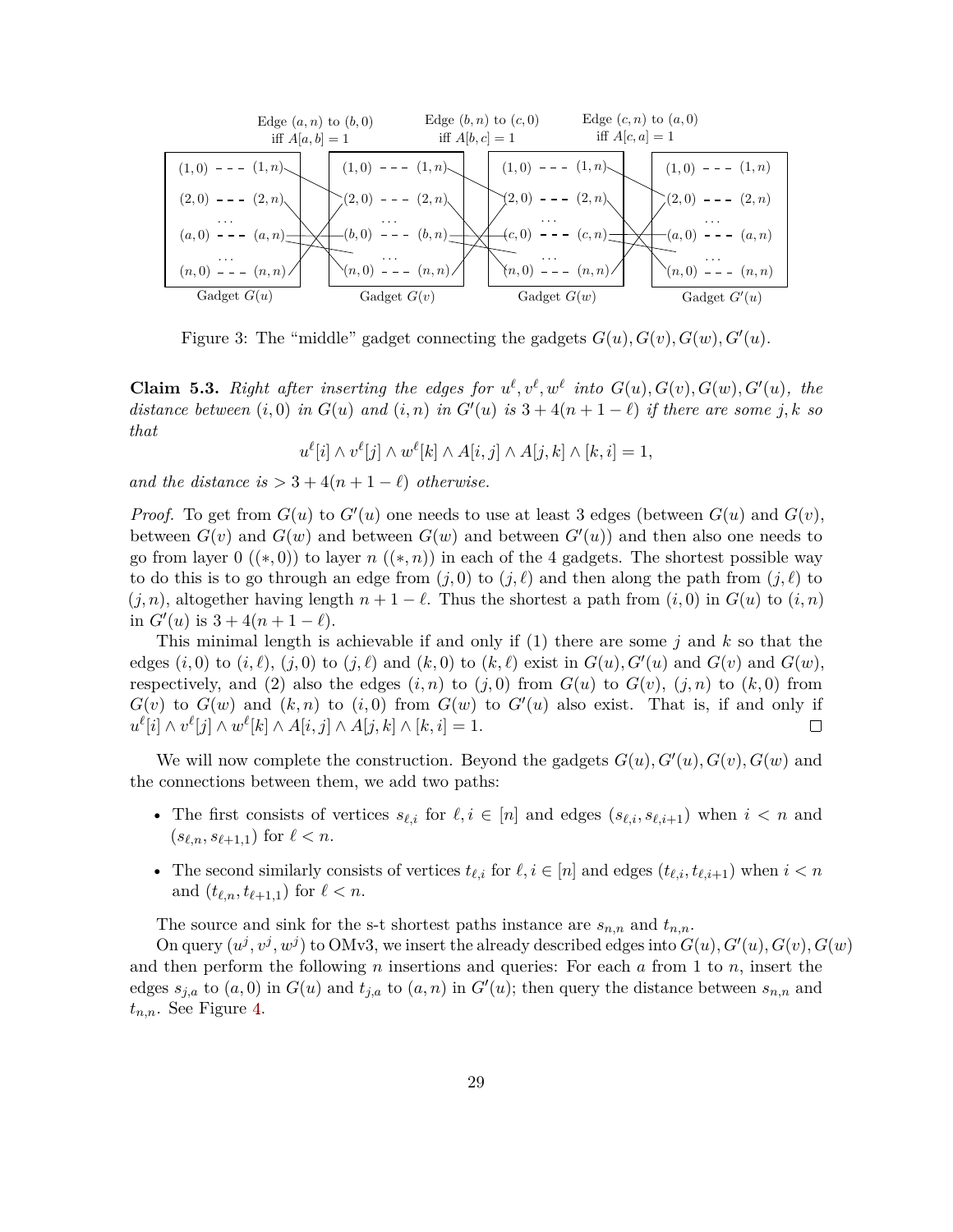

<span id="page-29-0"></span>Figure 3: The "middle" gadget connecting the gadgets  $G(u)$ ,  $G(v)$ ,  $G(w)$ ,  $G'(u)$ .

**Claim 5.3.** Right after inserting the edges for  $u^{\ell}, v^{\ell}, w^{\ell}$  into  $G(u), G(v), G(w), G'(u),$  the *distance between*  $(i, 0)$  *in*  $G(u)$  *and*  $(i, n)$  *in*  $G'(u)$  *is*  $3 + 4(n + 1 - \ell)$  *if there are some j, k so that*

$$
u^{\ell}[i] \wedge v^{\ell}[j] \wedge w^{\ell}[k] \wedge A[i,j] \wedge A[j,k] \wedge [k,i] = 1,
$$

*and the distance is*  $> 3 + 4(n + 1 - \ell)$  *otherwise.* 

*Proof.* To get from  $G(u)$  to  $G'(u)$  one needs to use at least 3 edges (between  $G(u)$  and  $G(v)$ , between  $G(v)$  and  $G(w)$  and between  $G(w)$  and between  $G'(u)$ ) and then also one needs to go from layer  $0 \ (\ast, 0)$  to layer  $n \ (\ast, n)$  in each of the 4 gadgets. The shortest possible way to do this is to go through an edge from  $(j, 0)$  to  $(j, \ell)$  and then along the path from  $(j, \ell)$  to  $(j, n)$ , altogether having length  $n + 1 - \ell$ . Thus the shortest a path from  $(i, 0)$  in  $G(u)$  to  $(i, n)$ in  $G'(u)$  is  $3 + 4(n + 1 - \ell)$ .

This minimal length is achievable if and only if (1) there are some *j* and *k* so that the edges  $(i,0)$  to  $(i, \ell)$ ,  $(j,0)$  to  $(j, \ell)$  and  $(k, 0)$  to  $(k, \ell)$  exist in  $G(u)$ *, G'*(*u*) and  $G(v)$  and  $G(w)$ *,* respectively, and (2) also the edges  $(i, n)$  to  $(j, 0)$  from  $G(u)$  to  $G(v)$ ,  $(j, n)$  to  $(k, 0)$  from  $G(v)$  to  $G(w)$  and  $(k, n)$  to  $(i, 0)$  from  $G(w)$  to  $G'(u)$  also exist. That is, if and only if  $u^{\ell}[i] \wedge v^{\ell}[j] \wedge w^{\ell}[k] \wedge A[i,j] \wedge A[j,k] \wedge [k,i] = 1.$  $\Box$ 

We will now complete the construction. Beyond the gadgets  $G(u)$ ,  $G'(u)$ ,  $G(v)$ ,  $G(w)$  and the connections between them, we add two paths:

- The first consists of vertices  $s_{\ell,i}$  for  $\ell, i \in [n]$  and edges  $(s_{\ell,i}, s_{\ell,i+1})$  when  $i < n$  and  $(s_{\ell,n}, s_{\ell+1,1})$  for  $\ell < n$ .
- The second similarly consists of vertices  $t_{\ell,i}$  for  $\ell, i \in [n]$  and edges  $(t_{\ell,i}, t_{\ell,i+1})$  when  $i < n$ and  $(t_{\ell,n}, t_{\ell+1,1})$  for  $\ell < n$ .

The source and sink for the s-t shortest paths instance are  $s_{n,n}$  and  $t_{n,n}$ .

On query  $(u^j, v^j, w^j)$  to OMv3, we insert the already described edges into  $G(u)$ ,  $G'(u)$ ,  $G(v)$ ,  $G(w)$ and then perform the following *n* insertions and queries: For each *a* from 1 to *n*, insert the edges  $s_{j,a}$  to  $(a,0)$  in  $G(u)$  and  $t_{j,a}$  to  $(a,n)$  in  $G'(u)$ ; then query the distance between  $s_{n,n}$  and *tn,n*. See Figure [4.](#page-30-0)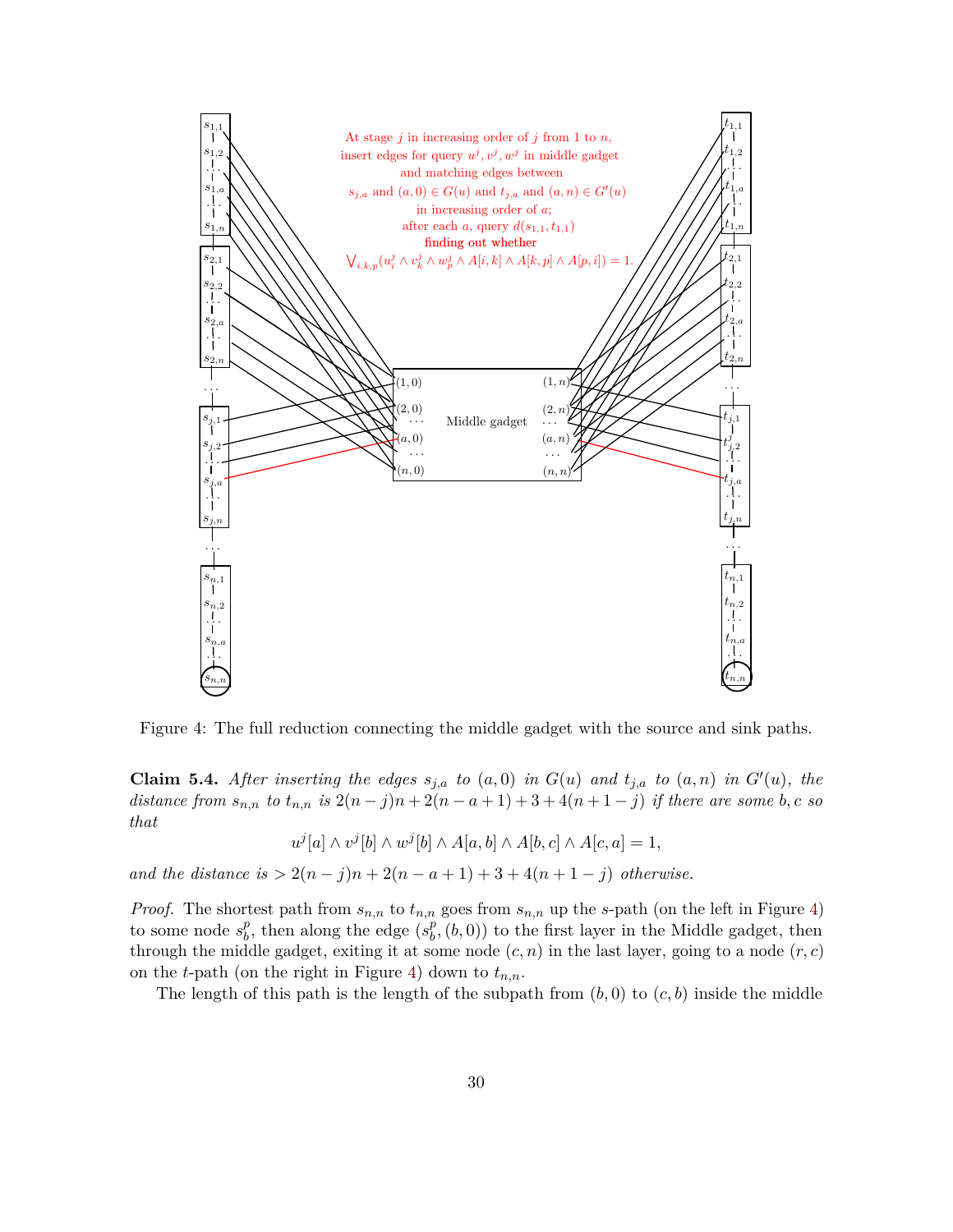

<span id="page-30-0"></span>Figure 4: The full reduction connecting the middle gadget with the source and sink paths.

**Claim 5.4.** After inserting the edges  $s_{j,a}$  to  $(a,0)$  in  $G(u)$  and  $t_{j,a}$  to  $(a,n)$  in  $G'(u)$ *, the distance from*  $s_{n,n}$  *to*  $t_{n,n}$  *is*  $2(n-j)n + 2(n-a+1) + 3 + 4(n+1-j)$  *if there are some b, c so that*

$$
u^{j}[a] \wedge v^{j}[b] \wedge w^{j}[b] \wedge A[a,b] \wedge A[b,c] \wedge A[c,a] = 1,
$$

*and the distance is*  $> 2(n - j)n + 2(n - a + 1) + 3 + 4(n + 1 - j)$  *otherwise.* 

*Proof.* The shortest path from *sn,n* to *tn,n* goes from *sn,n* up the *s*-path (on the left in Figure [4\)](#page-30-0) to some node  $s_h^p$  $\frac{p}{b}$ , then along the edge  $(s_b^p)$  $\binom{p}{b}$ ,  $(b, 0)$  to the first layer in the Middle gadget, then through the middle gadget, exiting it at some node  $(c, n)$  in the last layer, going to a node  $(r, c)$ on the *t*-path (on the right in Figure [4\)](#page-30-0) down to *tn,n*.

The length of this path is the length of the subpath from  $(b, 0)$  to  $(c, b)$  inside the middle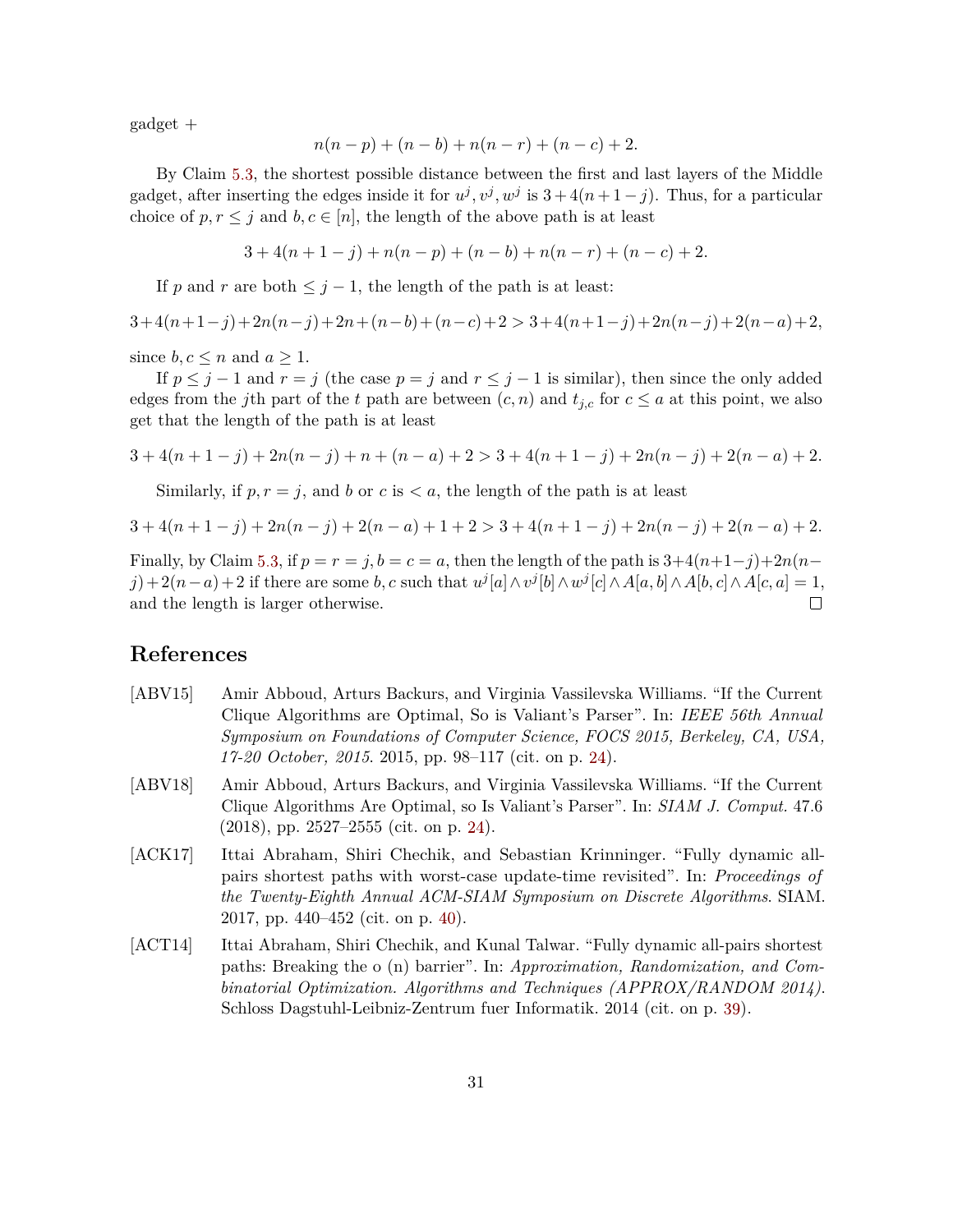gadget +

$$
n(n-p) + (n - b) + n(n - r) + (n - c) + 2.
$$

By Claim [5.3,](#page-28-2) the shortest possible distance between the first and last layers of the Middle gadget, after inserting the edges inside it for  $u^j, v^j, w^j$  is  $3 + 4(n + 1 - j)$ . Thus, for a particular choice of  $p, r \leq j$  and  $b, c \in [n]$ , the length of the above path is at least

$$
3 + 4(n + 1 - j) + n(n - p) + (n - b) + n(n - r) + (n - c) + 2.
$$

If *p* and *r* are both  $\leq j-1$ , the length of the path is at least:

$$
3+4(n+1-j)+2n(n-j)+2n+(n-b)+(n-c)+2>3+4(n+1-j)+2n(n-j)+2(n-a)+2,
$$

since  $b, c \leq n$  and  $a \geq 1$ .

If  $p \leq j - 1$  and  $r = j$  (the case  $p = j$  and  $r \leq j - 1$  is similar), then since the only added edges from the *j*th part of the *t* path are between  $(c, n)$  and  $t_{j,c}$  for  $c \le a$  at this point, we also get that the length of the path is at least

$$
3 + 4(n + 1 - j) + 2n(n - j) + n + (n - a) + 2 > 3 + 4(n + 1 - j) + 2n(n - j) + 2(n - a) + 2.
$$

Similarly, if  $p, r = j$ , and b or  $c$  is  $\lt a$ , the length of the path is at least

$$
3 + 4(n + 1 - j) + 2n(n - j) + 2(n - a) + 1 + 2 > 3 + 4(n + 1 - j) + 2n(n - j) + 2(n - a) + 2.
$$

Finally, by Claim [5.3,](#page-28-2) if  $p = r = j$ ,  $b = c = a$ , then the length of the path is  $3+4(n+1-j)+2n(n-1)$  $j+2(n-a)+2$  if there are some b, c such that  $u^j[a] \wedge v^j[b] \wedge w^j[c] \wedge A[a,b] \wedge A[b,c] \wedge A[c,a] = 1$ , and the length is larger otherwise.  $\Box$ 

## **References**

- <span id="page-31-0"></span>[ABV15] Amir Abboud, Arturs Backurs, and Virginia Vassilevska Williams. "If the Current Clique Algorithms are Optimal, So is Valiant's Parser". In: *IEEE 56th Annual Symposium on Foundations of Computer Science, FOCS 2015, Berkeley, CA, USA, 17-20 October, 2015*. 2015, pp. 98–117 (cit. on p. [24\)](#page-24-0).
- <span id="page-31-1"></span>[ABV18] Amir Abboud, Arturs Backurs, and Virginia Vassilevska Williams. "If the Current Clique Algorithms Are Optimal, so Is Valiant's Parser". In: *SIAM J. Comput.* 47.6  $(2018)$ , pp. 2527–2555 (cit. on p. [24\)](#page-24-0).
- <span id="page-31-3"></span>[ACK17] Ittai Abraham, Shiri Chechik, and Sebastian Krinninger. "Fully dynamic allpairs shortest paths with worst-case update-time revisited". In: *Proceedings of the Twenty-Eighth Annual ACM-SIAM Symposium on Discrete Algorithms*. SIAM. 2017, pp. 440–452 (cit. on p. [40\)](#page-40-0).
- <span id="page-31-2"></span>[ACT14] Ittai Abraham, Shiri Chechik, and Kunal Talwar. "Fully dynamic all-pairs shortest paths: Breaking the o (n) barrier". In: *Approximation, Randomization, and Combinatorial Optimization. Algorithms and Techniques (APPROX/RANDOM 2014)*. Schloss Dagstuhl-Leibniz-Zentrum fuer Informatik. 2014 (cit. on p. [39\)](#page-39-0).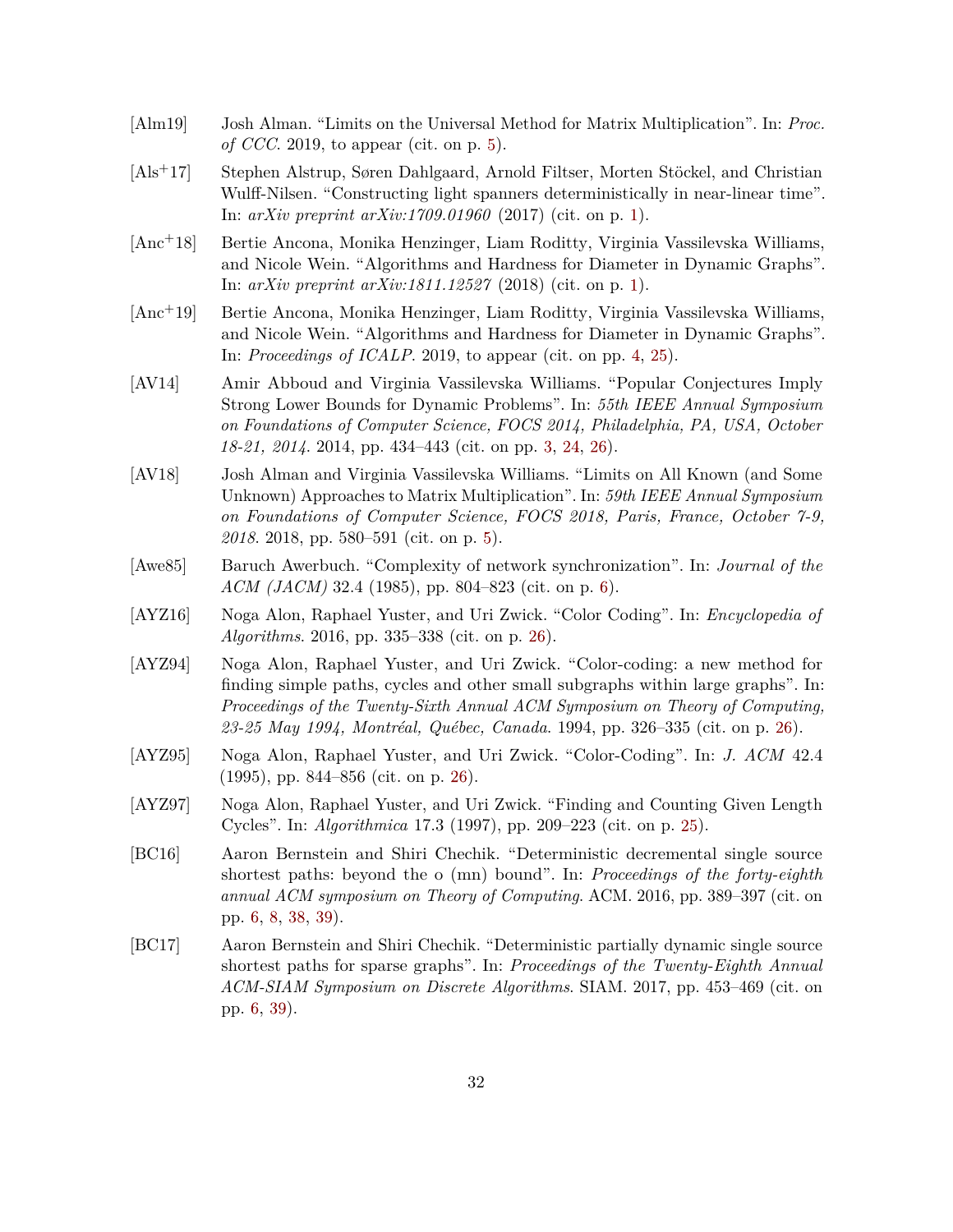- <span id="page-32-5"></span>[Alm19] Josh Alman. "Limits on the Universal Method for Matrix Multiplication". In: *Proc. of CCC*. 2019, to appear (cit. on p. [5\)](#page-5-2).
- <span id="page-32-1"></span>[Als+17] Stephen Alstrup, Søren Dahlgaard, Arnold Filtser, Morten Stöckel, and Christian Wulff-Nilsen. "Constructing light spanners deterministically in near-linear time". In: *arXiv preprint arXiv:1709.01960* (2017) (cit. on p. [1\)](#page-0-1).
- <span id="page-32-0"></span>[Anc+18] Bertie Ancona, Monika Henzinger, Liam Roditty, Virginia Vassilevska Williams, and Nicole Wein. "Algorithms and Hardness for Diameter in Dynamic Graphs". In: *arXiv preprint arXiv:1811.12527* (2018) (cit. on p. [1\)](#page-0-1).
- <span id="page-32-3"></span>[Anc+19] Bertie Ancona, Monika Henzinger, Liam Roditty, Virginia Vassilevska Williams, and Nicole Wein. "Algorithms and Hardness for Diameter in Dynamic Graphs". In: *Proceedings of ICALP*. 2019, to appear (cit. on pp. [4,](#page-4-2) [25\)](#page-25-1).
- <span id="page-32-2"></span>[AV14] Amir Abboud and Virginia Vassilevska Williams. "Popular Conjectures Imply Strong Lower Bounds for Dynamic Problems". In: *55th IEEE Annual Symposium on Foundations of Computer Science, FOCS 2014, Philadelphia, PA, USA, October 18-21, 2014*. 2014, pp. 434–443 (cit. on pp. [3,](#page-3-1) [24,](#page-24-0) [26\)](#page-26-1).
- <span id="page-32-4"></span>[AV18] Josh Alman and Virginia Vassilevska Williams. "Limits on All Known (and Some Unknown) Approaches to Matrix Multiplication". In: *59th IEEE Annual Symposium on Foundations of Computer Science, FOCS 2018, Paris, France, October 7-9, 2018*. 2018, pp. 580–591 (cit. on p. [5\)](#page-5-2).
- <span id="page-32-6"></span>[Awe85] Baruch Awerbuch. "Complexity of network synchronization". In: *Journal of the ACM (JACM)* 32.4 (1985), pp. 804–823 (cit. on p. [6\)](#page-6-0).
- <span id="page-32-12"></span>[AYZ16] Noga Alon, Raphael Yuster, and Uri Zwick. "Color Coding". In: *Encyclopedia of Algorithms*. 2016, pp. 335–338 (cit. on p. [26\)](#page-26-1).
- <span id="page-32-10"></span>[AYZ94] Noga Alon, Raphael Yuster, and Uri Zwick. "Color-coding: a new method for finding simple paths, cycles and other small subgraphs within large graphs". In: *Proceedings of the Twenty-Sixth Annual ACM Symposium on Theory of Computing, 23-25 May 1994, Montréal, Québec, Canada*. 1994, pp. 326–335 (cit. on p. [26\)](#page-26-1).
- <span id="page-32-11"></span>[AYZ95] Noga Alon, Raphael Yuster, and Uri Zwick. "Color-Coding". In: *J. ACM* 42.4 (1995), pp. 844–856 (cit. on p. [26\)](#page-26-1).
- <span id="page-32-9"></span>[AYZ97] Noga Alon, Raphael Yuster, and Uri Zwick. "Finding and Counting Given Length Cycles". In: *Algorithmica* 17.3 (1997), pp. 209–223 (cit. on p. [25\)](#page-25-1).
- <span id="page-32-7"></span>[BC16] Aaron Bernstein and Shiri Chechik. "Deterministic decremental single source shortest paths: beyond the o (mn) bound". In: *Proceedings of the forty-eighth annual ACM symposium on Theory of Computing*. ACM. 2016, pp. 389–397 (cit. on pp. [6,](#page-6-0) [8,](#page-8-1) [38,](#page-38-4) [39\)](#page-39-0).
- <span id="page-32-8"></span>[BC17] Aaron Bernstein and Shiri Chechik. "Deterministic partially dynamic single source shortest paths for sparse graphs". In: *Proceedings of the Twenty-Eighth Annual ACM-SIAM Symposium on Discrete Algorithms*. SIAM. 2017, pp. 453–469 (cit. on pp. [6,](#page-6-0) [39\)](#page-39-0).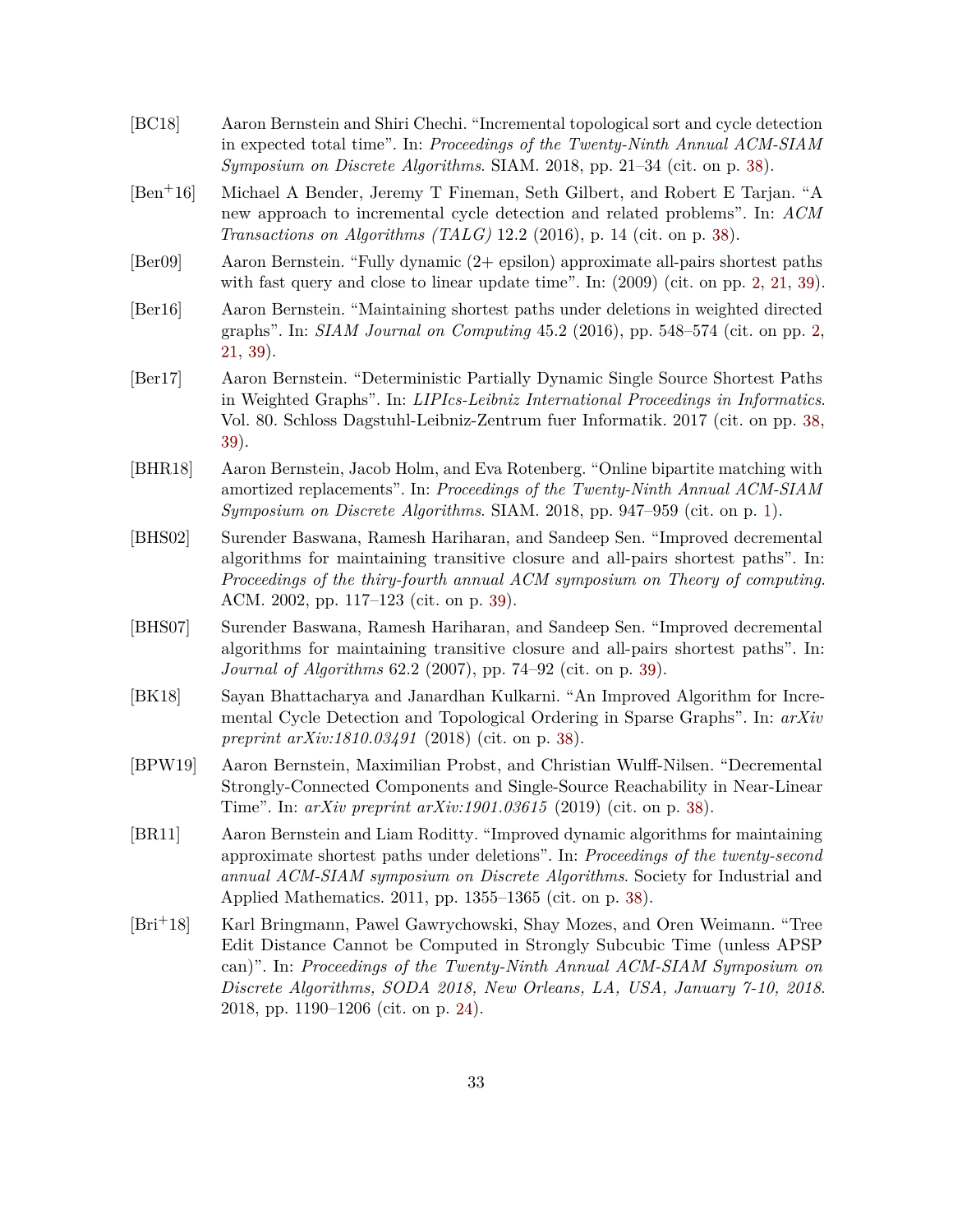- <span id="page-33-6"></span>[BC18] Aaron Bernstein and Shiri Chechi. "Incremental topological sort and cycle detection in expected total time". In: *Proceedings of the Twenty-Ninth Annual ACM-SIAM Symposium on Discrete Algorithms*. SIAM. 2018, pp. 21–34 (cit. on p. [38\)](#page-38-4).
- <span id="page-33-7"></span>[Ben+16] Michael A Bender, Jeremy T Fineman, Seth Gilbert, and Robert E Tarjan. "A new approach to incremental cycle detection and related problems". In: *ACM Transactions on Algorithms (TALG)* 12.2 (2016), p. 14 (cit. on p. [38\)](#page-38-4).
- <span id="page-33-1"></span>[Ber09] Aaron Bernstein. "Fully dynamic (2+ epsilon) approximate all-pairs shortest paths with fast query and close to linear update time". In:  $(2009)$  (cit. on pp. [2,](#page-2-0) [21,](#page-21-1) [39\)](#page-39-0).
- <span id="page-33-2"></span>[Ber16] Aaron Bernstein. "Maintaining shortest paths under deletions in weighted directed graphs". In: *SIAM Journal on Computing* 45.2 (2016), pp. 548–574 (cit. on pp. [2,](#page-2-0) [21,](#page-21-1) [39\)](#page-39-0).
- <span id="page-33-9"></span>[Ber17] Aaron Bernstein. "Deterministic Partially Dynamic Single Source Shortest Paths in Weighted Graphs". In: *LIPIcs-Leibniz International Proceedings in Informatics*. Vol. 80. Schloss Dagstuhl-Leibniz-Zentrum fuer Informatik. 2017 (cit. on pp. [38,](#page-38-4) [39\)](#page-39-0).
- <span id="page-33-0"></span>[BHR18] Aaron Bernstein, Jacob Holm, and Eva Rotenberg. "Online bipartite matching with amortized replacements". In: *Proceedings of the Twenty-Ninth Annual ACM-SIAM Symposium on Discrete Algorithms*. SIAM. 2018, pp. 947–959 (cit. on p. [1\)](#page-0-1).
- <span id="page-33-10"></span>[BHS02] Surender Baswana, Ramesh Hariharan, and Sandeep Sen. "Improved decremental algorithms for maintaining transitive closure and all-pairs shortest paths". In: *Proceedings of the thiry-fourth annual ACM symposium on Theory of computing*. ACM. 2002, pp. 117–123 (cit. on p. [39\)](#page-39-0).
- <span id="page-33-11"></span>[BHS07] Surender Baswana, Ramesh Hariharan, and Sandeep Sen. "Improved decremental algorithms for maintaining transitive closure and all-pairs shortest paths". In: *Journal of Algorithms* 62.2 (2007), pp. 74–92 (cit. on p. [39\)](#page-39-0).
- <span id="page-33-5"></span>[BK18] Sayan Bhattacharya and Janardhan Kulkarni. "An Improved Algorithm for Incremental Cycle Detection and Topological Ordering in Sparse Graphs". In: *arXiv preprint arXiv:1810.03491* (2018) (cit. on p. [38\)](#page-38-4).
- <span id="page-33-4"></span>[BPW19] Aaron Bernstein, Maximilian Probst, and Christian Wulff-Nilsen. "Decremental Strongly-Connected Components and Single-Source Reachability in Near-Linear Time". In: *arXiv preprint arXiv:1901.03615* (2019) (cit. on p. [38\)](#page-38-4).
- <span id="page-33-8"></span>[BR11] Aaron Bernstein and Liam Roditty. "Improved dynamic algorithms for maintaining approximate shortest paths under deletions". In: *Proceedings of the twenty-second annual ACM-SIAM symposium on Discrete Algorithms*. Society for Industrial and Applied Mathematics. 2011, pp. 1355–1365 (cit. on p. [38\)](#page-38-4).
- <span id="page-33-3"></span>[Bri+18] Karl Bringmann, Pawel Gawrychowski, Shay Mozes, and Oren Weimann. "Tree Edit Distance Cannot be Computed in Strongly Subcubic Time (unless APSP can)". In: *Proceedings of the Twenty-Ninth Annual ACM-SIAM Symposium on Discrete Algorithms, SODA 2018, New Orleans, LA, USA, January 7-10, 2018*. 2018, pp. 1190–1206 (cit. on p. [24\)](#page-24-0).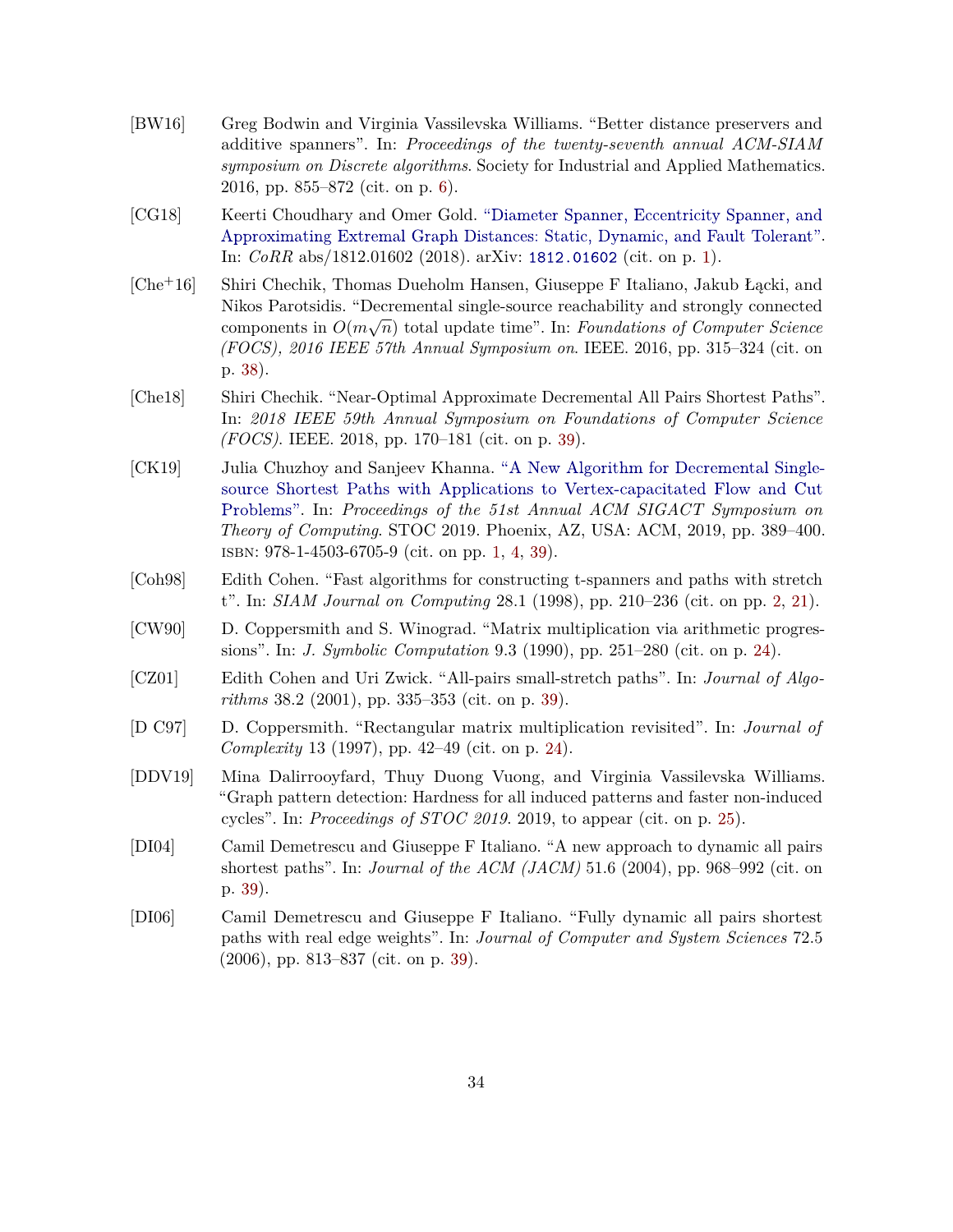- <span id="page-34-3"></span>[BW16] Greg Bodwin and Virginia Vassilevska Williams. "Better distance preservers and additive spanners". In: *Proceedings of the twenty-seventh annual ACM-SIAM symposium on Discrete algorithms*. Society for Industrial and Applied Mathematics. 2016, pp. 855–872 (cit. on p. [6\)](#page-6-0).
- <span id="page-34-0"></span>[CG18] Keerti Choudhary and Omer Gold. ["Diameter Spanner, Eccentricity Spanner, and](http://arxiv.org/abs/1812.01602) [Approximating Extremal Graph Distances: Static, Dynamic, and Fault Tolerant".](http://arxiv.org/abs/1812.01602) In: *CoRR* abs/1812.01602 (2018). arXiv: [1812.01602](http://arxiv.org/abs/1812.01602) (cit. on p. [1\)](#page-0-1).
- <span id="page-34-7"></span>[Che+16] Shiri Chechik, Thomas Dueholm Hansen, Giuseppe F Italiano, Jakub Łącki, and Nikos Parotsidis. "Decremental single-source reachability and strongly connected components in  $O(m\sqrt{n})$  total update time". In: *Foundations of Computer Science (FOCS), 2016 IEEE 57th Annual Symposium on*. IEEE. 2016, pp. 315–324 (cit. on p. [38\)](#page-38-4).
- <span id="page-34-9"></span>[Che18] Shiri Chechik. "Near-Optimal Approximate Decremental All Pairs Shortest Paths". In: *2018 IEEE 59th Annual Symposium on Foundations of Computer Science (FOCS)*. IEEE. 2018, pp. 170–181 (cit. on p. [39\)](#page-39-0).
- <span id="page-34-1"></span>[CK19] Julia Chuzhoy and Sanjeev Khanna. ["A New Algorithm for Decremental Single](http://dx.doi.org/10.1145/3313276.3316320)[source Shortest Paths with Applications to Vertex-capacitated Flow and Cut](http://dx.doi.org/10.1145/3313276.3316320) [Problems".](http://dx.doi.org/10.1145/3313276.3316320) In: *Proceedings of the 51st Annual ACM SIGACT Symposium on Theory of Computing*. STOC 2019. Phoenix, AZ, USA: ACM, 2019, pp. 389–400. isbn: 978-1-4503-6705-9 (cit. on pp. [1,](#page-0-1) [4,](#page-4-2) [39\)](#page-39-0).
- <span id="page-34-2"></span>[Coh98] Edith Cohen. "Fast algorithms for constructing t-spanners and paths with stretch t". In: *SIAM Journal on Computing* 28.1 (1998), pp. 210–236 (cit. on pp. [2,](#page-2-0) [21\)](#page-21-1).
- <span id="page-34-5"></span>[CW90] D. Coppersmith and S. Winograd. "Matrix multiplication via arithmetic progressions". In: *J. Symbolic Computation* 9.3 (1990), pp. 251–280 (cit. on p. [24\)](#page-24-0).
- <span id="page-34-8"></span>[CZ01] Edith Cohen and Uri Zwick. "All-pairs small-stretch paths". In: *Journal of Algorithms* 38.2 (2001), pp. 335–353 (cit. on p. [39\)](#page-39-0).
- <span id="page-34-4"></span>[D C97] D. Coppersmith. "Rectangular matrix multiplication revisited". In: *Journal of Complexity* 13 (1997), pp. 42–49 (cit. on p. [24\)](#page-24-0).
- <span id="page-34-6"></span>[DDV19] Mina Dalirrooyfard, Thuy Duong Vuong, and Virginia Vassilevska Williams. "Graph pattern detection: Hardness for all induced patterns and faster non-induced cycles". In: *Proceedings of STOC 2019*. 2019, to appear (cit. on p. [25\)](#page-25-1).
- <span id="page-34-10"></span>[DI04] Camil Demetrescu and Giuseppe F Italiano. "A new approach to dynamic all pairs shortest paths". In: *Journal of the ACM (JACM)* 51.6 (2004), pp. 968–992 (cit. on p. [39\)](#page-39-0).
- <span id="page-34-11"></span>[DI06] Camil Demetrescu and Giuseppe F Italiano. "Fully dynamic all pairs shortest paths with real edge weights". In: *Journal of Computer and System Sciences* 72.5 (2006), pp. 813–837 (cit. on p. [39\)](#page-39-0).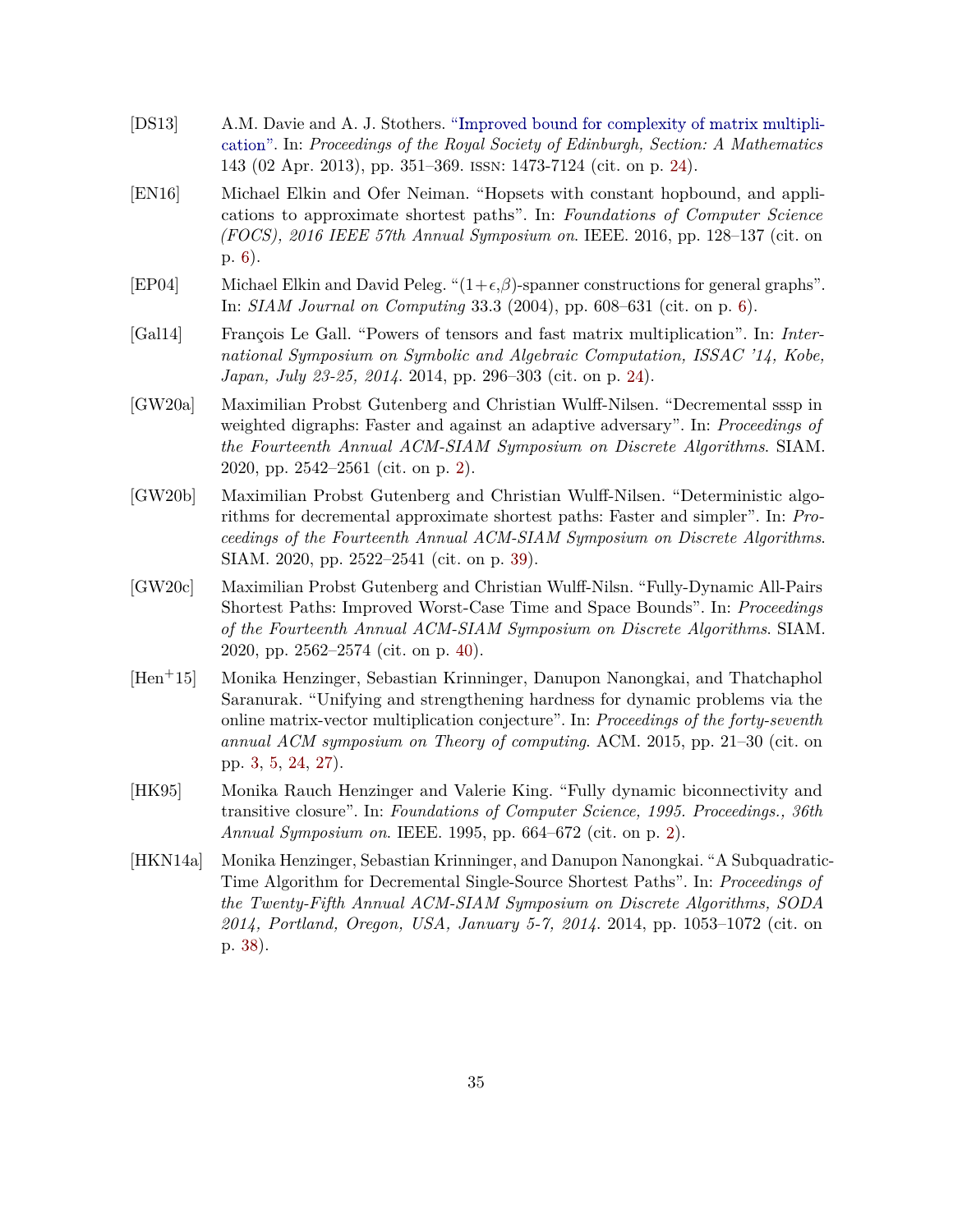- <span id="page-35-5"></span>[DS13] A.M. Davie and A. J. Stothers. ["Improved bound for complexity of matrix multipli](http://dx.doi.org/10.1017/S0308210511001648)[cation".](http://dx.doi.org/10.1017/S0308210511001648) In: *Proceedings of the Royal Society of Edinburgh, Section: A Mathematics* 143 (02 Apr. 2013), pp. 351–369. issn: 1473-7124 (cit. on p. [24\)](#page-24-0).
- <span id="page-35-4"></span>[EN16] Michael Elkin and Ofer Neiman. "Hopsets with constant hopbound, and applications to approximate shortest paths". In: *Foundations of Computer Science (FOCS), 2016 IEEE 57th Annual Symposium on*. IEEE. 2016, pp. 128–137 (cit. on p. [6\)](#page-6-0).
- <span id="page-35-3"></span>[EP04] Michael Elkin and David Peleg. " $(1+\epsilon,\beta)$ -spanner constructions for general graphs". In: *SIAM Journal on Computing* 33.3 (2004), pp. 608–631 (cit. on p. [6\)](#page-6-0).
- <span id="page-35-6"></span>[Gal14] François Le Gall. "Powers of tensors and fast matrix multiplication". In: *International Symposium on Symbolic and Algebraic Computation, ISSAC '14, Kobe, Japan, July 23-25, 2014*. 2014, pp. 296–303 (cit. on p. [24\)](#page-24-0).
- <span id="page-35-1"></span>[GW20a] Maximilian Probst Gutenberg and Christian Wulff-Nilsen. "Decremental sssp in weighted digraphs: Faster and against an adaptive adversary". In: *Proceedings of the Fourteenth Annual ACM-SIAM Symposium on Discrete Algorithms*. SIAM. 2020, pp. 2542–2561 (cit. on p. [2\)](#page-2-0).
- <span id="page-35-8"></span>[GW20b] Maximilian Probst Gutenberg and Christian Wulff-Nilsen. "Deterministic algorithms for decremental approximate shortest paths: Faster and simpler". In: *Proceedings of the Fourteenth Annual ACM-SIAM Symposium on Discrete Algorithms*. SIAM. 2020, pp. 2522–2541 (cit. on p. [39\)](#page-39-0).
- <span id="page-35-9"></span>[GW20c] Maximilian Probst Gutenberg and Christian Wulff-Nilsn. "Fully-Dynamic All-Pairs Shortest Paths: Improved Worst-Case Time and Space Bounds". In: *Proceedings of the Fourteenth Annual ACM-SIAM Symposium on Discrete Algorithms*. SIAM. 2020, pp. 2562–2574 (cit. on p. [40\)](#page-40-0).
- <span id="page-35-2"></span>[Hen+15] Monika Henzinger, Sebastian Krinninger, Danupon Nanongkai, and Thatchaphol Saranurak. "Unifying and strengthening hardness for dynamic problems via the online matrix-vector multiplication conjecture". In: *Proceedings of the forty-seventh annual ACM symposium on Theory of computing*. ACM. 2015, pp. 21–30 (cit. on pp. [3,](#page-3-1) [5,](#page-5-2) [24,](#page-24-0) [27\)](#page-27-0).
- <span id="page-35-0"></span>[HK95] Monika Rauch Henzinger and Valerie King. "Fully dynamic biconnectivity and transitive closure". In: *Foundations of Computer Science, 1995. Proceedings., 36th Annual Symposium on*. IEEE. 1995, pp. 664–672 (cit. on p. [2\)](#page-2-0).
- <span id="page-35-7"></span>[HKN14a] Monika Henzinger, Sebastian Krinninger, and Danupon Nanongkai. "A Subquadratic-Time Algorithm for Decremental Single-Source Shortest Paths". In: *Proceedings of the Twenty-Fifth Annual ACM-SIAM Symposium on Discrete Algorithms, SODA 2014, Portland, Oregon, USA, January 5-7, 2014*. 2014, pp. 1053–1072 (cit. on p. [38\)](#page-38-4).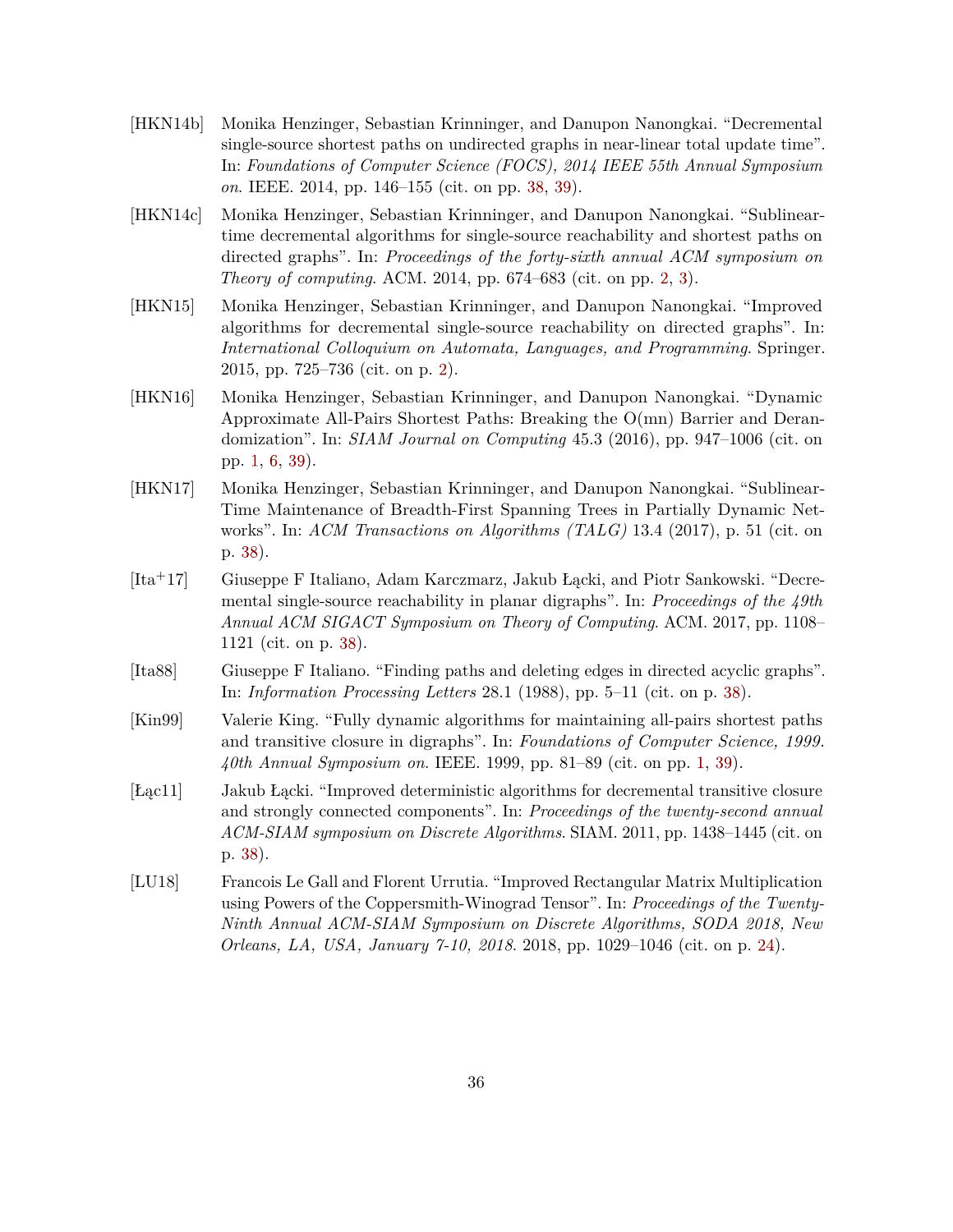- <span id="page-36-9"></span>[HKN14b] Monika Henzinger, Sebastian Krinninger, and Danupon Nanongkai. "Decremental single-source shortest paths on undirected graphs in near-linear total update time". In: *Foundations of Computer Science (FOCS), 2014 IEEE 55th Annual Symposium on*. IEEE. 2014, pp. 146–155 (cit. on pp. [38,](#page-38-4) [39\)](#page-39-0).
- <span id="page-36-2"></span>[HKN14c] Monika Henzinger, Sebastian Krinninger, and Danupon Nanongkai. "Sublineartime decremental algorithms for single-source reachability and shortest paths on directed graphs". In: *Proceedings of the forty-sixth annual ACM symposium on Theory of computing*. ACM. 2014, pp. 674–683 (cit. on pp. [2,](#page-2-0) [3\)](#page-3-1).
- <span id="page-36-3"></span>[HKN15] Monika Henzinger, Sebastian Krinninger, and Danupon Nanongkai. "Improved algorithms for decremental single-source reachability on directed graphs". In: *International Colloquium on Automata, Languages, and Programming*. Springer. 2015, pp. 725–736 (cit. on p. [2\)](#page-2-0).
- <span id="page-36-1"></span>[HKN16] Monika Henzinger, Sebastian Krinninger, and Danupon Nanongkai. "Dynamic Approximate All-Pairs Shortest Paths: Breaking the O(mn) Barrier and Derandomization". In: *SIAM Journal on Computing* 45.3 (2016), pp. 947–1006 (cit. on pp. [1,](#page-0-1) [6,](#page-6-0) [39\)](#page-39-0).
- <span id="page-36-8"></span>[HKN17] Monika Henzinger, Sebastian Krinninger, and Danupon Nanongkai. "Sublinear-Time Maintenance of Breadth-First Spanning Trees in Partially Dynamic Networks". In: *ACM Transactions on Algorithms (TALG)* 13.4 (2017), p. 51 (cit. on p. [38\)](#page-38-4).
- <span id="page-36-7"></span>[Ita+17] Giuseppe F Italiano, Adam Karczmarz, Jakub Łącki, and Piotr Sankowski. "Decremental single-source reachability in planar digraphs". In: *Proceedings of the 49th Annual ACM SIGACT Symposium on Theory of Computing*. ACM. 2017, pp. 1108– 1121 (cit. on p. [38\)](#page-38-4).
- <span id="page-36-5"></span>[Ita88] Giuseppe F Italiano. "Finding paths and deleting edges in directed acyclic graphs". In: *Information Processing Letters* 28.1 (1988), pp. 5–11 (cit. on p. [38\)](#page-38-4).
- <span id="page-36-0"></span>[Kin99] Valerie King. "Fully dynamic algorithms for maintaining all-pairs shortest paths and transitive closure in digraphs". In: *Foundations of Computer Science, 1999. 40th Annual Symposium on*. IEEE. 1999, pp. 81–89 (cit. on pp. [1,](#page-0-1) [39\)](#page-39-0).
- <span id="page-36-6"></span>[Łąc11] Jakub Łącki. "Improved deterministic algorithms for decremental transitive closure and strongly connected components". In: *Proceedings of the twenty-second annual ACM-SIAM symposium on Discrete Algorithms*. SIAM. 2011, pp. 1438–1445 (cit. on p. [38\)](#page-38-4).
- <span id="page-36-4"></span>[LU18] Francois Le Gall and Florent Urrutia. "Improved Rectangular Matrix Multiplication using Powers of the Coppersmith-Winograd Tensor". In: *Proceedings of the Twenty-Ninth Annual ACM-SIAM Symposium on Discrete Algorithms, SODA 2018, New Orleans, LA, USA, January 7-10, 2018*. 2018, pp. 1029–1046 (cit. on p. [24\)](#page-24-0).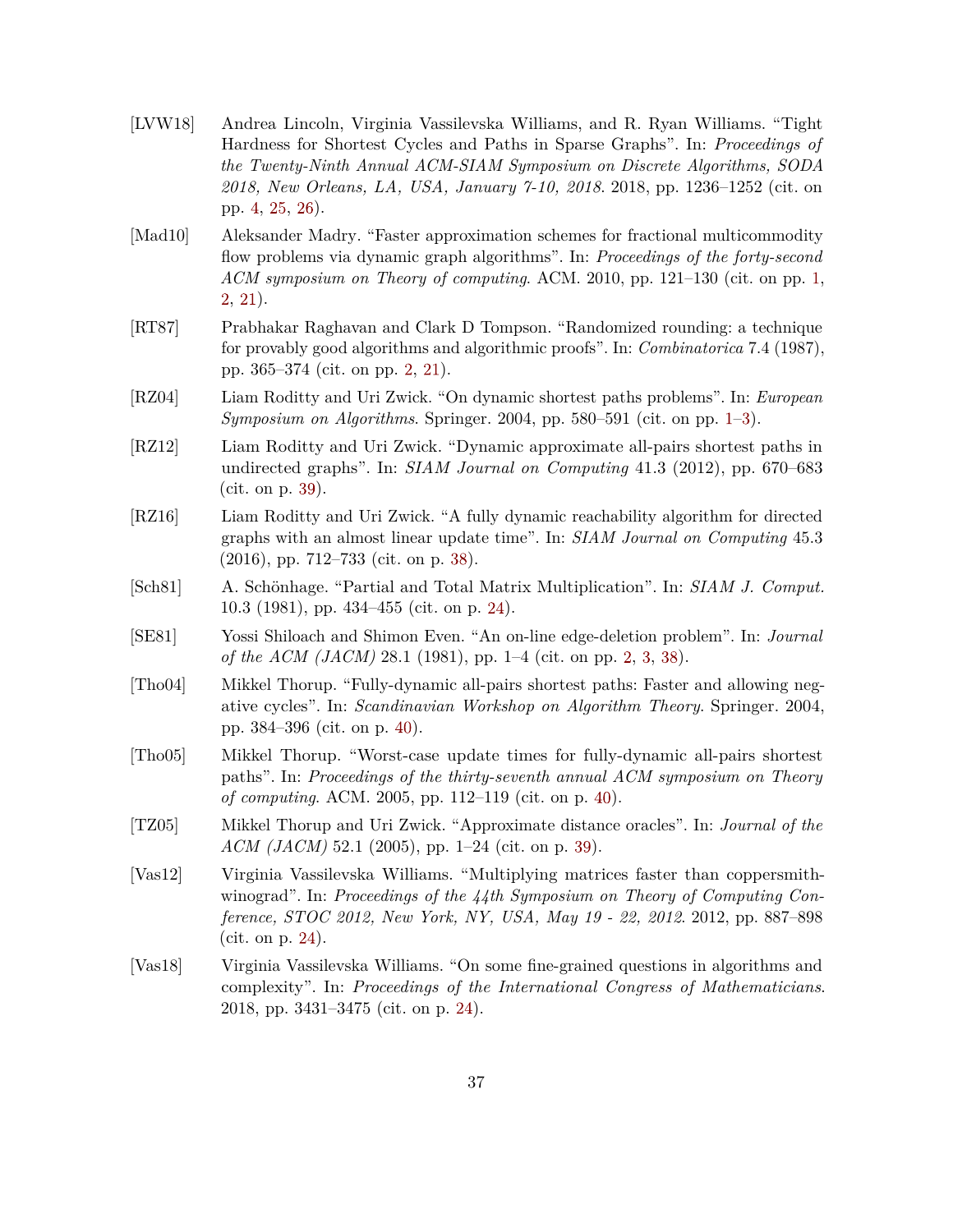- <span id="page-37-4"></span>[LVW18] Andrea Lincoln, Virginia Vassilevska Williams, and R. Ryan Williams. "Tight Hardness for Shortest Cycles and Paths in Sparse Graphs". In: *Proceedings of the Twenty-Ninth Annual ACM-SIAM Symposium on Discrete Algorithms, SODA 2018, New Orleans, LA, USA, January 7-10, 2018*. 2018, pp. 1236–1252 (cit. on pp. [4,](#page-4-2) [25,](#page-25-1) [26\)](#page-26-1).
- <span id="page-37-1"></span>[Mad10] Aleksander Madry. "Faster approximation schemes for fractional multicommodity flow problems via dynamic graph algorithms". In: *Proceedings of the forty-second ACM symposium on Theory of computing*. ACM. 2010, pp. 121–130 (cit. on pp. [1,](#page-0-1) [2,](#page-2-0) [21\)](#page-21-1).
- <span id="page-37-3"></span>[RT87] Prabhakar Raghavan and Clark D Tompson. "Randomized rounding: a technique for provably good algorithms and algorithmic proofs". In: *Combinatorica* 7.4 (1987), pp. 365–374 (cit. on pp. [2,](#page-2-0) [21\)](#page-21-1).
- <span id="page-37-0"></span>[RZ04] Liam Roditty and Uri Zwick. "On dynamic shortest paths problems". In: *European Symposium on Algorithms*. Springer. 2004, pp. 580–591 (cit. on pp. [1–](#page-0-1)[3\)](#page-3-1).
- <span id="page-37-9"></span>[RZ12] Liam Roditty and Uri Zwick. "Dynamic approximate all-pairs shortest paths in undirected graphs". In: *SIAM Journal on Computing* 41.3 (2012), pp. 670–683 (cit. on p. [39\)](#page-39-0).
- <span id="page-37-8"></span>[RZ16] Liam Roditty and Uri Zwick. "A fully dynamic reachability algorithm for directed graphs with an almost linear update time". In: *SIAM Journal on Computing* 45.3 (2016), pp. 712–733 (cit. on p. [38\)](#page-38-4).
- <span id="page-37-5"></span>[Sch81] A. Schönhage. "Partial and Total Matrix Multiplication". In: *SIAM J. Comput.* 10.3 (1981), pp. 434–455 (cit. on p. [24\)](#page-24-0).
- <span id="page-37-2"></span>[SE81] Yossi Shiloach and Shimon Even. "An on-line edge-deletion problem". In: *Journal of the ACM (JACM)* 28.1 (1981), pp. 1–4 (cit. on pp. [2,](#page-2-0) [3,](#page-3-1) [38\)](#page-38-4).
- <span id="page-37-11"></span>[Tho04] Mikkel Thorup. "Fully-dynamic all-pairs shortest paths: Faster and allowing negative cycles". In: *Scandinavian Workshop on Algorithm Theory*. Springer. 2004, pp. 384–396 (cit. on p. [40\)](#page-40-0).
- <span id="page-37-12"></span>[Tho05] Mikkel Thorup. "Worst-case update times for fully-dynamic all-pairs shortest paths". In: *Proceedings of the thirty-seventh annual ACM symposium on Theory of computing*. ACM. 2005, pp. 112–119 (cit. on p. [40\)](#page-40-0).
- <span id="page-37-10"></span>[TZ05] Mikkel Thorup and Uri Zwick. "Approximate distance oracles". In: *Journal of the ACM (JACM)* 52.1 (2005), pp. 1–24 (cit. on p. [39\)](#page-39-0).
- <span id="page-37-6"></span>[Vas12] Virginia Vassilevska Williams. "Multiplying matrices faster than coppersmithwinograd". In: *Proceedings of the 44th Symposium on Theory of Computing Conference, STOC 2012, New York, NY, USA, May 19 - 22, 2012*. 2012, pp. 887–898 (cit. on p. [24\)](#page-24-0).
- <span id="page-37-7"></span>[Vas18] Virginia Vassilevska Williams. "On some fine-grained questions in algorithms and complexity". In: *Proceedings of the International Congress of Mathematicians*. 2018, pp. 3431–3475 (cit. on p. [24\)](#page-24-0).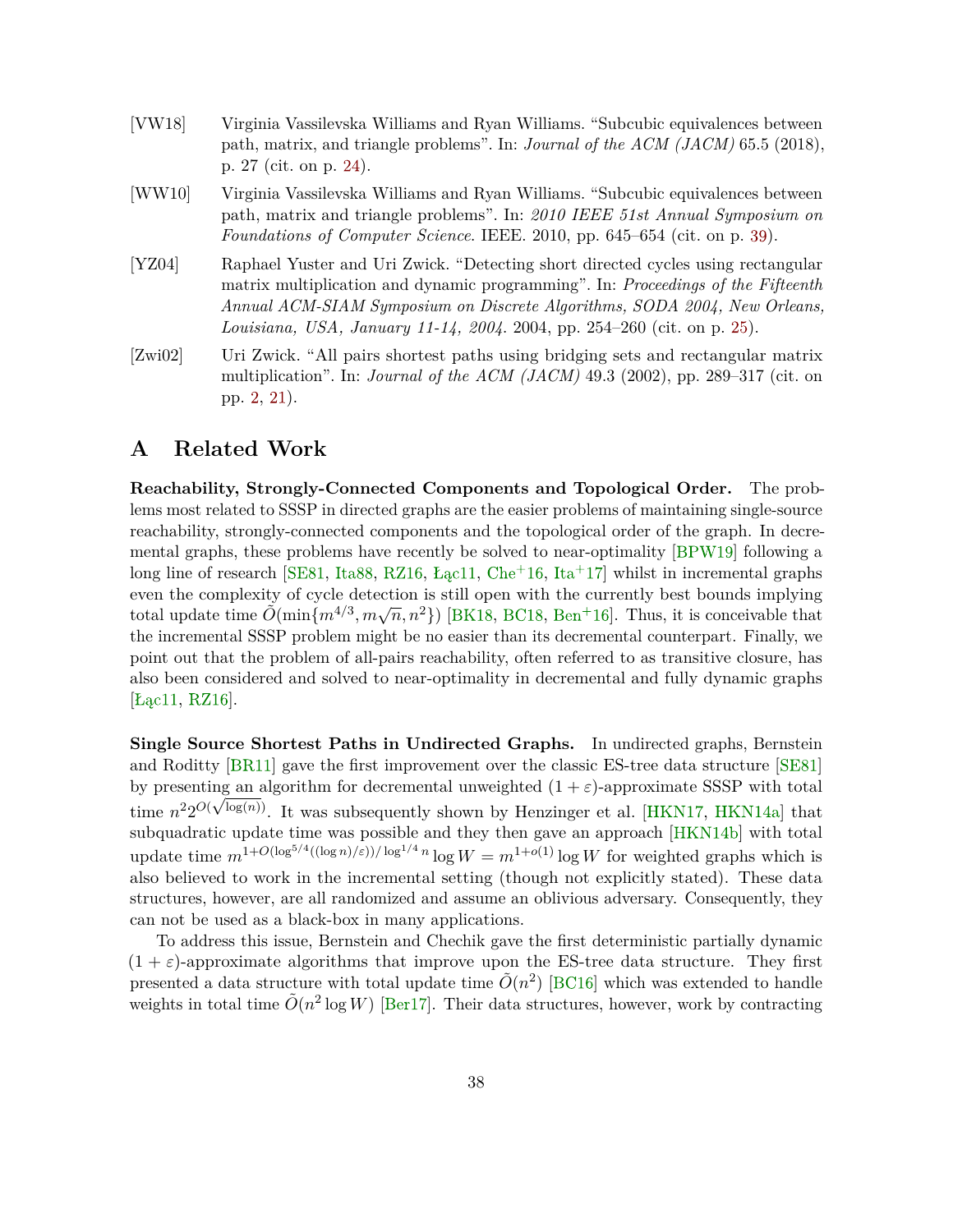- <span id="page-38-4"></span><span id="page-38-2"></span>[VW18] Virginia Vassilevska Williams and Ryan Williams. "Subcubic equivalences between path, matrix, and triangle problems". In: *Journal of the ACM (JACM)* 65.5 (2018), p. 27 (cit. on p. [24\)](#page-24-0).
- <span id="page-38-5"></span>[WW10] Virginia Vassilevska Williams and Ryan Williams. "Subcubic equivalences between path, matrix and triangle problems". In: *2010 IEEE 51st Annual Symposium on Foundations of Computer Science*. IEEE. 2010, pp. 645–654 (cit. on p. [39\)](#page-39-0).
- <span id="page-38-3"></span>[YZ04] Raphael Yuster and Uri Zwick. "Detecting short directed cycles using rectangular matrix multiplication and dynamic programming". In: *Proceedings of the Fifteenth Annual ACM-SIAM Symposium on Discrete Algorithms, SODA 2004, New Orleans, Louisiana, USA, January 11-14, 2004*. 2004, pp. 254–260 (cit. on p. [25\)](#page-25-1).
- <span id="page-38-1"></span>[Zwi02] Uri Zwick. "All pairs shortest paths using bridging sets and rectangular matrix multiplication". In: *Journal of the ACM (JACM)* 49.3 (2002), pp. 289–317 (cit. on pp. [2,](#page-2-0) [21\)](#page-21-1).

## <span id="page-38-0"></span>**A Related Work**

**Reachability, Strongly-Connected Components and Topological Order.** The problems most related to SSSP in directed graphs are the easier problems of maintaining single-source reachability, strongly-connected components and the topological order of the graph. In decremental graphs, these problems have recently be solved to near-optimality [\[BPW19\]](#page-33-4) following a long line of research [\[SE81,](#page-37-2) [Ita88,](#page-36-5) [RZ16,](#page-37-8) [Łąc11,](#page-36-6) [Che](#page-34-7)<sup>+</sup>16, [Ita](#page-36-7)<sup>+</sup>17] whilst in incremental graphs even the complexity of cycle detection is still open with the currently best bounds implying total update time  $\tilde{O}(\min\{m^{4/3}, m\sqrt{n}, n^2\})$  [\[BK18,](#page-33-5) [BC18,](#page-33-6) [Ben](#page-33-7)<sup>+</sup>16]. Thus, it is conceivable that the incremental SSSP problem might be no easier than its decremental counterpart. Finally, we point out that the problem of all-pairs reachability, often referred to as transitive closure, has also been considered and solved to near-optimality in decremental and fully dynamic graphs [\[Łąc11,](#page-36-6) [RZ16\]](#page-37-8).

**Single Source Shortest Paths in Undirected Graphs.** In undirected graphs, Bernstein and Roditty [\[BR11\]](#page-33-8) gave the first improvement over the classic ES-tree data structure [\[SE81\]](#page-37-2) by presenting an algorithm for decremental unweighted  $(1 + \varepsilon)$ -approximate SSSP with total time  $n^2 2^{O(\sqrt{\log(n)})}$ . It was subsequently shown by Henzinger et al. [\[HKN17,](#page-36-8) [HKN14a\]](#page-35-7) that subquadratic update time was possible and they then gave an approach [\[HKN14b\]](#page-36-9) with total update time  $m^{1+O(\log^{5/4}((\log n)/\varepsilon))/\log^{1/4} n} \log W = m^{1+O(1)} \log W$  for weighted graphs which is also believed to work in the incremental setting (though not explicitly stated). These data structures, however, are all randomized and assume an oblivious adversary. Consequently, they can not be used as a black-box in many applications.

To address this issue, Bernstein and Chechik gave the first deterministic partially dynamic  $(1 + \varepsilon)$ -approximate algorithms that improve upon the ES-tree data structure. They first presented a data structure with total update time  $\tilde{O}(n^2)$  [\[BC16\]](#page-32-7) which was extended to handle weights in total time  $\tilde{O}(n^2 \log W)$  [\[Ber17\]](#page-33-9). Their data structures, however, work by contracting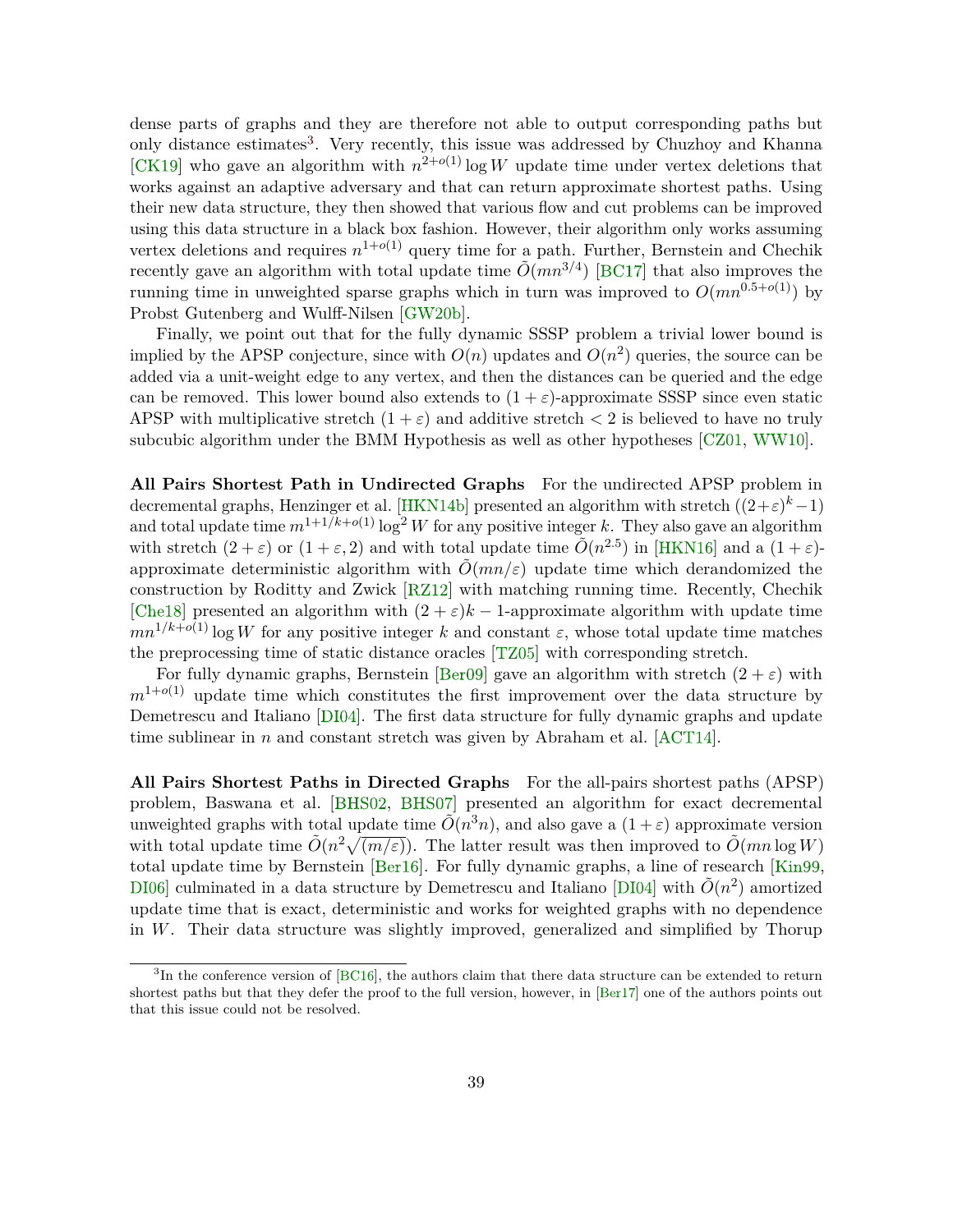<span id="page-39-0"></span>dense parts of graphs and they are therefore not able to output corresponding paths but only distance estimates<sup>[3](#page-0-0)</sup>. Very recently, this issue was addressed by Chuzhoy and Khanna [\[CK19\]](#page-34-1) who gave an algorithm with  $n^{2+o(1)}$  log *W* update time under vertex deletions that works against an adaptive adversary and that can return approximate shortest paths. Using their new data structure, they then showed that various flow and cut problems can be improved using this data structure in a black box fashion. However, their algorithm only works assuming vertex deletions and requires  $n^{1+o(1)}$  query time for a path. Further, Bernstein and Chechik recently gave an algorithm with total update time  $\tilde{O}(mn^{3/4})$  [\[BC17\]](#page-32-8) that also improves the running time in unweighted sparse graphs which in turn was improved to  $O(mn^{0.5+o(1)})$  by Probst Gutenberg and Wulff-Nilsen [\[GW20b\]](#page-35-8).

Finally, we point out that for the fully dynamic SSSP problem a trivial lower bound is implied by the APSP conjecture, since with  $O(n)$  updates and  $O(n^2)$  queries, the source can be added via a unit-weight edge to any vertex, and then the distances can be queried and the edge can be removed. This lower bound also extends to  $(1 + \varepsilon)$ -approximate SSSP since even static APSP with multiplicative stretch  $(1 + \varepsilon)$  and additive stretch  $\lt 2$  is believed to have no truly subcubic algorithm under the BMM Hypothesis as well as other hypotheses [\[CZ01,](#page-34-8) [WW10\]](#page-38-5).

**All Pairs Shortest Path in Undirected Graphs** For the undirected APSP problem in decremental graphs, Henzinger et al. [\[HKN14b\]](#page-36-9) presented an algorithm with stretch  $((2+\varepsilon)^k-1)$ and total update time  $m^{1+1/k+o(1)} \log^2 W$  for any positive integer k. They also gave an algorithm with stretch  $(2 + \varepsilon)$  or  $(1 + \varepsilon, 2)$  and with total update time  $\tilde{O}(n^{2.5})$  in [\[HKN16\]](#page-36-1) and a  $(1 + \varepsilon)$ approximate deterministic algorithm with  $\tilde{O}(mn/\varepsilon)$  update time which derandomized the construction by Roditty and Zwick [\[RZ12\]](#page-37-9) with matching running time. Recently, Chechik [\[Che18\]](#page-34-9) presented an algorithm with  $(2 + \varepsilon)k - 1$ -approximate algorithm with update time  $mn^{1/k+o(1)}$  log *W* for any positive integer *k* and constant  $\varepsilon$ , whose total update time matches the preprocessing time of static distance oracles [\[TZ05\]](#page-37-10) with corresponding stretch.

For fully dynamic graphs, Bernstein [\[Ber09\]](#page-33-1) gave an algorithm with stretch  $(2 + \varepsilon)$  with  $m^{1+o(1)}$  update time which constitutes the first improvement over the data structure by Demetrescu and Italiano [\[DI04\]](#page-34-10). The first data structure for fully dynamic graphs and update time sublinear in *n* and constant stretch was given by Abraham et al.  $[ACT14]$ .

**All Pairs Shortest Paths in Directed Graphs** For the all-pairs shortest paths (APSP) problem, Baswana et al. [\[BHS02,](#page-33-10) [BHS07\]](#page-33-11) presented an algorithm for exact decremental unweighted graphs with total update time  $\tilde{O}(n^3n)$ , and also gave a  $(1+\varepsilon)$  approximate version with total update time  $\tilde{O}(n^2\sqrt{(m/\varepsilon)})$ . The latter result was then improved to  $\tilde{O}(mn \log W)$ total update time by Bernstein [\[Ber16\]](#page-33-2). For fully dynamic graphs, a line of research [\[Kin99,](#page-36-0) DI06 culminated in a data structure by Demetrescu and Italiano [\[DI04\]](#page-34-10) with  $\tilde{O}(n^2)$  amortized update time that is exact, deterministic and works for weighted graphs with no dependence in *W*. Their data structure was slightly improved, generalized and simplified by Thorup

<sup>&</sup>lt;sup>3</sup>In the conference version of [\[BC16\]](#page-32-7), the authors claim that there data structure can be extended to return shortest paths but that they defer the proof to the full version, however, in [\[Ber17\]](#page-33-9) one of the authors points out that this issue could not be resolved.